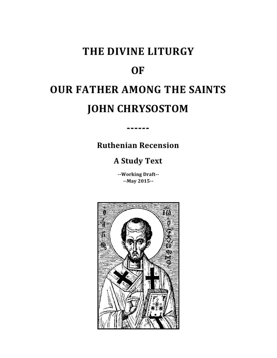# **THE DIVINE LITURGY**

# **OF**

# **OUR FATHER AMONG THE SAINTS JOHN CHRYSOSTOM**

**Ruthenian Recension**

**‐‐‐‐‐‐** 

# **A Study Text**

**‐‐Working Draft‐‐ ‐‐May 2015‐‐** 

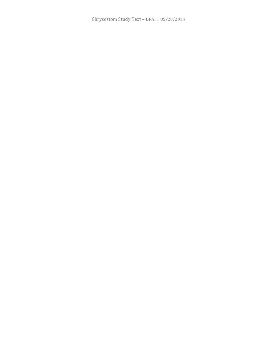Chrysostom Study Text - DRAFT 05/20/2015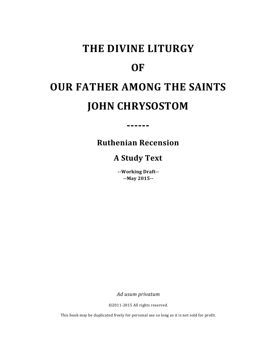# **THE DIVINE LITURGY**

# **OF**

# **OUR FATHER AMONG THE SAINTS JOHN CHRYSOSTOM**

**Ruthenian Recension**

**‐‐‐‐‐‐** 

# **A Study Text**

**‐‐Working Draft‐‐ ‐‐May 2015‐‐** 

*Ad usum privatum*

©2011-2015 All rights reserved.

This book may be duplicated freely for personal use so long as it is not sold for profit.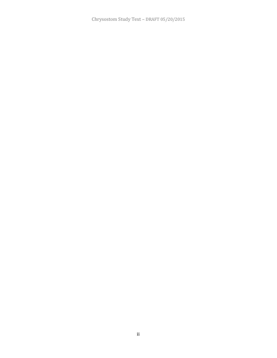Chrysostom Study Text - DRAFT 05/20/2015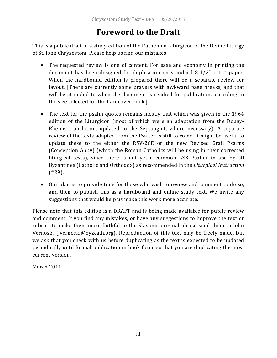# **Foreword to the Draft**

This is a public draft of a study edition of the Ruthenian Liturgicon of the Divine Liturgy of St. John Chrysostom. Please help us find our mistakes!

- The requested review is one of content. For ease and economy in printing the document has been designed for duplication on standard  $8-1/2$ " x  $11$ " paper. When the hardbound edition is prepared there will be a separate review for layout. [There are currently some prayers with awkward page breaks, and that will be attended to when the document is readied for publication, according to the size selected for the hardcover book.]
- The text for the psalm quotes remains mostly that which was given in the 1964 edition of the Liturgicon (most of which were an adaptation from the Douay-Rheims translation, updated to the Septuagint, where necessary). A separate review of the texts adapted from the Psalter is still to come. It might be useful to update these to the either the RSV-2CE or the new Revised Grail Psalms (Conception Abby) (which the Roman Catholics will be using in their corrected liturgical texts), since there is not yet a common LXX Psalter in use by all Byzantines (Catholic and Orthodox) as recommended in the *Liturgical Instruction* (#29).
- Our plan is to provide time for those who wish to review and comment to do so, and then to publish this as a hardbound and online study text. We invite any suggestions that would help us make this work more accurate.

Please note that this edition is a **DRAFT** and is being made available for public review and comment. If you find any mistakes, or have any suggestions to improve the text or rubrics to make them more faithful to the Slavonic original please send them to John Vernoski (jvernoski@byzcath.org). Reproduction of this text may be freely made, but we ask that you check with us before duplicating as the text is expected to be updated periodically until formal publication in book form, so that you are duplicating the most current version.

March 2011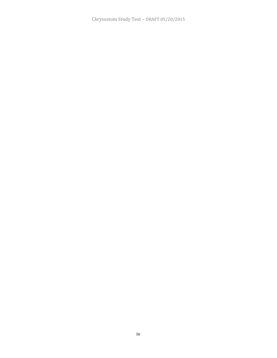Chrysostom Study Text - DRAFT 05/20/2015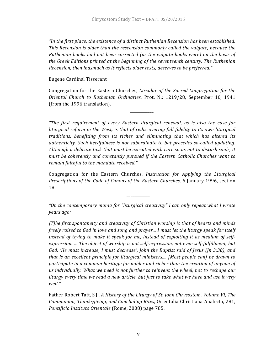*"In the first place, the existence of a distinct Ruthenian Recension has been established. This Recension is older than the rescension commonly called the vulgate, because the Ruthenian books had not been corrected (as the vulgate books were) on the basis of the Greek Editions printed at the beginning of the seventeenth century. The Ruthenian Recension, then inasmuch as it reflects older texts, deserves to be preferred."*

#### Eugene Cardinal Tisserant

Congregation for the Eastern Churches, *Circular of the Sacred Congregation for the Oriental Church to Ruthenian Ordinaries*, Prot. N.: 1219/28, September 10, 1941 (from the 1996 translation).

\_\_\_\_\_\_\_\_\_\_\_\_\_

*"The first requirement of every Eastern liturgical renewal, as is also the case for liturgical reform in the West, is that of rediscovering full fidelity to its own liturgical traditions, benefiting from its riches and eliminating that which has altered its authenticity. Such heedfulness is not subordinate to but precedes so‐called updating. Although a delicate task that must be executed with care so as not to disturb souls, it must be coherently and constantly pursued if the Eastern Catholic Churches want to remain faithful to the mandate received."* 

Congregation for the Eastern Churches, *Instruction for Applying the Liturgical Prescriptions of the Code of Canons of the Eastern Churches,* 6 January 1996, section 18. 

*"On the contemporary mania for "liturgical creativity" Ι can only repeat what Ι wrote years ago:*

\_\_\_\_\_\_\_\_\_\_\_\_

*[T]he first spontaneity and creativity of Christian worship is that of hearts and minds freely raised to God in love and song and prayer... Ι must let the liturgy speak for itself instead of trying to make it speak for me, instead of exploiting it as medium of self‐ expression. … The object of worship is not self‐expression, not even self‐fulfillment, but God. 'He must increase, Ι must decrease', John the Baptist said of Jesus (Jn 3:30), and that is an excellent principle for liturgical ministers.... [Most people can] be drawn to participate in a common heritage far nobler and richer than the creation of anyone of us individually. What we need is not further to reinvent the wheel, not to reshape our liturgy every time we read a new article, but just to take what we have and use it very well."*

Father Robert Taft, S.J., *A History of the Liturgy of St. John Chrysostom, Volume VI, The Communion, Thanksgiving, and Concluding Rites*, Orientalia Christiana Analecta, 281, *Pontificio Instituto Orientale* (Rome, 2008) page 785.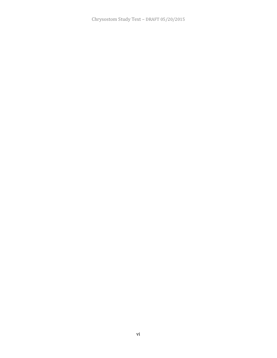Chrysostom Study Text - DRAFT 05/20/2015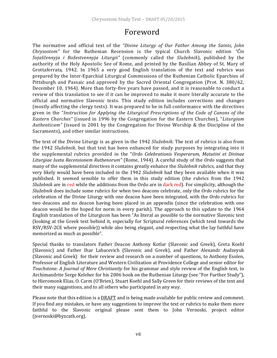# Foreword

The normative and official text of the *"Divine Liturgy of Our Father Among the Saints, John Chrysostom"* for the Ruthenian Recension is the typical Church Slavonic edition *"Čin Svjaščennyja i Božestvennyja Liturgii"* (commonly called the *Služebnik*), published by the authority of the Holy Apostolic See of Rome, and printed by the Basilian Abbey of St. Mary of Grottaferrata, 1942. In 1965 a very good English translation of the text and rubrics was prepared by the Inter-Eparchial Liturgical Commissions of the Ruthenian Catholic Eparchies of Pittsburgh and Passaic and approved by the Sacred Oriental Congregation (Prot. N. 380/62, December 10, 1964). More than forty-five years have passed, and it is reasonable to conduct a review of this translation to see if it can be improved to make it more literally accurate to the official and normative Slavonic texts. This study edition includes corrections and changes (mostly affecting the clergy texts). It was prepared to be in full conformance with the directives given in the "*Instruction for Applying the Liturgical Prescriptions of the Code of Canons of the Eastern Churches"* (issued in 1996 by the Congregation for the Eastern Churches), "*Liturgiam Authenticam"* (issued in 2001 by the Congregation for Divine Worship & the Discipline of the Sacraments), and other similar instructions.

The text of the Divine Liturgy is as given in the 1942 *Služebnik*. The text of rubrics is also from the 1942 Služebnik, but that text has been enhanced for study purposes by integrating into it the supplemental rubrics provided in the "*Ordo Celebrationis Vesperarum, Matutini et Divinae* Liturgiae Iuxta Recensionem Ruthenorum" (Rome, 1944). A careful study of the Ordo suggests that many of the supplemental directives it contains greatly enhance the *Služebnik* rubrics, and that they very likely would have been included in the 1942 *Služebnik* had they been available when it was published. It seemed sensible to offer them in this study edition (the rubrics from the 1942 *Služebnik* are in red while the additions from the Ordo are in dark red). For simplicity, although the *Služebnik* does include some rubrics for when two deacons celebrate, only the *Ordo* rubrics for the celebration of the Divine Liturgy with one deacon have been integrated, with the *Ordo* rubrics for two deacons and no deacon having been placed in an appendix (since the celebration with one deacon would be the hoped for norm in every parish). The approach to this update to the 1964 English translation of the Liturgicon has been "As literal as possible to the normative Slavonic text (looking at the Greek text behind it, especially for Scriptural references (which tend towards the RSV/RSV-2CE where possible)) while also being elegant, and respecting what the lay faithful have memorized as much as possible".

Special thanks to translators Father Deacon Anthony Kotlar (Slavonic and Greek), Greta Koehl (Slavonic) and Father Ihar Labacevich (Slavonic and Greek), and Father Alexandr Audzeyuk (Slavonic and Greek) for their review and research on a number of questions, to Anthony Esolen, Professor of English Literature and Western Civilization at Providence College and senior editor for *Touchstone: A <i>Journal of Mere Christianity* for his grammar and style review of the English text, to Archimandrite Serge Keleher for his 2006 book on the Ruthenian Liturgy (see "For Further Study"), to Hieromonk Elias, O. Carm (O'Brien), Stuart Koehl and Sally Green for their reviews of the text and their many suggestions, and to all others who participated in any way.

Please note that this edition is a **DRAFT** and is being made available for public review and comment. If you find any mistakes, or have any suggestions to improve the text or rubrics to make them more faithful to the Slavonic original please sent them to John Vernoski, project editor (jvernoski@byzcath.org).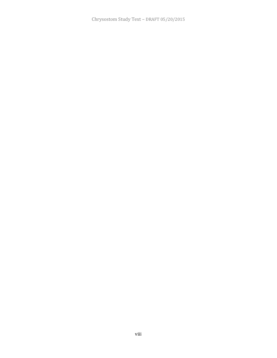Chrysostom Study Text - DRAFT 05/20/2015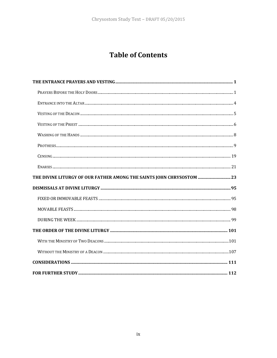# **Table of Contents**

| THE DIVINE LITURGY OF OUR FATHER AMONG THE SAINTS JOHN CHRYSOSTOM 23 |  |
|----------------------------------------------------------------------|--|
|                                                                      |  |
|                                                                      |  |
|                                                                      |  |
|                                                                      |  |
|                                                                      |  |
|                                                                      |  |
|                                                                      |  |
|                                                                      |  |
|                                                                      |  |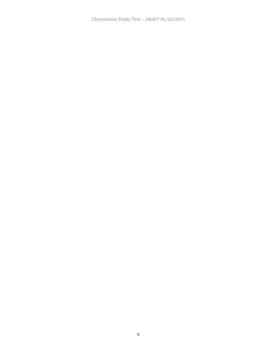Chrysostom Study Text - DRAFT 05/20/2015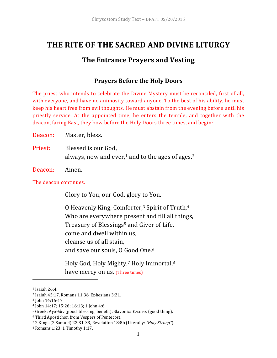# **THE RITE OF THE SACRED AND DIVINE LITURGY The Entrance Prayers and Vesting**

#### **Prayers Before the Holy Doors**

The priest who intends to celebrate the Divine Mystery must be reconciled, first of all, with everyone, and have no animosity toward anyone. To the best of his ability, he must keep his heart free from evil thoughts. He must abstain from the evening before until his priestly service. At the appointed time, he enters the temple, and together with the deacon, facing East, they bow before the Holy Doors three times, and begin:

|               | Deacon: Master, bless.                                                                          |
|---------------|-------------------------------------------------------------------------------------------------|
| Priest:       | Blessed is our God,<br>always, now and ever, <sup>1</sup> and to the ages of ages. <sup>2</sup> |
| Deacon: Amen. |                                                                                                 |

The deacon continues:

Glory to You, our God, glory to You.

O Heavenly King, Comforter,<sup>3</sup> Spirit of Truth,<sup>4</sup> Who are everywhere present and fill all things, Treasury of Blessings<sup>5</sup> and Giver of Life, come and dwell within us, cleanse us of all stain. and save our souls, O Good One.<sup>6</sup>

Holy God, Holy Mighty,<sup>7</sup> Holy Immortal,<sup>8</sup> have mercy on us. (Three times)

 $1$  Isaiah 26:4.

 $2$  Isaiah 45:17, Romans 11:36, Ephesians 3:21.

<sup>&</sup>lt;sup>3</sup> John 14:16-17.

<sup>&</sup>lt;sup>4</sup> John 14:17; 15:26; 16:13; 1 John 4:6.

 $5$  Greek: Αγαθών (good, blessing, benefit), Slavonic:  $\delta$ лагих (good thing).

<sup>&</sup>lt;sup>6</sup> Third Apostichon from Vespers of Pentecost.

<sup>7 2</sup> Kings (2 Samuel) 22:31‐33, Revelation 18:8b (Literally: *"Holy Strong"*). 

<sup>&</sup>lt;sup>8</sup> Romans 1:23, 1 Timothy 1:17.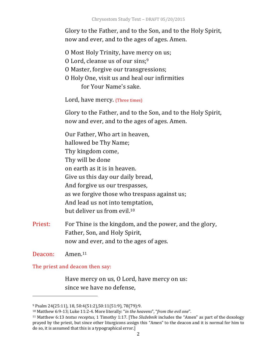Glory to the Father, and to the Son, and to the Holy Spirit, now and ever, and to the ages of ages. Amen.

O Most Holy Trinity, have mercy on us; O Lord, cleanse us of our sins;<sup>9</sup> O Master, forgive our transgressions; O Holy One, visit us and heal our infirmities for Your Name's sake.

Lord, have mercy. (Three times)

Glory to the Father, and to the Son, and to the Holy Spirit, now and ever, and to the ages of ages. Amen.

Our Father, Who art in heaven, hallowed be Thy Name; Thy kingdom come, Thy will be done on earth as it is in heaven. Give us this day our daily bread, And forgive us our trespasses, as we forgive those who trespass against us; And lead us not into temptation, but deliver us from evil.<sup>10</sup>

Priest: For Thine is the kingdom, and the power, and the glory, Father, Son, and Holy Spirit, now and ever, and to the ages of ages.

Deacon: Amen.<sup>11</sup>

The priest and deacon then say:

<u> 1989 - Johann Stein, fransk politik (d. 1989)</u>

Have mercy on us, O Lord, have mercy on us: since we have no defense.

<sup>9</sup> Psalm 24(25:11), 18, 50:4(51:2),50:11(51:9), 78(79):9.

<sup>10</sup> Matthew 6:9-13; Luke 11:2-4. More literally: "in the heavens", "from the evil one".

<sup>&</sup>lt;sup>11</sup> Matthew 6:13 *textus receptus*, 1 Timothy 1:17. [The *Služebnik* includes the "Amen" as part of the doxology prayed by the priest, but since other liturgicons assign this "Amen" to the deacon and it is normal for him to do so, it is assumed that this is a typographical error.]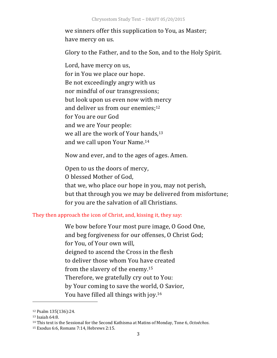we sinners offer this supplication to You, as Master; have mercy on us.

Glory to the Father, and to the Son, and to the Holy Spirit.

Lord, have mercy on us, for in You we place our hope. Be not exceedingly angry with us nor mindful of our transgressions; but look upon us even now with mercy and deliver us from our enemies;<sup>12</sup> for You are our God and we are Your people: we all are the work of Your hands,<sup>13</sup> and we call upon Your Name.<sup>14</sup>

Now and ever, and to the ages of ages. Amen.

Open to us the doors of mercy, O blessed Mother of God, that we, who place our hope in you, may not perish, but that through you we may be delivered from misfortune; for you are the salvation of all Christians.

They then approach the icon of Christ, and, kissing it, they say:

We bow before Your most pure image, O Good One, and beg forgiveness for our offenses, O Christ God; for You, of Your own will, deigned to ascend the Cross in the flesh to deliver those whom You have created from the slavery of the enemy.<sup>15</sup> Therefore, we gratefully cry out to You: by Your coming to save the world, O Savior, You have filled all things with joy.<sup>16</sup>

<sup>12</sup> Psalm 135(136):24. 

 $13$  Isaiah  $64:8$ .

<sup>&</sup>lt;sup>14</sup> This text is the Sessional for the Second Kathisma at Matins of Monday, Tone 6, *Octoëchos*.

<sup>&</sup>lt;sup>15</sup> Exodus 6:6, Romans 7:14, Hebrews 2:15.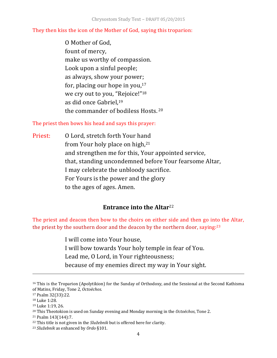#### They then kiss the icon of the Mother of God, saying this troparion:

O Mother of God. fount of mercy, make us worthy of compassion. Look upon a sinful people; as always, show your power; for, placing our hope in you, $17$ we cry out to you, "Rejoice!"<sup>18</sup> as did once Gabriel.<sup>19</sup> the commander of bodiless Hosts.<sup>20</sup>

The priest then bows his head and says this prayer:

Priest: 0 Lord, stretch forth Your hand from Your holy place on high, $21$ and strengthen me for this, Your appointed service, that, standing uncondemned before Your fearsome Altar, I may celebrate the unbloody sacrifice. For Yours is the power and the glory to the ages of ages. Amen.

#### **Entrance into the Altar**<sup>22</sup>

The priest and deacon then bow to the choirs on either side and then go into the Altar, the priest by the southern door and the deacon by the northern door, saying: $23$ 

> I will come into Your house, I will bow towards Your holy temple in fear of You. Lead me, O Lord, in Your righteousness; because of my enemies direct my way in Your sight.

<u> 1989 - Andrea Santa Alemania, poeta esperanto-a político de la provincia de la provincia de la provincia de</u>

 $16$  This is the Troparion (Apolytikion) for the Sunday of Orthodoxy, and the Sessional at the Second Kathisma of Matins, Friday, Tone 2, Octoëchos.

<sup>17</sup> Psalm 32(33):22. 

<sup>&</sup>lt;sup>18</sup> Luke 1:28.

<sup>&</sup>lt;sup>19</sup> Luke 1:19, 26.

 $^{20}$  This Theotokion is used on Sunday evening and Monday morning in the *Octoëchos*, Tone 2.

<sup>21</sup> Psalm 143(144):7. 

<sup>&</sup>lt;sup>22</sup> This title is not given in the *Služebnik* but is offered here for clarity.

<sup>&</sup>lt;sup>23</sup> *Služebnik* as enhanced by *Ordo* §101.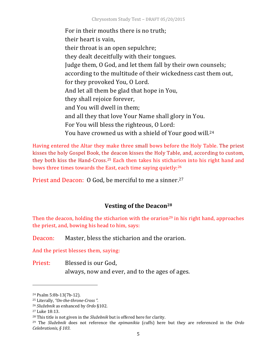For in their mouths there is no truth; their heart is vain, their throat is an open sepulchre; they dealt deceitfully with their tongues. Judge them, O God, and let them fall by their own counsels; according to the multitude of their wickedness cast them out, for they provoked You, O Lord. And let all them be glad that hope in You, they shall rejoice forever, and You will dwell in them; and all they that love Your Name shall glory in You. For You will bless the righteous, O Lord: You have crowned us with a shield of Your good will.<sup>24</sup>

Having entered the Altar they make three small bows before the Holy Table. The priest kisses the holy Gospel Book, the deacon kisses the Holy Table, and, according to custom, they both kiss the Hand-Cross.<sup>25</sup> Each then takes his sticharion into his right hand and bows three times towards the East, each time saying quietly:<sup>26</sup>

Priest and Deacon: O God, be merciful to me a sinner.<sup>27</sup>

## **Vesting of the Deacon28**

Then the deacon, holding the sticharion with the orarion<sup>29</sup> in his right hand, approaches the priest, and, bowing his head to him, says:

#### Deacon: Master, bless the sticharion and the orarion.

And the priest blesses them, saying:

Priest: Blessed is our God, always, now and ever, and to the ages of ages.

<sup>24</sup> Psalm 5:8b‐13(7b‐12). 

<sup>25</sup> Literally, *"On‐the‐throne‐Cross ".*

<sup>&</sup>lt;sup>26</sup> *Služebnik* as enhanced by *Ordo* §102.

<sup>&</sup>lt;sup>27</sup> Luke 18:13.

<sup>&</sup>lt;sup>28</sup> This title is not given in the *Služebnik* but is offered here for clarity.

<sup>&</sup>lt;sup>29</sup> The *Služebnik* does not reference the *epimanikia* (cuffs) here but they are referenced in the *Ordo Celebrationis, § 103*.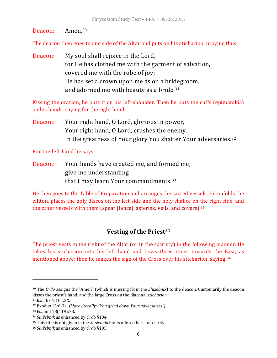#### Deacon: Amen.<sup>30</sup>

The deacon then goes to one side of the Altar and puts on his sticharion, praying thus:

Deacon: My soul shall rejoice in the Lord, for He has clothed me with the garment of salvation, covered me with the robe of joy; He has set a crown upon me as on a bridegroom, and adorned me with beauty as a bride. $31$ 

Kissing the orarion, he puts it on his left shoulder. Then he puts the cuffs (epimanikia) on his hands, saying for the right hand:

Deacon: Your right hand, O Lord, glorious in power, Your right hand, O Lord, crushes the enemy. In the greatness of Your glory You shatter Your adversaries.<sup>32</sup>

For the left hand he says:

Deacon: Your hands have created me, and formed me; give me understanding that I may learn Your commandments. $33$ 

He then goes to the Table of Preparation and arranges the sacred vessels. He unfolds the eiliton, places the holy discos on the left side and the holy chalice on the right side, and the other vessels with them (spear [lance], asterisk, veils, and covers). $34$ 

#### **Vesting of the Priest35**

The priest vests in the right of the Altar (or in the sacristy) in the following manner. He takes his sticharion into his left hand and bows three times towards the East, as mentioned above; then he makes the sign of the Cross over his sticharion, saying: $36$ 

<sup>&</sup>lt;sup>30</sup> The *Ordo* assigns the "Amen" (which is missing from the *Služebnik*) to the deacon. Customarily the deacon kisses the priest's hand, and the large Cross on the diaconal *sticharion*.

<sup>31</sup> Isaiah 61:10 LXX.

<sup>32</sup> Exodus 15:6‐7a. *[More literally: "You grind down Your adversaries"]*

<sup>33</sup> Psalm 118(119):73.

<sup>&</sup>lt;sup>34</sup> *Služebnik* as enhanced by *Ordo* §104.

<sup>&</sup>lt;sup>35</sup> This title is not given in the *Služebnik* but is offered here for clarity.

<sup>&</sup>lt;sup>36</sup> *Služebnik* as enhanced by *Ordo* §105.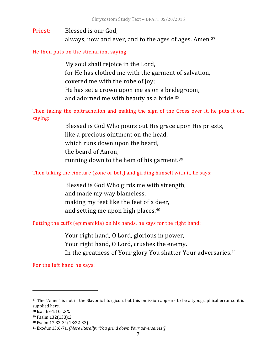Priest: Blessed is our God. always, now and ever, and to the ages of ages. Amen.<sup>37</sup>

#### He then puts on the sticharion, saying:

My soul shall rejoice in the Lord, for He has clothed me with the garment of salvation, covered me with the robe of joy; He has set a crown upon me as on a bridegroom, and adorned me with beauty as a bride. $38$ 

Then taking the epitrachelion and making the sign of the Cross over it, he puts it on, saying: 

> Blessed is God Who pours out His grace upon His priests, like a precious ointment on the head, which runs down upon the beard. the beard of Aaron, running down to the hem of his garment.<sup>39</sup>

Then taking the cincture (zone or belt) and girding himself with it, he says:

Blessed is God Who girds me with strength, and made my way blameless, making my feet like the feet of a deer. and setting me upon high places.<sup>40</sup>

Putting the cuffs (epimanikia) on his hands, he says for the right hand:

Your right hand, O Lord, glorious in power, Your right hand, O Lord, crushes the enemy. In the greatness of Your glory You shatter Your adversaries.<sup>41</sup>

#### For the left hand he says:

<u> 1989 - Johann Stein, fransk politik (d. 1989)</u>

39 Psalm 132(133):2. 

<sup>&</sup>lt;sup>37</sup> The "Amen" is not in the Slavonic liturgicon, but this omission appears to be a typographical error so it is supplied here.

<sup>38</sup> Isaiah 61:10 LXX.

<sup>40</sup> Psalm 17:33‐34(18:32‐33). 

<sup>41</sup> Exodus 15:6‐7a. *[More literally: "You grind down Your adversaries"]*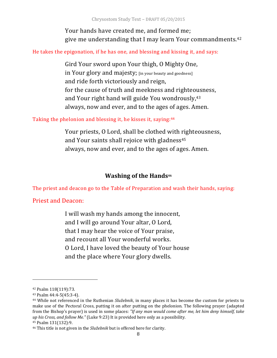Your hands have created me, and formed me; give me understanding that I may learn Your commandments. $42$ 

He takes the epigonation, if he has one, and blessing and kissing it, and says:

Gird Your sword upon Your thigh, O Mighty One, in Your glory and majesty; [in your beauty and goodness] and ride forth victoriously and reign, for the cause of truth and meekness and righteousness, and Your right hand will guide You wondrously. $43$ always, now and ever, and to the ages of ages. Amen.

Taking the phelonion and blessing it, he kisses it, saying:<sup>44</sup>

Your priests, O Lord, shall be clothed with righteousness, and Your saints shall rejoice with gladness<sup>45</sup> always, now and ever, and to the ages of ages. Amen.

## **Washing of the Hands46**

The priest and deacon go to the Table of Preparation and wash their hands, saying:

Priest and Deacon:

I will wash my hands among the innocent, and I will go around Your altar, O Lord, that I may hear the voice of Your praise, and recount all Your wonderful works. O Lord, I have loved the beauty of Your house and the place where Your glory dwells.

<sup>42</sup> Psalm 118(119):73. 

<sup>43</sup> Psalm 44:4‐5(45:3‐4). 

<sup>&</sup>lt;sup>44</sup> While not referenced in the Ruthenian *Služebnik*, in many places it has become the custom for priests to make use of the Pectoral Cross, putting it on after putting on the phelonion. The following prayer (adapted from the Bishop's prayer) is used in some places: *"If any man would come after me, let him deny himself, take up his Cross, and follow Me."* (Luke 9:23) It is provided here only as a possibility. 

<sup>45</sup> Psalm 131(132):9. 

<sup>&</sup>lt;sup>46</sup> This title is not given in the *Služebnik* but is offered here for clarity.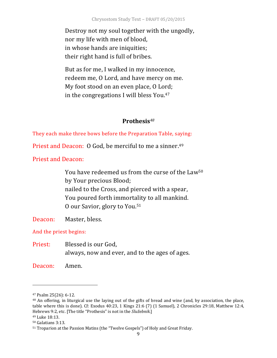Destroy not my soul together with the ungodly, nor my life with men of blood, in whose hands are iniquities; their right hand is full of bribes.

But as for me, I walked in my innocence, redeem me, O Lord, and have mercy on me. My foot stood on an even place, O Lord; in the congregations I will bless You. $47$ 

## **Prothesis***<sup>48</sup>*

They each make three bows before the Preparation Table, saying:

Priest and Deacon: O God, be merciful to me a sinner.<sup>49</sup>

Priest and Deacon:

You have redeemed us from the curse of the Law<sup>50</sup> by Your precious Blood; nailed to the Cross, and pierced with a spear, You poured forth immortality to all mankind. O our Savior, glory to You.<sup>51</sup>

Deacon: Master, bless.

And the priest begins:

Priest: Blessed is our God, always, now and ever, and to the ages of ages.

Deacon: Amen.

 

<sup>49</sup> Luke 18:13.

<sup>47</sup> Psalm 25(26): 6-12.

 $48$  An offering, in liturgical use the laying out of the gifts of bread and wine (and, by association, the place, table where this is done). Cf: Exodus 40:23, 1 Kings 21:6 (7) (1 Samuel), 2 Chronicles 29:18, Matthew 12:4, Hebrews 9:2, etc. [The title "Prothesis" is not in the *Služebnik*.]

<sup>50</sup> Galatians 3:13. 

<sup>51</sup> Troparion at the Passion Matins (the "Twelve Gospels") of Holy and Great Friday.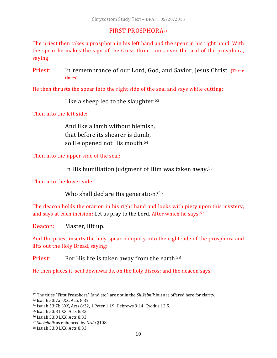## FIRST PROSPHORA<sup>52</sup>

The priest then takes a prosphora in his left hand and the spear in his right hand. With the spear he makes the sign of the Cross three times over the seal of the prosphora, saying: 

Priest: In remembrance of our Lord, God, and Savior, Jesus Christ. (Three times)

He then thrusts the spear into the right side of the seal and says while cutting:

Like a sheep led to the slaughter. $53$ 

Then into the left side:

And like a lamb without blemish, that before its shearer is dumb, so He opened not His mouth.<sup>54</sup>

Then into the upper side of the seal:

In His humiliation judgment of Him was taken away.<sup>55</sup>

Then into the lower side:

Who shall declare His generation?<sup>56</sup>

The deacon holds the orarion in his right hand and looks with piety upon this mystery, and says at each incision: Let us pray to the Lord. After which he says:<sup>57</sup>

Deacon: Master, lift up.

And the priest inserts the holy spear obliquely into the right side of the prosphora and lifts out the Holy Bread, saying:

Priest: For His life is taken away from the earth.<sup>58</sup>

He then places it, seal downwards, on the holy discos; and the deacon says:

<sup>&</sup>lt;sup>52</sup> The titles "First Prosphora" (and etc.) are not in the *Služebnik* but are offered here for clarity.

<sup>53</sup> Isaiah 53:7a LXX, Acts 8:32.

<sup>54</sup> Isaiah 53:7b LXX, Acts 8:32, 1 Peter 1:19, Hebrews 9:14, Exodus 12:5.

<sup>55</sup> Isaiah 53:8 LXX, Acts 8:33.

<sup>56</sup> Isaiah 53:8 LXX, Acts 8:33.

<sup>57</sup> *Služebnik* as enhanced by *Ordo* §108. 

<sup>58</sup> Isaiah 53:8 LXX, Acts 8:33.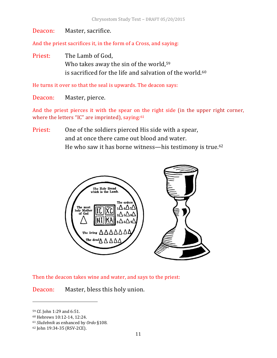Deacon: Master, sacrifice.

And the priest sacrifices it, in the form of a Cross, and saying:

Priest: The Lamb of God, Who takes away the sin of the world, $59$ is sacrificed for the life and salvation of the world.<sup>60</sup>

He turns it over so that the seal is upwards. The deacon says:

Deacon: Master, pierce.

And the priest pierces it with the spear on the right side (in the upper right corner, where the letters "IC" are imprinted), saying: $61$ 

Priest: One of the soldiers pierced His side with a spear, and at once there came out blood and water. He who saw it has borne witness—his testimony is true.<sup>62</sup>



Then the deacon takes wine and water, and says to the priest:

Deacon: Master, bless this holy union.

<sup>61</sup> *Služebnik* as enhanced by *Ordo* §108. 

<sup>&</sup>lt;sup>59</sup> Cf. John 1:29 and 6:51.

<sup>60</sup> Hebrews 10:12‐14, 12:24. 

<sup>62</sup> John 19:34-35 (RSV-2CE).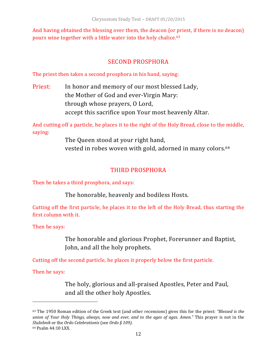And having obtained the blessing over them, the deacon (or priest, if there is no deacon) pours wine together with a little water into the holy chalice.<sup>63</sup>

## SECOND PROSPHORA

The priest then takes a second prosphora in his hand, saying:

Priest: In honor and memory of our most blessed Lady, the Mother of God and ever-Virgin Mary: through whose prayers, O Lord, accept this sacrifice upon Your most heavenly Altar.

And cutting off a particle, he places it to the right of the Holy Bread, close to the middle, saying: 

> The Queen stood at your right hand, vested in robes woven with gold, adorned in many colors.<sup>64</sup>

## THIRD PROSPHORA

Then he takes a third prosphora, and says:

The honorable, heavenly and bodiless Hosts.

Cutting off the first particle, he places it to the left of the Holy Bread, thus starting the first column with it.

Then he says:

The honorable and glorious Prophet, Forerunner and Baptist, John, and all the holy prophets.

Cutting off the second particle, he places it properly below the first particle.

Then he says:

The holy, glorious and all-praised Apostles, Peter and Paul, and all the other holy Apostles.

<sup>&</sup>lt;sup>63</sup> The 1950 Roman edition of the Greek text (and other recensions) gives this for the priest: *"Blessed is the union of Your Holy Things, always, now and ever, and to the ages of ages. Amen."* This prayer is not in the *Služebnik* or the *Ordo Celebrationis* (see *Ordo § 109)*.

<sup>64</sup> Psalm 44:10 LXX.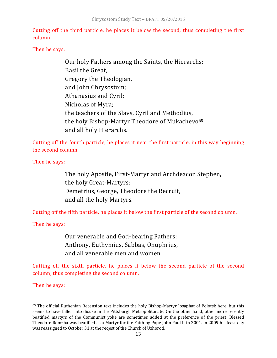Cutting off the third particle, he places it below the second, thus completing the first column. 

Then he says:

Our holy Fathers among the Saints, the Hierarchs: Basil the Great. Gregory the Theologian, and John Chrysostom; Athanasius and Cyril; Nicholas of Myra; the teachers of the Slavs, Cyril and Methodius, the holy Bishop-Martyr Theodore of Mukachevo<sup>65</sup> and all holy Hierarchs.

Cutting off the fourth particle, he places it near the first particle, in this way beginning the second column.

Then he says:

The holy Apostle, First-Martyr and Archdeacon Stephen, the holy Great-Martyrs: Demetrius, George, Theodore the Recruit, and all the holy Martyrs.

Cutting off the fifth particle, he places it below the first particle of the second column.

Then he says:

Our venerable and God-bearing Fathers: Anthony, Euthymius, Sabbas, Onuphrius, and all venerable men and women.

Cutting off the sixth particle, he places it below the second particle of the second column, thus completing the second column.

Then he says:

<sup>65</sup> The official Ruthenian Recension text includes the holy Bishop-Martyr Josaphat of Polotsk here, but this seems to have fallen into disuse in the Pittsburgh Metropolitanate. On the other hand, other more recently beatified martyrs of the Communist yoke are sometimes added at the preference of the priest. Blessed Theodore Romzha was beatified as a Martyr for the Faith by Pope John Paul II in 2001. In 2009 his feast day was reassigned to October 31 at the regest of the Church of Uzhorod.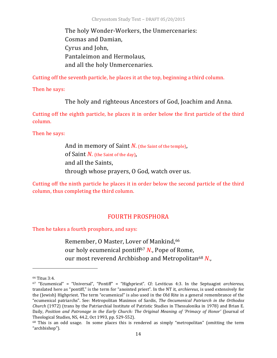The holy Wonder-Workers, the Unmercenaries: Cosmas and Damian, Cyrus and John, Pantaleimon and Hermolaus, and all the holy Unmercenaries.

Cutting off the seventh particle, he places it at the top, beginning a third column.

Then he says:

The holy and righteous Ancestors of God, Joachim and Anna.

Cutting off the eighth particle, he places it in order below the first particle of the third column. 

Then he says:

And in memory of Saint *N*. (the Saint of the temple), of Saint  $N$ . (the Saint of the day), and all the Saints, through whose prayers, 0 God, watch over us.

Cutting off the ninth particle he places it in order below the second particle of the third column, thus completing the third column.

## FOURTH PROSPHORA

Then he takes a fourth prosphora, and says:

Remember, O Master, Lover of Mankind,<sup>66</sup> our holy ecumenical pontiff<sup>67</sup> *N*., Pope of Rome, our most reverend Archbishop and Metropolitan<sup>68</sup> N.

<sup>66</sup> Titus 3:4. 

 $67$  "Ecumenical" = "Universal", "Pontiff" = "Highpriest". Cf: Leviticus 4:3. In the Septuagint *archiereus*, translated here as "pontiff," is the term for "anointed priest". In the NT it, *archiereus*, is used extensively for the (Jewish) Highpriest. The term "ecumenical" is also used in the Old Rite in a general remembrance of the "ecumenical patriarchs". See: Metropolitan Maximos of Sardis, *The Oecumenical Patriarch in the Orthodox Church* (1972) (trans by the Patriarchial Institute of Patristic Studies in Thessalonika in 1978) and Brian E. Daily, *Position and Patronage in the Early Church: The Original Meaning of 'Primacy of Honor'* (Journal of Theological Studies, NS, 44.2, Oct 1993, pp. 529-552).

 $68$  This is an odd usage. In some places this is rendered as simply "metropolitan" (omitting the term "archbishop").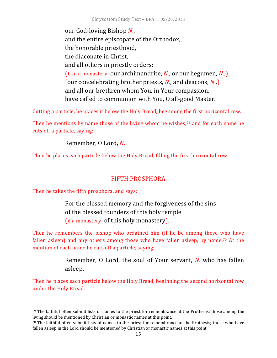our God-loving Bishop N., and the entire episcopate of the Orthodox, the honorable priesthood, the diaconate in Christ, and all others in priestly orders; (If in a monastery: our archimandrite,  $N$ ., or our hegumen,  $N$ .,) [our concelebrating brother priests, *N*., and deacons, *N*.,] and all our brethren whom You, in Your compassion, have called to communion with You, O all-good Master.

Cutting a particle, he places it below the Holy Bread, beginning the first horizontal row.

Then he mentions by name those of the living whom he wishes, $69$  and for each name he cuts off a particle, saying:

Remember, O Lord, N.

Then he places each particle below the Holy Bread, filling the first horizontal row.

### FIFTH PROSPHORA

Then he takes the fifth prosphora, and says:

<u> 1989 - Johann Stein, fransk politik (d. 1989)</u>

For the blessed memory and the forgiveness of the sins of the blessed founders of this holy temple (if a monastery: of this holy monastery).

Then he remembers the bishop who ordained him (if he be among those who have fallen asleep) and any others among those who have fallen asleep, by name.<sup>70</sup> At the mention of each name he cuts off a particle, saying:

> Remember, O Lord, the soul of Your servant, *N*. who has fallen asleep.

Then he places each particle below the Holy Bread, beginning the second horizontal row under the Holy Bread.

 $69$  The faithful often submit lists of names to the priest for remembrance at the Prothesis; those among the living should be mentioned by Christian or monastic names at this point.

 $70$  The faithful often submit lists of names to the priest for remembrance at the Prothesis; those who have fallen asleep in the Lord should be mentioned by Christian or monastic names at this point.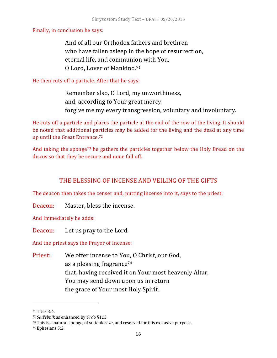#### Finally, in conclusion he says:

And of all our Orthodox fathers and brethren who have fallen asleep in the hope of resurrection, eternal life, and communion with You, O Lord, Lover of Mankind.<sup>71</sup>

He then cuts off a particle. After that he says:

Remember also, O Lord, my unworthiness, and, according to Your great mercy, forgive me my every transgression, voluntary and involuntary.

He cuts off a particle and places the particle at the end of the row of the living. It should be noted that additional particles may be added for the living and the dead at any time up until the Great Entrance.<sup>72</sup>

And taking the sponge<sup>73</sup> he gathers the particles together below the Holy Bread on the discos so that they be secure and none fall off.

### THE BLESSING OF INCENSE AND VEILING OF THE GIFTS

The deacon then takes the censer and, putting incense into it, says to the priest:

Deacon: Master, bless the incense.

And immediately he adds:

Deacon: Let us pray to the Lord.

And the priest says the Prayer of Incense:

Priest: We offer incense to You, O Christ, our God, as a pleasing fragrance<sup>74</sup> that, having received it on Your most heavenly Altar, You may send down upon us in return the grace of Your most Holy Spirit.

<sup>71</sup> Titus 3:4. 

<sup>72</sup> *Služebnik* as enhanced by *Ordo* §113. 

 $73$  This is a natural sponge, of suitable size, and reserved for this exclusive purpose.

<sup>&</sup>lt;sup>74</sup> Ephesians 5:2.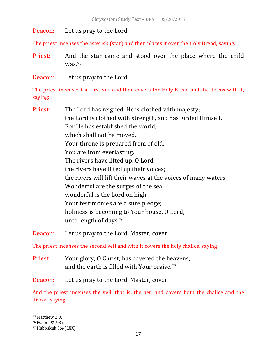Deacon: Let us pray to the Lord.

The priest incenses the asterisk (star) and then places it over the Holy Bread, saying:

Priest: And the star came and stood over the place where the child was.75

Deacon: Let us pray to the Lord.

The priest incenses the first veil and then covers the Holy Bread and the discos with it, saying: 

Priest: The Lord has reigned, He is clothed with majesty; the Lord is clothed with strength, and has girded Himself. For He has established the world, which shall not be moved. Your throne is prepared from of old, You are from everlasting. The rivers have lifted up, O Lord, the rivers have lifted up their voices; the rivers will lift their waves at the voices of many waters. Wonderful are the surges of the sea, wonderful is the Lord on high. Your testimonies are a sure pledge; holiness is becoming to Your house, O Lord, unto length of days.<sup>76</sup>

Deacon: Let us pray to the Lord. Master, cover.

The priest incenses the second veil and with it covers the holy chalice, saying:

- Priest: Your glory, O Christ, has covered the heavens, and the earth is filled with Your praise. $77$
- Deacon: Let us pray to the Lord. Master, cover.

And the priest incenses the veil, that is, the aer, and covers both the chalice and the discos, saying:

<sup>75</sup> Matthew 2:9. 

<sup>76</sup> Psalm 92(93). 

 $77$  Habbakuk 3:4 (LXX).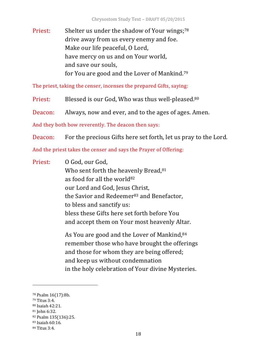Priest: Shelter us under the shadow of Your wings; $78$ drive away from us every enemy and foe. Make our life peaceful, O Lord, have mercy on us and on Your world, and save our souls. for You are good and the Lover of Mankind.<sup>79</sup>

The priest, taking the censer, incenses the prepared Gifts, saying:

Priest: Blessed is our God, Who was thus well-pleased.<sup>80</sup>

Deacon: Always, now and ever, and to the ages of ages. Amen.

And they both bow reverently. The deacon then says:

Deacon: For the precious Gifts here set forth, let us pray to the Lord.

And the priest takes the censer and says the Prayer of Offering:

Priest: 0 God, our God, Who sent forth the heavenly Bread, 81 as food for all the world<sup>82</sup> our Lord and God, Jesus Christ, the Savior and Redeemer<sup>83</sup> and Benefactor, to bless and sanctify us: bless these Gifts here set forth before You and accept them on Your most heavenly Altar.

> As You are good and the Lover of Mankind,  $84$ remember those who have brought the offerings and those for whom they are being offered; and keep us without condemnation in the holy celebration of Your divine Mysteries.

<sup>78</sup> Psalm 16(17):8b. 

<sup>&</sup>lt;sup>79</sup> Titus 3:4.

<sup>80</sup> Isaiah 42:21. 

<sup>81</sup> John 6:32.

<sup>82</sup> Psalm 135(136):25.

<sup>83</sup> Isaiah 60:16. 

<sup>84</sup> Titus 3:4.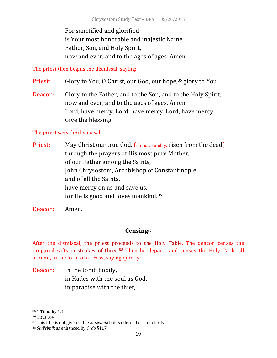For sanctified and glorified is Your most honorable and majestic Name, Father, Son, and Holy Spirit, now and ever, and to the ages of ages. Amen.

The priest then begins the dismissal, saying:

Priest: Glory to You, O Christ, our God, our hope, 85 glory to You.

Deacon: Glory to the Father, and to the Son, and to the Holy Spirit, now and ever, and to the ages of ages. Amen. Lord, have mercy. Lord, have mercy. Lord, have mercy. Give the blessing.

#### The priest says the dismissal:

Priest: May Christ our true God, *(if it is a Sunday: risen from the dead)* through the prayers of His most pure Mother, of our Father among the Saints, John Chrysostom, Archbishop of Constantinople, and of all the Saints, have mercy on us and save us, for He is good and loves mankind. $86$ 

Deacon: Amen.

## **Censing87**

After the dismissal, the priest proceeds to the Holy Table. The deacon censes the prepared Gifts in strokes of three.<sup>88</sup> Then he departs and censes the Holy Table all around, in the form of a Cross, saying quietly:

Deacon: In the tomb bodily, in Hades with the soul as God. in paradise with the thief.

<sup>&</sup>lt;sup>85</sup> 1 Timothy 1:1.

<sup>86</sup> Titus 3:4. 

<sup>&</sup>lt;sup>87</sup> This title is not given in the *Služebnik* but is offered here for clarity.

<sup>88</sup> *Služebnik* as enhanced by *Ordo* §117.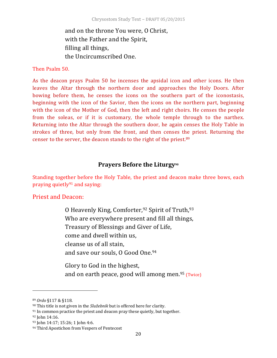and on the throne You were, O Christ, with the Father and the Spirit, filling all things, the Uncircumscribed One.

Then Psalm 50.

As the deacon prays Psalm 50 he incenses the apsidal icon and other icons. He then leaves the Altar through the northern door and approaches the Holy Doors. After bowing before them, he censes the icons on the southern part of the iconostasis, beginning with the icon of the Savior, then the icons on the northern part, beginning with the icon of the Mother of God, then the left and right choirs. He censes the people from the soleas, or if it is customary, the whole temple through to the narthex. Returning into the Altar through the southern door, he again censes the Holy Table in strokes of three, but only from the front, and then censes the priest. Returning the censer to the server, the deacon stands to the right of the priest.<sup>89</sup>

#### **Prayers Before the Liturgy90**

Standing together before the Holy Table, the priest and deacon make three bows, each praying quietly $91$  and saying:

Priest and Deacon:

O Heavenly King, Comforter,<sup>92</sup> Spirit of Truth,<sup>93</sup> Who are everywhere present and fill all things, Treasury of Blessings and Giver of Life. come and dwell within us. cleanse us of all stain. and save our souls,  $0$  Good One.<sup>94</sup>

Glory to God in the highest, and on earth peace, good will among men.<sup>95</sup> (Twice)

92 John 14:16.

<sup>89</sup> *Ordo* §117 & §118. 

<sup>&</sup>lt;sup>90</sup> This title is not given in the *Služebnik* but is offered here for clarity.

 $91$  In common practice the priest and deacon pray these quietly, but together.

<sup>93</sup> John 14:17; 15:26; 1 John 4:6.

<sup>94</sup> Third Apostichon from Vespers of Pentecost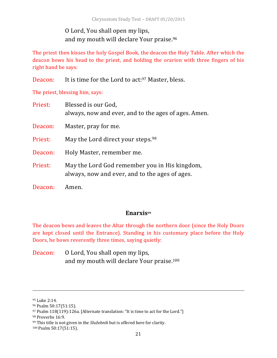### O Lord, You shall open my lips, and my mouth will declare Your praise.<sup>96</sup>

The priest then kisses the holy Gospel Book, the deacon the Holy Table. After which the deacon bows his head to the priest, and holding the orarion with three fingers of his right hand he says:

Deacon: It is time for the Lord to act:<sup>97</sup> Master, bless.

The priest, blessing him, says:

| Priest: | Blessed is our God,<br>always, now and ever, and to the ages of ages. Amen.                     |
|---------|-------------------------------------------------------------------------------------------------|
| Deacon: | Master, pray for me.                                                                            |
| Priest: | May the Lord direct your steps. <sup>98</sup>                                                   |
| Deacon: | Holy Master, remember me.                                                                       |
| Priest: | May the Lord God remember you in His kingdom,<br>always, now and ever, and to the ages of ages. |
| Deacon: | Amen.                                                                                           |

#### **Enarxis99**

The deacon bows and leaves the Altar through the northern door (since the Holy Doors are kept closed until the Entrance). Standing in his customary place before the Holy Doors, he bows reverently three times, saying quietly:

Deacon: 0 Lord, You shall open my lips, and my mouth will declare Your praise.<sup>100</sup>

<u> 1989 - Andrea Santa Andrea Andrea Andrea Andrea Andrea Andrea Andrea Andrea Andrea Andrea Andrea Andrea Andr</u>

<sup>&</sup>lt;sup>95</sup> Luke 2:14.

<sup>96</sup> Psalm 50:17(51:15).

 $97$  Psalm 118(119):126a. [Alternate translation: "It is time to act for the Lord."]

<sup>98</sup> Proverbs 16:9.

<sup>&</sup>lt;sup>99</sup> This title is not given in the *Služebnik* but is offered here for clarity.

<sup>100</sup> Psalm 50:17(51:15).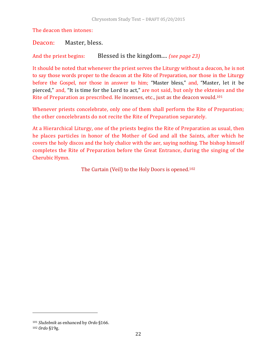The deacon then intones:

Deacon: Master, bless.

And the priest begins: Blessed is the kingdom.... *(see page 23)* 

It should be noted that whenever the priest serves the Liturgy without a deacon, he is not to say those words proper to the deacon at the Rite of Preparation, nor those in the Liturgy before the Gospel, nor those in answer to him; "Master bless," and, "Master, let it be pierced," and, "It is time for the Lord to act," are not said, but only the ektenies and the Rite of Preparation as prescribed. He incenses, etc., just as the deacon would.<sup>101</sup>

Whenever priests concelebrate, only one of them shall perform the Rite of Preparation; the other concelebrants do not recite the Rite of Preparation separately.

At a Hierarchical Liturgy, one of the priests begins the Rite of Preparation as usual, then he places particles in honor of the Mother of God and all the Saints, after which he covers the holy discos and the holy chalice with the aer, saying nothing. The bishop himself completes the Rite of Preparation before the Great Entrance, during the singing of the Cherubic Hymn.

The Curtain (Veil) to the Holy Doors is opened.<sup>102</sup>

<sup>&</sup>lt;sup>101</sup> *Služebnik* as enhanced by *Ordo* §166.

<sup>102</sup> *Ordo* §19g.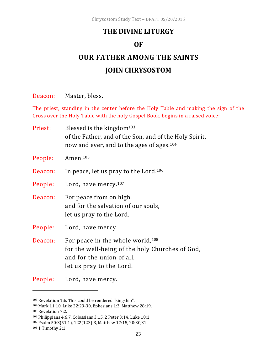# **THE DIVINE LITURGY**

## **OF**

# **OUR FATHER AMONG THE SAINTS**

# **JOHN CHRYSOSTOM**

Deacon: Master, bless.

The priest, standing in the center before the Holy Table and making the sign of the Cross over the Holy Table with the holy Gospel Book, begins in a raised voice:

| Priest: | Blessed is the kingdom <sup>103</sup><br>of the Father, and of the Son, and of the Holy Spirit,<br>now and ever, and to the ages of ages. <sup>104</sup> |
|---------|----------------------------------------------------------------------------------------------------------------------------------------------------------|
| People: | Amen. $105$                                                                                                                                              |
| Deacon: | In peace, let us pray to the Lord. <sup>106</sup>                                                                                                        |
| People: | Lord, have mercy. <sup>107</sup>                                                                                                                         |
| Deacon: | For peace from on high,<br>and for the salvation of our souls,<br>let us pray to the Lord.                                                               |
| People: | Lord, have mercy.                                                                                                                                        |
| Deacon: | For peace in the whole world, <sup>108</sup><br>for the well-being of the holy Churches of God,<br>and for the union of all,<br>let us pray to the Lord. |
| People: | Lord, have mercy.                                                                                                                                        |

<sup>&</sup>lt;sup>103</sup> Revelation 1:6. This could be rendered "kingship".

<sup>104</sup> Mark 11:10, Luke 22:29-30, Ephesians 1:3, Matthew 28:19.

<sup>&</sup>lt;sup>105</sup> Revelation 7:2.

<sup>106</sup> Philippians 4:6,7, Colossians 3:15, 2 Peter 3:14, Luke 18:1.

<sup>107</sup> Psalm 50:3(51:1), 122(123):3, Matthew 17:15, 20:30,31.

<sup>&</sup>lt;sup>108</sup> 1 Timothy 2:1.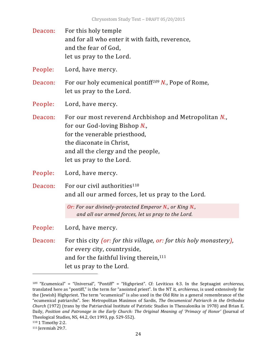| Deacon: | For this holy temple<br>and for all who enter it with faith, reverence,<br>and the fear of God,<br>let us pray to the Lord.                                                                                           |
|---------|-----------------------------------------------------------------------------------------------------------------------------------------------------------------------------------------------------------------------|
| People: | Lord, have mercy.                                                                                                                                                                                                     |
| Deacon: | For our holy ecumenical pontiff <sup>109</sup> N., Pope of Rome,<br>let us pray to the Lord.                                                                                                                          |
| People: | Lord, have mercy.                                                                                                                                                                                                     |
| Deacon: | For our most reverend Archbishop and Metropolitan N.,<br>for our God-loving Bishop N.,<br>for the venerable priesthood,<br>the diaconate in Christ,<br>and all the clergy and the people,<br>let us pray to the Lord. |
| People: | Lord, have mercy.                                                                                                                                                                                                     |
| Deacon: | For our civil authorities <sup>110</sup><br>and all our armed forces, let us pray to the Lord.<br>Or: For our divinely-protected Emperor N., or King N.,                                                              |
|         | and all our armed forces, let us pray to the Lord.                                                                                                                                                                    |
| People: | Lord, have mercy.                                                                                                                                                                                                     |
| Deacon: | For this city (or: for this village, or: for this holy monastery),<br>for every city, countryside,<br>and for the faithful living therein, <sup>111</sup><br>let us pray to the Lord.                                 |

<sup>&</sup>lt;sup>109</sup> "Ecumenical" = "Universal", "Pontiff" = "Highpriest". Cf: Leviticus 4:3. In the Septuagint *archiereus*, translated here as "pontiff," is the term for "anointed priest". In the NT it, *archiereus*, is used extensively for the (Jewish) Highpriest. The term "ecumenical" is also used in the Old Rite in a general remembrance of the "ecumenical patriarchs". See: Metropolitan Maximos of Sardis, *The Oecumenical Patriarch in the Orthodox Church* (1972) (trans by the Patriarchial Institute of Patristic Studies in Thessalonika in 1978) and Brian E. Daily, Position and Patronage in the Early Church: The Original Meaning of 'Primacy of Honor' (Journal of Theological Studies, NS, 44.2, Oct 1993, pp. 529-552).

<sup>&</sup>lt;sup>110</sup> 1 Timothy 2:2.

<sup>111</sup> Jeremiah 29:7.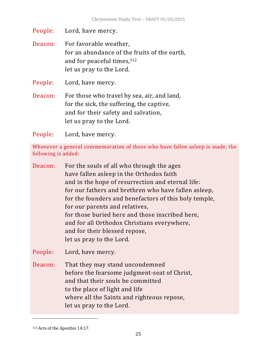People: Lord, have mercy.

Deacon: For favorable weather, for an abundance of the fruits of the earth, and for peaceful times, 112 let us pray to the Lord.

People: Lord, have mercy.

Deacon: For those who travel by sea, air, and land, for the sick, the suffering, the captive, and for their safety and salvation, let us pray to the Lord.

People: Lord, have mercy.

Whenever a general commemoration of those who have fallen asleep is made, the following is added:

| Deacon: | For the souls of all who through the ages             |
|---------|-------------------------------------------------------|
|         | have fallen asleep in the Orthodox faith              |
|         | and in the hope of resurrection and eternal life:     |
|         | for our fathers and brethren who have fallen asleep,  |
|         | for the founders and benefactors of this holy temple, |
|         | for our parents and relatives,                        |
|         | for those buried here and those inscribed here,       |
|         | and for all Orthodox Christians everywhere,           |
|         | and for their blessed repose,                         |
|         | let us pray to the Lord.                              |
| People: | Lord, have mercy.                                     |
| Deacon: | That they may stand uncondemned                       |
|         | before the fearsome judgment-seat of Christ,          |
|         | and that their souls be committed                     |

to the place of light and life where all the Saints and righteous repose,

let us pray to the Lord.

<sup>112</sup> Acts of the Apostles 14:17.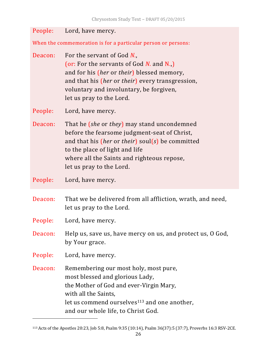| People: | Lord, have mercy.                                                                                                                                                                                                                                                           |  |  |
|---------|-----------------------------------------------------------------------------------------------------------------------------------------------------------------------------------------------------------------------------------------------------------------------------|--|--|
|         | When the commemoration is for a particular person or persons:                                                                                                                                                                                                               |  |  |
| Deacon: | For the servant of God N.,<br>(or: For the servants of God N. and N.,)<br>and for his (her or their) blessed memory,<br>and that his <i>(her or their)</i> every transgression,<br>voluntary and involuntary, be forgiven,<br>let us pray to the Lord.                      |  |  |
| People: | Lord, have mercy.                                                                                                                                                                                                                                                           |  |  |
| Deacon: | That he (she or they) may stand uncondemned<br>before the fearsome judgment-seat of Christ,<br>and that his ( <i>her</i> or <i>their</i> ) soul(s) be committed<br>to the place of light and life<br>where all the Saints and righteous repose,<br>let us pray to the Lord. |  |  |
| People: | Lord, have mercy.                                                                                                                                                                                                                                                           |  |  |
| Deacon: | That we be delivered from all affliction, wrath, and need,<br>let us pray to the Lord.                                                                                                                                                                                      |  |  |
| People: | Lord, have mercy.                                                                                                                                                                                                                                                           |  |  |
| Deacon: | Help us, save us, have mercy on us, and protect us, O God,<br>by Your grace.                                                                                                                                                                                                |  |  |
| People: | Lord, have mercy.                                                                                                                                                                                                                                                           |  |  |
| Deacon: | Remembering our most holy, most pure,<br>most blessed and glorious Lady,<br>the Mother of God and ever-Virgin Mary,<br>with all the Saints,<br>let us commend ourselves <sup>113</sup> and one another,<br>and our whole life, to Christ God.                               |  |  |

<sup>113</sup> Acts of the Apostles 20:23, Job 5:8, Psalm 9:35 (10:14), Psalm 36(37):5 (37:7), Proverbs 16:3 RSV-2CE.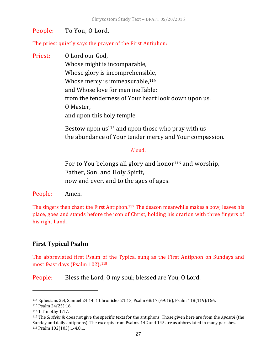### People: To You, O Lord.

The priest quietly says the prayer of the First Antiphon:

Priest: 0 Lord our God, Whose might is incomparable, Whose glory is incomprehensible, Whose mercy is immeasurable, 114 and Whose love for man ineffable: from the tenderness of Your heart look down upon us, O Master, and upon this holy temple.

> Bestow upon  $us^{115}$  and upon those who pray with us the abundance of Your tender mercy and Your compassion.

#### Aloud:

For to You belongs all glory and honor<sup>116</sup> and worship, Father, Son, and Holy Spirit, now and ever, and to the ages of ages.

People: Amen.

The singers then chant the First Antiphon.<sup>117</sup> The deacon meanwhile makes a bow; leaves his place, goes and stands before the icon of Christ, holding his orarion with three fingers of his right hand.

# **First Typical Psalm**

<u> 1989 - Johann Stein, fransk politiker (d. 1989)</u>

The abbreviated first Psalm of the Typica, sung as the First Antiphon on Sundays and most feast days (Psalm 102):<sup>118</sup>

People: Bless the Lord, O my soul; blessed are You, O Lord.

<sup>114</sup> Ephesians 2:4, Samuel 24:14, 1 Chronicles 21:13, Psalm 68:17 (69:16), Psalm 118(119):156.

<sup>115</sup> Psalm 24(25):16.

<sup>&</sup>lt;sup>116</sup> 1 Timothy 1:17.

<sup>&</sup>lt;sup>117</sup> The *Služebnik* does not give the specific texts for the antiphons. Those given here are from the *Apostol* (the Sunday and daily antiphons). The excerpts from Psalms 142 and 145 are as abbreviated in many parishes. 118 Psalm 102(103):1-4,8,1.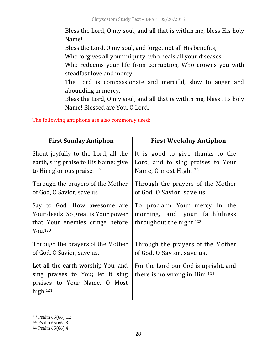Bless the Lord, O my soul; and all that is within me, bless His holy Name! 

Bless the Lord, O my soul, and forget not all His benefits,

Who forgives all your iniquity, who heals all your diseases,

Who redeems your life from corruption, Who crowns you with steadfast love and mercy.

The Lord is compassionate and merciful, slow to anger and abounding in mercy.

Bless the Lord,  $0$  my soul; and all that is within me, bless His holy Name! Blessed are You, O Lord.

The following antiphons are also commonly used:

| <b>First Sunday Antiphon</b>                                                                                          | <b>First Weekday Antiphon</b>                                                                           |
|-----------------------------------------------------------------------------------------------------------------------|---------------------------------------------------------------------------------------------------------|
| Shout joyfully to the Lord, all the                                                                                   | It is good to give thanks to the                                                                        |
| earth, sing praise to His Name; give                                                                                  | Lord; and to sing praises to Your                                                                       |
| to Him glorious praise. <sup>119</sup>                                                                                | Name, O most High. <sup>122</sup>                                                                       |
| Through the prayers of the Mother                                                                                     | Through the prayers of the Mother                                                                       |
| of God, O Savior, save us.                                                                                            | of God, O Savior, save us.                                                                              |
| Say to God: How awesome are<br>Your deeds! So great is Your power<br>that Your enemies cringe before<br>You.120       | To proclaim Your mercy in the<br>morning, and your faithfulness<br>throughout the night. <sup>123</sup> |
| Through the prayers of the Mother                                                                                     | Through the prayers of the Mother                                                                       |
| of God, O Savior, save us.                                                                                            | of God, O Savior, save us.                                                                              |
| Let all the earth worship You, and<br>sing praises to You; let it sing<br>praises to Your Name, O Most<br>high. $121$ | For the Lord our God is upright, and<br>there is no wrong in Him. <sup>124</sup>                        |

 $\mathbf{L}$ 

 $119$  Psalm 65(66):1,2.

<sup>120</sup> Psalm 65(66):3. 

<sup>121</sup> Psalm 65(66):4.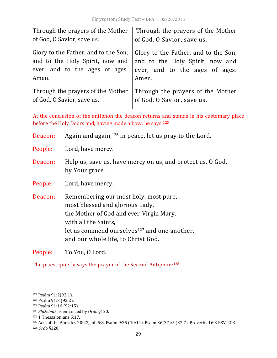| Through the prayers of the Mother    | Through the prayers of the Mother    |
|--------------------------------------|--------------------------------------|
| of God, O Savior, save us.           | of God, O Savior, save us.           |
| Glory to the Father, and to the Son, | Glory to the Father, and to the Son, |
| and to the Holy Spirit, now and      | and to the Holy Spirit, now and      |
| ever, and to the ages of ages.       | ever, and to the ages of ages.       |
| Amen.                                | Amen.                                |
| Through the prayers of the Mother    | Through the prayers of the Mother    |
| of God, O Savior, save us.           | of God, O Savior, save us.           |

At the conclusion of the antiphon the deacon returns and stands in his customary place before the Holy Doors and, having made a bow, he says:<sup>125</sup>

| Deacon: | Again and again, <sup>126</sup> in peace, let us pray to the Lord.                                                                                                                                                                            |
|---------|-----------------------------------------------------------------------------------------------------------------------------------------------------------------------------------------------------------------------------------------------|
| People: | Lord, have mercy.                                                                                                                                                                                                                             |
| Deacon: | Help us, save us, have mercy on us, and protect us, O God,<br>by Your grace.                                                                                                                                                                  |
| People: | Lord, have mercy.                                                                                                                                                                                                                             |
| Deacon: | Remembering our most holy, most pure,<br>most blessed and glorious Lady,<br>the Mother of God and ever-Virgin Mary,<br>with all the Saints,<br>let us commend ourselves <sup>127</sup> and one another,<br>and our whole life, to Christ God. |
| People: | To You, O Lord.                                                                                                                                                                                                                               |

The priest quietly says the prayer of the Second Antiphon:<sup>128</sup>

<u> 1989 - Andrea Santa Andrea Andrea Andrea Andrea Andrea Andrea Andrea Andrea Andrea Andrea Andrea Andrea Andr</u>

<sup>122</sup> Psalm 91:2(92:1).

<sup>123</sup> Psalm 91:3 (92:2).

<sup>124</sup> Psalm 91:16 (92:15).

<sup>&</sup>lt;sup>125</sup> *Služebnik* as enhanced by *Ordo* §120.

<sup>&</sup>lt;sup>126</sup> 1 Thessalonians 5:17.

<sup>127</sup> Acts of the Apostles 20:23, Job 5:8, Psalm 9:35 (10:14), Psalm 36(37):5 (37:7), Proverbs 16:3 RSV-2CE.

<sup>128</sup> *Ordo* §120.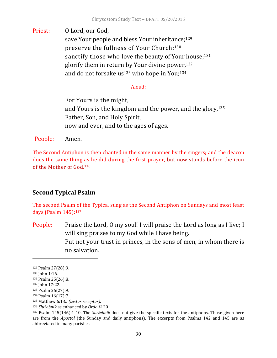Priest: 0 Lord, our God, save Your people and bless Your inheritance;<sup>129</sup> preserve the fullness of Your Church;<sup>130</sup> sanctify those who love the beauty of Your house;<sup>131</sup> glorify them in return by Your divine power,  $132$ and do not forsake  $us^{133}$  who hope in You;<sup>134</sup>

#### Aloud:

For Yours is the might, and Yours is the kingdom and the power, and the glory, $135$ Father, Son, and Holy Spirit, now and ever, and to the ages of ages.

People: Amen.

The Second Antiphon is then chanted in the same manner by the singers; and the deacon does the same thing as he did during the first prayer, but now stands before the icon of the Mother of God.<sup>136</sup>

# **Second Typical Psalm**

The second Psalm of the Typica, sung as the Second Antiphon on Sundays and most feast days (Psalm 145):137

People: Praise the Lord,  $0$  my soul! I will praise the Lord as long as I live; I will sing praises to my God while I have being. Put not your trust in princes, in the sons of men, in whom there is no salvation. 

<sup>129</sup> Psalm 27(28):9. 

<sup>130</sup> John 1:16.

<sup>131</sup> Psalm 25(26):8.

<sup>132</sup> John 17:22.

<sup>133</sup> Psalm 26(27):9. 

<sup>134</sup> Psalm 16(17):7. 

<sup>135</sup> Matthew 6:13a *(textus receptus).*

<sup>136</sup> *Služebnik* as enhanced by *Ordo* §120. 

<sup>137</sup> Psalm 145(146):1-10. The *Služebnik* does not give the specific texts for the antiphons. Those given here are from the *Apostol* (the Sunday and daily antiphons). The excerpts from Psalms 142 and 145 are as abbreviated in many parishes.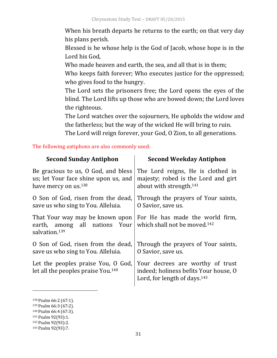When his breath departs he returns to the earth; on that very day his plans perish.

Blessed is he whose help is the God of Jacob, whose hope is in the Lord his God,

Who made heaven and earth, the sea, and all that is in them;

Who keeps faith forever; Who executes justice for the oppressed; who gives food to the hungry.

The Lord sets the prisoners free; the Lord opens the eyes of the blind. The Lord lifts up those who are bowed down; the Lord loves the righteous.

The Lord watches over the sojourners, He upholds the widow and the fatherless; but the way of the wicked He will bring to ruin. The Lord will reign forever, your God, O Zion, to all generations.

The following antiphons are also commonly used:

| <b>Second Sunday Antiphon</b>                                                                 | <b>Second Weekday Antiphon</b>                                                                                        |
|-----------------------------------------------------------------------------------------------|-----------------------------------------------------------------------------------------------------------------------|
| Be gracious to us, O God, and bless                                                           | The Lord reigns, He is clothed in                                                                                     |
| us; let Your face shine upon us, and                                                          | majesty; robed is the Lord and girt                                                                                   |
| have mercy on us. <sup>138</sup>                                                              | about with strength. <sup>141</sup>                                                                                   |
| O Son of God, risen from the dead,                                                            | Through the prayers of Your saints,                                                                                   |
| save us who sing to You. Alleluia.                                                            | O Savior, save us.                                                                                                    |
| That Your way may be known upon<br>earth, among all nations Your<br>salvation. <sup>139</sup> | For He has made the world firm,<br>which shall not be moved. <sup>142</sup>                                           |
| O Son of God, risen from the dead,                                                            | Through the prayers of Your saints,                                                                                   |
| save us who sing to You. Alleluia.                                                            | O Savior, save us.                                                                                                    |
| Let the peoples praise You, $\theta$ God,<br>let all the peoples praise You. <sup>140</sup>   | Your decrees are worthy of trust<br>indeed; holiness befits Your house, O<br>Lord, for length of days. <sup>143</sup> |

<sup>138</sup> Psalm 66:2 (67:1). 

<sup>139</sup> Psalm 66:3 (67:2).

<sup>140</sup> Psalm 66:4 (67:3). 

<sup>141</sup> Psalm 92(93):1.

<sup>142</sup> Psalm 92(93):2.

<sup>143</sup> Psalm 92(93):7.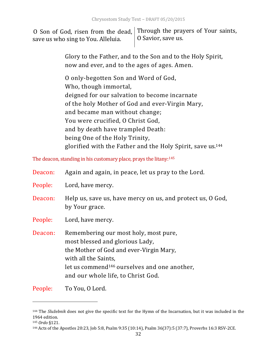O Son of God, risen from the dead, save us who sing to You. Alleluia. Through the prayers of Your saints, O Savior, save us.

> Glory to the Father, and to the Son and to the Holy Spirit, now and ever, and to the ages of ages. Amen.

> O only-begotten Son and Word of God, Who, though immortal, deigned for our salvation to become incarnate of the holy Mother of God and ever-Virgin Mary, and became man without change; You were crucified, O Christ God, and by death have trampled Death: being One of the Holy Trinity, glorified with the Father and the Holy Spirit, save us.<sup>144</sup>

The deacon, standing in his customary place, prays the litany: $145$ 

| Deacon: | Again and again, in peace, let us pray to the Lord.                                                                                                                                                                                           |
|---------|-----------------------------------------------------------------------------------------------------------------------------------------------------------------------------------------------------------------------------------------------|
| People: | Lord, have mercy.                                                                                                                                                                                                                             |
| Deacon: | Help us, save us, have mercy on us, and protect us, O God,<br>by Your grace.                                                                                                                                                                  |
| People: | Lord, have mercy.                                                                                                                                                                                                                             |
| Deacon: | Remembering our most holy, most pure,<br>most blessed and glorious Lady,<br>the Mother of God and ever-Virgin Mary,<br>with all the Saints,<br>let us commend <sup>146</sup> ourselves and one another,<br>and our whole life, to Christ God. |

People: To You, O Lord.

<sup>&</sup>lt;sup>144</sup> The *Služebnik* does not give the specific text for the Hymn of the Incarnation, but it was included in the 1964 edition.

<sup>145</sup> *Ordo* §121. 

<sup>146</sup> Acts of the Apostles 20:23, Job 5:8, Psalm 9:35 (10:14), Psalm 36(37):5 (37:7), Proverbs 16:3 RSV-2CE.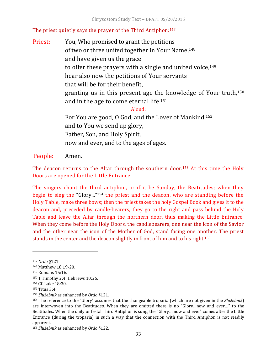The priest quietly says the prayer of the Third Antiphon: $147$ 

Priest: You, Who promised to grant the petitions of two or three united together in Your Name.<sup>148</sup> and have given us the grace to offer these prayers with a single and united voice,  $149$ hear also now the petitions of Your servants that will be for their benefit, granting us in this present age the knowledge of Your truth, $150$ and in the age to come eternal life.<sup>151</sup> Aloud: For You are good, O God, and the Lover of Mankind,<sup>152</sup>

and to You we send up glory, Father, Son, and Holy Spirit, now and ever, and to the ages of ages.

People: Amen.

The deacon returns to the Altar through the southern door.<sup>153</sup> At this time the Holy Doors are opened for the Little Entrance.

The singers chant the third antiphon, or if it be Sunday, the Beatitudes; when they begin to sing the "Glory..."<sup>154</sup> the priest and the deacon, who are standing before the Holy Table, make three bows; then the priest takes the holy Gospel Book and gives it to the deacon and, preceded by candle-bearers, they go to the right and pass behind the Holy Table and leave the Altar through the northern door, thus making the Little Entrance. When they come before the Holy Doors, the candlebearers, one near the icon of the Savior and the other near the icon of the Mother of God, stand facing one another. The priest stands in the center and the deacon slightly in front of him and to his right.<sup>155</sup>

<sup>147</sup> *Ordo* §121. 

<sup>148</sup> Matthew 18:19-20.

<sup>149</sup> Romans 15:16.

<sup>150 1</sup> Timothy 2:4; Hebrews 10:26.

<sup>&</sup>lt;sup>151</sup> Cf. Luke 18:30.

<sup>&</sup>lt;sup>152</sup> Titus 3:4.

<sup>153</sup> *Služebnik* as enhanced by *Ordo* §121. 

 $154$  The reference to the "Glory" assumes that the changeable troparia (which are not given in the *Služebnik*) are interwoven into the Beatitudes. When they are omitted there is no "Glory...now and ever..." to the Beatitudes. When the daily or festal Third Antiphon is sung, the "Glory... now and ever" comes after the Little Entrance (during the troparia) in such a way that the connection with the Third Antiphon is not readily apparent. 

<sup>&</sup>lt;sup>155</sup> *Služebnik* as enhanced by *Ordo* §122.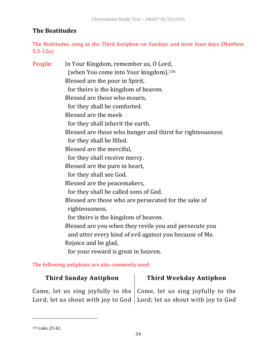# **The Beatitudes**

The Beatitudes, sung as the Third Antiphon on Sundays and most feast days (Matthew 5:3‐12a): 

People: In Your Kingdom, remember us, O Lord, (when You come into Your kingdom).<sup>156</sup> Blessed are the poor in Spirit, for theirs is the kingdom of heaven. Blessed are those who mourn, for they shall be comforted. Blessed are the meek for they shall inherit the earth. Blessed are those who hunger and thirst for righteousness for they shall be filled. Blessed are the merciful, for they shall receive mercy. Blessed are the pure in heart, for they shall see God. Blessed are the peacemakers, for they shall be called sons of God. Blessed are those who are persecuted for the sake of righteousness, for theirs is the kingdom of heaven. Blessed are you when they revile you and persecute you and utter every kind of evil against you because of Me. Rejoice and be glad, for your reward is great in heaven.

#### The following antiphons are also commonly used:

# **Third Sunday Antiphon**

# **Third Weekday Antiphon**

Come, let us sing joyfully to the Lord; let us shout with joy to God

Come, let us sing joyfully to the Lord; let us shout with joy to God

<sup>&</sup>lt;sup>156</sup> Luke 23:42.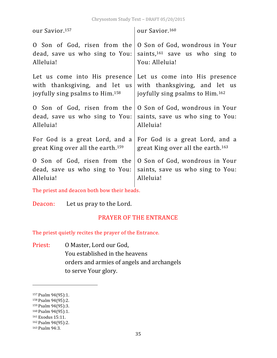| our Savior. <sup>157</sup>                    | our Savior. <sup>160</sup>                    |
|-----------------------------------------------|-----------------------------------------------|
| O Son of God, risen from the                  | O Son of God, wondrous in Your                |
| dead, save us who sing to You:                | saints, $161$ save us who sing to             |
| Alleluia!                                     | You: Alleluia!                                |
| Let us come into His presence                 | Let us come into His presence                 |
| with thanksgiving, and let us                 | with thanksgiving, and let us                 |
| joyfully sing psalms to Him. <sup>158</sup>   | joyfully sing psalms to Him. <sup>162</sup>   |
| O Son of God, risen from the                  | O Son of God, wondrous in Your                |
| dead, save us who sing to You:                | saints, save us who sing to You:              |
| Alleluia!                                     | Alleluia!                                     |
| For God is a great Lord, and a                | For God is a great Lord, and a                |
| great King over all the earth. <sup>159</sup> | great King over all the earth. <sup>163</sup> |
| O Son of God, risen from the                  | O Son of God, wondrous in Your                |
| dead, save us who sing to You:                | saints, save us who sing to You:              |
| Alleluia!                                     | Alleluia!                                     |
| The priest and deacon both bow their heads.   |                                               |

Deacon: Let us pray to the Lord.

# PRAYER OF THE ENTRANCE

The priest quietly recites the prayer of the Entrance.

Priest: 0 Master, Lord our God, You established in the heavens orders and armies of angels and archangels to serve Your glory.

<sup>157</sup> Psalm 94(95):1.

<sup>158</sup> Psalm 94(95):2.

<sup>159</sup> Psalm 94(95):3.

<sup>160</sup> Psalm 94(95):1.

<sup>&</sup>lt;sup>161</sup> Exodus 15:11.

<sup>162</sup> Psalm 94(95):2.

<sup>163</sup> Psalm 94:3.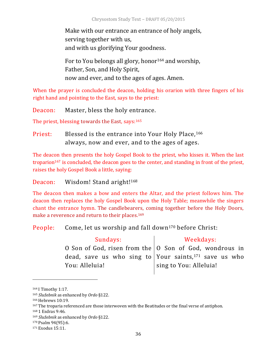Make with our entrance an entrance of holy angels, serving together with us, and with us glorifying Your goodness.

For to You belongs all glory, honor<sup>164</sup> and worship, Father, Son, and Holy Spirit, now and ever, and to the ages of ages. Amen.

When the prayer is concluded the deacon, holding his orarion with three fingers of his right hand and pointing to the East, says to the priest:

Deacon: Master, bless the holy entrance.

The priest, blessing towards the East, says: $165$ 

Priest: Blessed is the entrance into Your Holy Place,<sup>166</sup> always, now and ever, and to the ages of ages.

The deacon then presents the holy Gospel Book to the priest, who kisses it. When the last troparion<sup>167</sup> is concluded, the deacon goes to the center, and standing in front of the priest, raises the holy Gospel Book a little, saying:

#### Deacon: Wisdom! Stand aright!<sup>168</sup>

The deacon then makes a bow and enters the Altar, and the priest follows him. The deacon then replaces the holy Gospel Book upon the Holy Table; meanwhile the singers chant the entrance hymn. The candlebearers, coming together before the Holy Doors, make a reverence and return to their places.<sup>169</sup>

People: Come, let us worship and fall down<sup>170</sup> before Christ:

| Sundays:       | Weekdays:                                                         |
|----------------|-------------------------------------------------------------------|
|                | O Son of God, risen from the $\vert$ O Son of God, wondrous in    |
|                | dead, save us who sing to Your saints, <sup>171</sup> save us who |
| You: Alleluia! | sing to You: Alleluia!                                            |
|                |                                                                   |

<sup>&</sup>lt;sup>164</sup> I Timothy 1:17.

<sup>165</sup> *Služebnik* as enhanced by *Ordo* §122. 

<sup>166</sup> Hebrews 10:19.

<sup>&</sup>lt;sup>167</sup> The troparia referenced are those interwoven with the Beatitudes or the final verse of antiphon.

<sup>168 1</sup> Esdras 9:46.

<sup>169</sup> *Služebnik* as enhanced by *Ordo* §122. 

<sup>170</sup> Psalm 94(95):6. 

<sup>&</sup>lt;sup>171</sup> Exodus 15:11.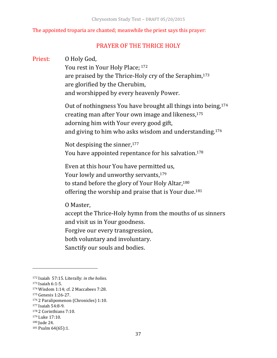The appointed troparia are chanted; meanwhile the priest says this prayer:

# PRAYER OF THE THRICE HOLY

Priest: 0 Holy God,

You rest in Your Holy Place; 172 are praised by the Thrice-Holy cry of the Seraphim, $173$ are glorified by the Cherubim, and worshipped by every heavenly Power.

Out of nothingness You have brought all things into being,  $174$ creating man after Your own image and likeness, $175$ adorning him with Your every good gift, and giving to him who asks wisdom and understanding.<sup>176</sup>

Not despising the sinner,  $177$ You have appointed repentance for his salvation.<sup>178</sup>

Even at this hour You have permitted us, Your lowly and unworthy servants,<sup>179</sup> to stand before the glory of Your Holy Altar,<sup>180</sup> offering the worship and praise that is Your due.<sup>181</sup>

O Master, 

accept the Thrice-Holy hymn from the mouths of us sinners and visit us in Your goodness.

Forgive our every transgression,

both voluntary and involuntary.

Sanctify our souls and bodies.

<sup>172</sup> Isaiah 57:15. Literally: *in the holies.*

<sup>173</sup> Isaiah 6:1-5.

<sup>174</sup> Wisdom 1:14; cf. 2 Maccabees 7:28.

<sup>175</sup> Genesis 1:26-27.

<sup>176 2</sup> Paralipomenon (Chronicles) 1:10.

<sup>177</sup> Isaiah 54:8-9.

<sup>&</sup>lt;sup>178</sup> 2 Corinthians 7:10.

<sup>&</sup>lt;sup>179</sup> Luke 17:10.

<sup>&</sup>lt;sup>180</sup> Jude 24.

<sup>181</sup> Psalm 64(65):1.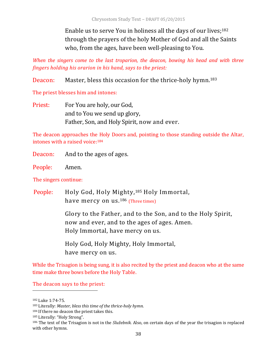Enable us to serve You in holiness all the days of our lives;<sup>182</sup> through the prayers of the holy Mother of God and all the Saints who, from the ages, have been well-pleasing to You.

*When the singers come to the last troparion, the deacon, bowing his head and with three fingers holding his orarion in his hand, says to the priest:*

Deacon: Master, bless this occasion for the thrice-holy hymn.<sup>183</sup>

The priest blesses him and intones:

Priest: For You are holy, our God, and to You we send up glory, Father, Son, and Holy Spirit, now and ever.

The deacon approaches the Holy Doors and, pointing to those standing outside the Altar, intones with a raised voice:<sup>184</sup>

Deacon: And to the ages of ages.

People: Amen.

The singers continue:

People: Holy God, Holy Mighty,<sup>185</sup> Holy Immortal, have mercy on us.<sup>186</sup> (Three times)

> Glory to the Father, and to the Son, and to the Holy Spirit, now and ever, and to the ages of ages. Amen. Holy Immortal, have mercy on us.

Holy God, Holy Mighty, Holy Immortal, have mercy on us.

While the Trisagion is being sung, it is also recited by the priest and deacon who at the same time make three bows before the Holy Table.

The deacon says to the priest:

<sup>182</sup> Luke 1:74-75.

<sup>183</sup> Literally: *Master, bless this time of the thrice‐holy hymn.*

 $184$  If there no deacon the priest takes this.

<sup>185</sup> Literally: "Holy Strong".

<sup>&</sup>lt;sup>186</sup> The text of the Trisagion is not in the *Služebnik*. Also, on certain days of the year the trisagion is replaced with other hymns.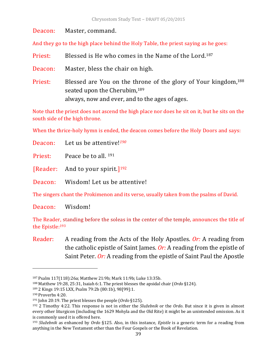Deacon: Master, command.

And they go to the high place behind the Holy Table, the priest saying as he goes:

Priest: Blessed is He who comes in the Name of the Lord.<sup>187</sup>

Deacon: Master, bless the chair on high.

Priest: Blessed are You on the throne of the glory of Your kingdom,<sup>188</sup> seated upon the Cherubim,<sup>189</sup> always, now and ever, and to the ages of ages.

Note that the priest does not ascend the high place nor does he sit on it, but he sits on the south side of the high throne.

When the thrice-holy hymn is ended, the deacon comes before the Holy Doors and says:

| Deacon: Let us be attentive! <sup>190</sup> |
|---------------------------------------------|
| Priest: Peace be to all. 191                |
| [Reader: And to your spirit.] $192$         |
| Deacon: Wisdom! Let us be attentive!        |

The singers chant the Prokimenon and its verse, usually taken from the psalms of David.

Deacon: Wisdom!

<u> 1989 - Johann Stein, fransk politik (d. 1989)</u>

The Reader, standing before the soleas in the center of the temple, announces the title of the Epistle:<sup>193</sup>

Reader: A reading from the Acts of the Holy Apostles. *Or:* A reading from the catholic epistle of Saint James. *Or:* A reading from the epistle of Saint Peter. *Or:* A reading from the epistle of Saint Paul the Apostle

<sup>187</sup> Psalm 117(118):26a; Matthew 21:9b; Mark 11:9b; Luke 13:35b.

 $188$  Matthew 19:28, 25:31, Isaiah 6:1. The priest blesses the apsidal chair (Ordo §124).

<sup>189 2</sup> Kings 19:15 LXX, Psalm 79:2b (80:1b), 98[99]:1.

<sup>190</sup> Proverbs 4:20. 

<sup>&</sup>lt;sup>191</sup> John 20:19. The priest blesses the people  $(Ordo §125)$ .

<sup>192 2</sup> Timothy 4:22. This response is not in either the *Služebnik* or the *Ordo*. But since it is given in almost every other liturgicon (including the 1629 Mohyla and the Old Rite) it might be an unintended omission. As it is commonly used it is offered here.

<sup>&</sup>lt;sup>193</sup> *Služebnik* as enhanced by *Ordo* §125. Also, in this instance, *Epistle* is a generic term for a reading from anything in the New Testament other than the Four Gospels or the Book of Revelation.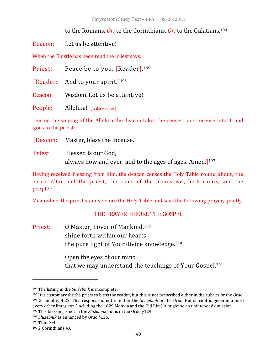# to the Romans, *Or:* to the Corinthians, *Or:* to the Galatians.<sup>194</sup>

Deacon: Let us be attentive!

When the Epistle has been read the priest says:

Priest: Peace be to you, [Reader].<sup>195</sup>

[Reader: And to your spirit.] $196$ 

Deacon: Wisdom! Let us be attentive!

People: Alleluia! (with verses)

During the singing of the Alleluia the deacon takes the censer, puts incense into it, and goes to the priest:

[Deacon: Master, bless the incense.

Priest: Blessed is our God. always now and ever, and to the ages of ages. Amen.<sup>[197]</sup>

Having received blessing from him, the deacon censes the Holy Table round about, the entire Altar and the priest, the icons of the iconostasis, both choirs, and the people.198

Meanwhile, the priest stands before the Holy Table and says the following prayer, quietly.

# THE PRAYER BEFORE THE GOSPEL

Priest: 0 Master, Lover of Mankind.<sup>199</sup> shine forth within our hearts the pure light of Your divine knowledge.<sup>200</sup>

> Open the eyes of our mind that we may understand the teachings of Your Gospel.<sup>201</sup>

<sup>&</sup>lt;sup>194</sup> The listing in the *Služebnik* is incomplete.

<sup>&</sup>lt;sup>195</sup> It is customary for the priest to bless the reader, but this is not prescribed either in the rubrics or the  $Ordo$ . <sup>196</sup> 2 Timothy 4:22. This response is not in either the *Služebnik* or the *Ordo*. But since it is given in almost every other liturgicon (including the 1629 Mohyla and the Old Rite) it might be an unintended omission.

<sup>&</sup>lt;sup>197</sup> This blessing is not in the *Služebnik* but is in the Ordo §129.

<sup>198</sup> *Služebnik* as enhanced by *Ordo* §126. 

 $199$  Titus  $3.4$ .

<sup>&</sup>lt;sup>200</sup> 2 Corinthians 4:6.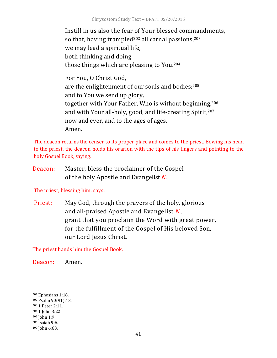Instill in us also the fear of Your blessed commandments, so that, having trampled<sup>202</sup> all carnal passions,<sup>203</sup> we may lead a spiritual life, both thinking and doing those things which are pleasing to You.<sup>204</sup> For You, O Christ God, are the enlightenment of our souls and bodies; $205$ and to You we send up glory, together with Your Father, Who is without beginning,<sup>206</sup> and with Your all-holy, good, and life-creating Spirit,<sup>207</sup> now and ever, and to the ages of ages. Amen. 

The deacon returns the censer to its proper place and comes to the priest. Bowing his head to the priest, the deacon holds his orarion with the tips of his fingers and pointing to the holy Gospel Book, saying:

Deacon: Master, bless the proclaimer of the Gospel of the holy Apostle and Evangelist *N*.

The priest, blessing him, says:

Priest: May God, through the prayers of the holy, glorious and all-praised Apostle and Evangelist *N.*, grant that you proclaim the Word with great power, for the fulfillment of the Gospel of His beloved Son, our Lord Jesus Christ.

The priest hands him the Gospel Book.

Deacon: Amen.

<u> 1989 - Andrea Santa Andrea Andrea Andrea Andrea Andrea Andrea Andrea Andrea Andrea Andrea Andrea Andrea Andr</u>

 $201$  Ephesians 1:18.

<sup>202</sup> Psalm 90(91):13. 

<sup>203 1</sup> Peter 2:11.

<sup>&</sup>lt;sup>204</sup> 1 John 3:22.

 $205$  John 1:9.

 $206$  Isaiah 9:6.

<sup>&</sup>lt;sup>207</sup> John 6:63.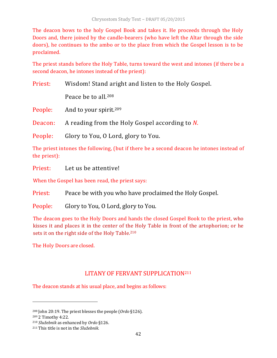The deacon bows to the holy Gospel Book and takes it. He proceeds through the Holy Doors and, there joined by the candle-bearers (who have left the Altar through the side doors), he continues to the ambo or to the place from which the Gospel lesson is to be proclaimed. 

The priest stands before the Holy Table, turns toward the west and intones (if there be a second deacon, he intones instead of the priest):

| Priest: | Wisdom! Stand aright and listen to the Holy Gospel. |
|---------|-----------------------------------------------------|
|         | Peace be to all. <sup>208</sup>                     |
| People: | And to your spirit. <sup>209</sup>                  |
| Deacon: | A reading from the Holy Gospel according to N.      |
| People: | Glory to You, O Lord, glory to You.                 |
|         |                                                     |

The priest intones the following, (but if there be a second deacon he intones instead of the priest):

Priest: Let us be attentive!

When the Gospel has been read, the priest says:

Priest: Peace be with you who have proclaimed the Holy Gospel.

People: Glory to You, O Lord, glory to You.

The deacon goes to the Holy Doors and hands the closed Gospel Book to the priest, who kisses it and places it in the center of the Holy Table in front of the artophorion; or he sets it on the right side of the Holy Table.<sup>210</sup>

The Holy Doors are closed.

# LITANY OF FERVANT SUPPLICATION<sup>211</sup>

The deacon stands at his usual place, and begins as follows:

<sup>&</sup>lt;sup>208</sup> John 20:19. The priest blesses the people (*Ordo* §126).

<sup>&</sup>lt;sup>209</sup> 2 Timothy 4:22.

<sup>210</sup> *Služebnik* as enhanced by *Ordo* §126. 

<sup>&</sup>lt;sup>211</sup> This title is not in the *Služebnik*.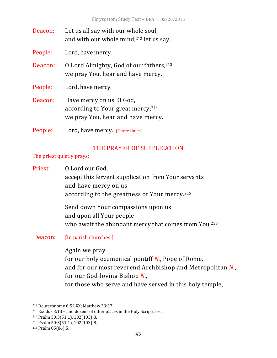| Deacon: | Let us all say with our whole soul,<br>and with our whole mind, <sup>212</sup> let us say.                     |
|---------|----------------------------------------------------------------------------------------------------------------|
| People: | Lord, have mercy.                                                                                              |
| Deacon: | O Lord Almighty, God of our fathers, 213<br>we pray You, hear and have mercy.                                  |
| People: | Lord, have mercy.                                                                                              |
| Deacon: | Have mercy on us, O God,<br>according to Your great mercy; <sup>214</sup><br>we pray You, hear and have mercy. |
| People: | Lord, have mercy. (Three times)                                                                                |

### THE PRAYER OF SUPPLICATION

The priest quietly prays:

Priest: 0 Lord our God, accept this fervent supplication from Your servants and have mercy on us according to the greatness of Your mercy.<sup>215</sup> Send down Your compassions upon us and upon all Your people who await the abundant mercy that comes from You.<sup>216</sup> Deacon: [In parish churches:] Again we pray

for our holy ecumenical pontiff *N.*, Pope of Rome, and for our most reverend Archbishop and Metropolitan *N.*, for our God-loving Bishop *N.*, for those who serve and have served in this holy temple,

<sup>&</sup>lt;sup>212</sup> Deuteronomy 6:5 LXX; Matthew 23:37.

 $213$  Exodus  $3:13$  – and dozens of other places in the Holy Scriptures.

 $214$  Psalm 50:3(51:1), 102(103):8.

<sup>215</sup> Psalm 50:3(51:1), 102(103):8.

<sup>&</sup>lt;sup>216</sup> Psalm 85(86):5.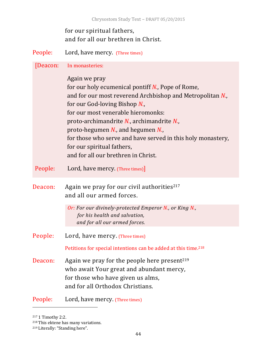for our spiritual fathers, and for all our brethren in Christ.

People: Lord, have mercy. (Three times)

#### [Deacon: In monasteries:

| Again we pray                                               |
|-------------------------------------------------------------|
| for our holy ecumenical pontiff N., Pope of Rome,           |
| and for our most reverend Archbishop and Metropolitan N.    |
| for our God-loving Bishop N.,                               |
| for our most venerable hieromonks:                          |
| proto-archimandrite N., archimandrite N.,                   |
| proto-hegumen $N$ ., and hegumen $N$ .,                     |
| for those who serve and have served in this holy monastery, |
| for our spiritual fathers,                                  |
| and for all our brethren in Christ.                         |
|                                                             |

People: Lord, have mercy. (Three times)]

Deacon: Again we pray for our civil authorities<sup>217</sup> and all our armed forces.

> *Or: For our divinely‐protected Emperor N., or King N., for his health and salvation, and for all our armed forces.*

People: Lord, have mercy. (Three times)

Petitions for special intentions can be added at this time.<sup>218</sup>

Deacon: Again we pray for the people here present<sup>219</sup> who await Your great and abundant mercy, for those who have given us alms, and for all Orthodox Christians.

# People: Lord, have mercy. (Three times)

<sup>&</sup>lt;sup>217</sup> 1 Timothy 2:2.

<sup>&</sup>lt;sup>218</sup> This ektene has many variations.

<sup>&</sup>lt;sup>219</sup> Literally: "Standing here".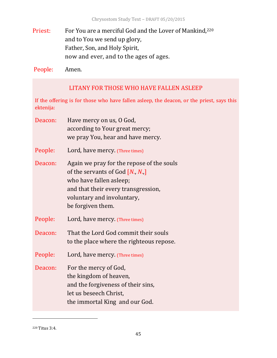Priest: For You are a merciful God and the Lover of Mankind,<sup>220</sup> and to You we send up glory, Father, Son, and Holy Spirit, now and ever, and to the ages of ages.

People: Amen.

#### LITANY FOR THOSE WHO HAVE FALLEN ASLEEP

If the offering is for those who have fallen asleep, the deacon, or the priest, says this ektenija: 

| Deacon: | Have mercy on us, O God,<br>according to Your great mercy;<br>we pray You, hear and have mercy.                                                                                                    |
|---------|----------------------------------------------------------------------------------------------------------------------------------------------------------------------------------------------------|
| People: | Lord, have mercy. (Three times)                                                                                                                                                                    |
| Deacon: | Again we pray for the repose of the souls<br>of the servants of God [N., N.,]<br>who have fallen asleep;<br>and that their every transgression,<br>voluntary and involuntary,<br>be forgiven them. |
| People: | Lord, have mercy. (Three times)                                                                                                                                                                    |
| Deacon: | That the Lord God commit their souls<br>to the place where the righteous repose.                                                                                                                   |
| People: | Lord, have mercy. (Three times)                                                                                                                                                                    |
| Deacon: | For the mercy of God,                                                                                                                                                                              |

<sup>&</sup>lt;sup>220</sup> Titus 3:4.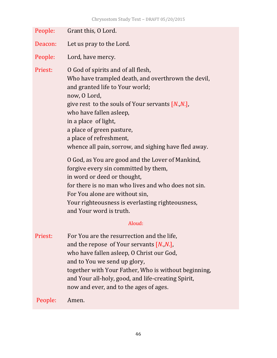| People: | Grant this, O Lord.                                                                                                                                                                                                                                                                                                                                                 |
|---------|---------------------------------------------------------------------------------------------------------------------------------------------------------------------------------------------------------------------------------------------------------------------------------------------------------------------------------------------------------------------|
| Deacon: | Let us pray to the Lord.                                                                                                                                                                                                                                                                                                                                            |
| People: | Lord, have mercy.                                                                                                                                                                                                                                                                                                                                                   |
| Priest: | O God of spirits and of all flesh,<br>Who have trampled death, and overthrown the devil,<br>and granted life to Your world;<br>now, O Lord,<br>give rest to the souls of Your servants $[N,N]$ ,<br>who have fallen asleep,<br>in a place of light,<br>a place of green pasture,<br>a place of refreshment,<br>whence all pain, sorrow, and sighing have fled away. |
|         | O God, as You are good and the Lover of Mankind,<br>forgive every sin committed by them,<br>in word or deed or thought,<br>for there is no man who lives and who does not sin.<br>For You alone are without sin,<br>Your righteousness is everlasting righteousness,<br>and Your word is truth.                                                                     |
|         | Aloud:                                                                                                                                                                                                                                                                                                                                                              |
| Priest: | For You are the resurrection and the life,<br>and the repose of Your servants $[N.,N.]$ ,<br>who have fallen asleep, O Christ our God,<br>and to You we send up glory,<br>together with Your Father, Who is without beginning,<br>and Your all-holy, good, and life-creating Spirit,<br>now and ever, and to the ages of ages.                                      |
| People: | Amen.                                                                                                                                                                                                                                                                                                                                                               |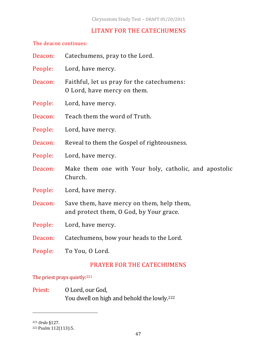# LITANY FOR THE CATECHUMENS

The deacon continues:

| Deacon: | Catechumens, pray to the Lord.                                                       |
|---------|--------------------------------------------------------------------------------------|
| People: | Lord, have mercy.                                                                    |
| Deacon: | Faithful, let us pray for the catechumens:<br>O Lord, have mercy on them.            |
| People: | Lord, have mercy.                                                                    |
| Deacon: | Teach them the word of Truth.                                                        |
| People: | Lord, have mercy.                                                                    |
| Deacon: | Reveal to them the Gospel of righteousness.                                          |
| People: | Lord, have mercy.                                                                    |
| Deacon: | Make them one with Your holy, catholic, and apostolic<br>Church.                     |
| People: | Lord, have mercy.                                                                    |
| Deacon: | Save them, have mercy on them, help them,<br>and protect them, O God, by Your grace. |
| People: | Lord, have mercy.                                                                    |
| Deacon: | Catechumens, bow your heads to the Lord.                                             |
| People: | To You, O Lord.                                                                      |

# PRAYER FOR THE CATECHUMENS

The priest prays quietly:<sup>221</sup>

 

Priest: 0 Lord, our God, You dwell on high and behold the lowly.<sup>222</sup>

<sup>221</sup> *Ordo* §127. 

<sup>222</sup> Psalm 112(113):5.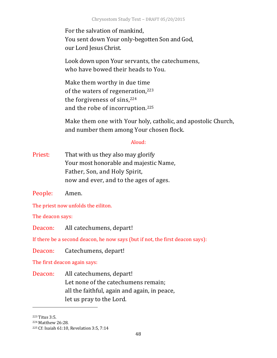For the salvation of mankind, You sent down Your only-begotten Son and God, our Lord Jesus Christ.

Look down upon Your servants, the catechumens, who have bowed their heads to You.

Make them worthy in due time of the waters of regeneration,<sup>223</sup> the forgiveness of sins, $224$ and the robe of incorruption.<sup>225</sup>

Make them one with Your holy, catholic, and apostolic Church, and number them among Your chosen flock.

### Aloud:

Priest: That with us they also may glorify Your most honorable and majestic Name, Father, Son, and Holy Spirit, now and ever, and to the ages of ages.

People: Amen.

The priest now unfolds the eiliton.

The deacon says:

Deacon: All catechumens, depart!

If there be a second deacon, he now says (but if not, the first deacon says):

Deacon: Catechumens, depart!

The first deacon again says:

 

Deacon: All catechumens, depart! Let none of the catechumens remain; all the faithful, again and again, in peace, let us pray to the Lord.

<sup>223</sup> Titus 3:5. 

<sup>224</sup> Matthew 26:28. 

<sup>&</sup>lt;sup>225</sup> Cf: Isaiah 61:10, Revelation 3:5, 7:14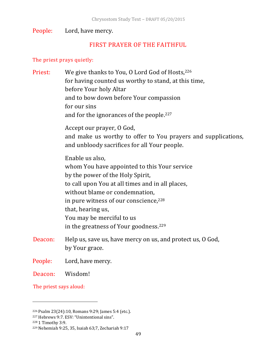#### People: Lord, have mercy.

# FIRST PRAYER OF THE FAITHFUL

#### The priest prays quietly:

Priest: We give thanks to You, O Lord God of Hosts, 226 for having counted us worthy to stand, at this time, before Your holy Altar and to bow down before Your compassion for our sins and for the ignorances of the people.<sup>227</sup> Accept our prayer, O God, and make us worthy to offer to You prayers and supplications, and unbloody sacrifices for all Your people. Enable us also, whom You have appointed to this Your service by the power of the Holy Spirit, to call upon You at all times and in all places, without blame or condemnation, in pure witness of our conscience, $228$ that, hearing us, You may be merciful to us in the greatness of Your goodness. $229$ Deacon: Help us, save us, have mercy on us, and protect us, O God, by Your grace. People: Lord, have mercy. Deacon: Wisdom!

The priest says aloud:

<sup>&</sup>lt;sup>226</sup> Psalm 23(24):10, Romans 9:29; James 5:4 (etc.).

<sup>&</sup>lt;sup>227</sup> Hebrews 9:7. ESV: "Unintentional sins".

<sup>&</sup>lt;sup>228</sup> 1 Timothy 3:9.

<sup>&</sup>lt;sup>229</sup> Nehemiah 9:25, 35, Isaiah 63;7, Zechariah 9:17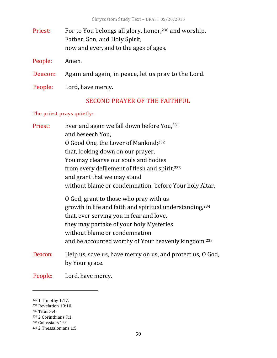- Priest: For to You belongs all glory, honor,<sup>230</sup> and worship, Father, Son, and Holy Spirit, now and ever, and to the ages of ages.
- People: Amen.
- Deacon: Again and again, in peace, let us pray to the Lord.
- People: Lord, have mercy.

### SECOND PRAYER OF THE FAITHFUL

The priest prays quietly:

| Priest: | Ever and again we fall down before You, <sup>231</sup><br>and beseech You,   |
|---------|------------------------------------------------------------------------------|
|         | O Good One, the Lover of Mankind; <sup>232</sup>                             |
|         | that, looking down on our prayer,                                            |
|         | You may cleanse our souls and bodies                                         |
|         | from every defilement of flesh and spirit, <sup>233</sup>                    |
|         | and grant that we may stand                                                  |
|         | without blame or condemnation before Your holy Altar.                        |
|         | O God, grant to those who pray with us                                       |
|         | growth in life and faith and spiritual understanding, <sup>234</sup>         |
|         | that, ever serving you in fear and love,                                     |
|         | they may partake of your holy Mysteries                                      |
|         | without blame or condemnation                                                |
|         | and be accounted worthy of Your heavenly kingdom. <sup>235</sup>             |
| Deacon: | Help us, save us, have mercy on us, and protect us, O God,<br>by Your grace. |
| People: | Lord, have mercy.                                                            |

<sup>&</sup>lt;sup>230</sup> 1 Timothy 1:17.

<sup>&</sup>lt;sup>231</sup> Revelation 19:10.

<sup>&</sup>lt;sup>232</sup> Titus 3:4.

<sup>&</sup>lt;sup>233</sup> 2 Corinthians 7:1.

<sup>&</sup>lt;sup>234</sup> Colossians 1:9

<sup>&</sup>lt;sup>235</sup> 2 Thessalonians 1:5.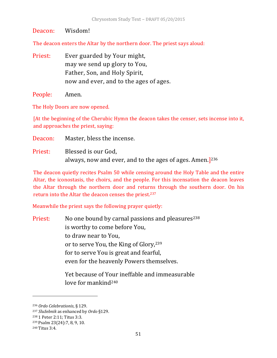Deacon: Wisdom!

The deacon enters the Altar by the northern door. The priest says aloud:

Priest: Ever guarded by Your might, may we send up glory to You, Father, Son, and Holy Spirit, now and ever, and to the ages of ages.

People: Amen.

The Holy Doors are now opened.

[At the beginning of the Cherubic Hymn the deacon takes the censer, sets incense into it, and approaches the priest, saying:

Deacon: Master, bless the incense. Priest: Blessed is our God, always, now and ever, and to the ages of ages. Amen.<sup>[236]</sup>

The deacon quietly recites Psalm 50 while censing around the Holy Table and the entire Altar, the iconostasis, the choirs, and the people. For this incensation the deacon leaves the Altar through the northern door and returns through the southern door. On his return into the Altar the deacon censes the priest.<sup>237</sup>

Meanwhile the priest says the following prayer quietly:

Priest: No one bound by carnal passions and pleasures<sup>238</sup> is worthy to come before You, to draw near to You, or to serve You, the King of Glory, $239$ for to serve You is great and fearful, even for the heavenly Powers themselves.

> Yet because of Your ineffable and immeasurable love for mankind<sup>240</sup>

<sup>236</sup> *Ordo Celebrationis*, § 129. 

<sup>&</sup>lt;sup>237</sup> *Služebnik* as enhanced by *Ordo* §129.

<sup>&</sup>lt;sup>238</sup> 1 Peter 2:11; Titus 3:3.

<sup>&</sup>lt;sup>239</sup> Psalm 23(24):7, 8, 9, 10.

<sup>&</sup>lt;sup>240</sup> Titus 3:4.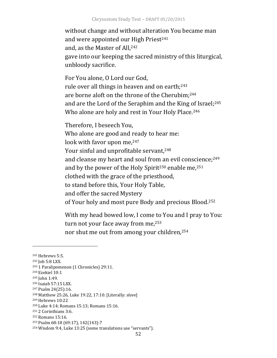without change and without alteration You became man and were appointed our High Priest<sup>241</sup> and, as the Master of All, 242 gave into our keeping the sacred ministry of this liturgical, unbloody sacrifice.

For You alone, O Lord our God, rule over all things in heaven and on earth; $243$ are borne aloft on the throne of the Cherubim;<sup>244</sup> and are the Lord of the Seraphim and the King of Israel; $245$ Who alone are holy and rest in Your Holy Place.<sup>246</sup>

Therefore, I beseech You, Who alone are good and ready to hear me: look with favor upon me, 247 Your sinful and unprofitable servant,<sup>248</sup> and cleanse my heart and soul from an evil conscience;<sup>249</sup> and by the power of the Holy Spirit<sup>250</sup> enable me,<sup>251</sup> clothed with the grace of the priesthood, to stand before this, Your Holy Table, and offer the sacred Mystery of Your holy and most pure Body and precious Blood.<sup>252</sup>

With my head bowed low, I come to You and I pray to You: turn not your face away from  $me<sub>1</sub>^{253}$ nor shut me out from among your children,<sup>254</sup>

 

<sup>244</sup> Ezekiel 10:1

- 252 Romans 15:16.
- <sup>253</sup> Psalm 68:18 (69:17), 142(143):7

<sup>&</sup>lt;sup>241</sup> Hebrews 5:5.

<sup>&</sup>lt;sup>242</sup> Job 5:8 LXX.

<sup>&</sup>lt;sup>243</sup> 1 Paralipomenon (1 Chronicles) 29:11.

<sup>&</sup>lt;sup>245</sup> John 1:49.

<sup>&</sup>lt;sup>246</sup> Isaiah 57:15 LXX.

<sup>247</sup> Psalm 24(25):16. 

<sup>248</sup> Matthew 25:26, Luke 19:22, 17:10. [Literally: *slave*] 

<sup>&</sup>lt;sup>249</sup> Hebrews 10:22

<sup>250</sup> Luke 4:14; Romans 15:13; Romans 15:16.

 $251$  2 Corinthians 3:6.

<sup>&</sup>lt;sup>254</sup> Wisdom 9:4, Luke 13:25 (some translations use "servants").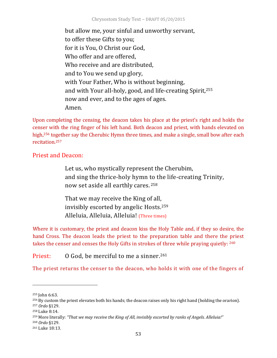but allow me, your sinful and unworthy servant, to offer these Gifts to you; for it is You, O Christ our God, Who offer and are offered, Who receive and are distributed, and to You we send up glory, with Your Father, Who is without beginning, and with Your all-holy, good, and life-creating Spirit,<sup>255</sup> now and ever, and to the ages of ages. Amen. 

Upon completing the censing, the deacon takes his place at the priest's right and holds the censer with the ring finger of his left hand. Both deacon and priest, with hands elevated on high,<sup>256</sup> together say the Cherubic Hymn three times, and make a single, small bow after each recitation.257

# Priest and Deacon:

Let us, who mystically represent the Cherubim, and sing the thrice-holy hymn to the life-creating Trinity, now set aside all earthly cares.<sup>258</sup>

That we may receive the King of all, invisibly escorted by angelic Hosts.<sup>259</sup> Alleluia, Alleluia, Alleluia! (Three times)

Where it is customary, the priest and deacon kiss the Holy Table and, if they so desire, the hand Cross. The deacon leads the priest to the preparation table and there the priest takes the censer and censes the Holy Gifts in strokes of three while praying quietly: <sup>260</sup>

Priest:  $\qquad 0$  God, be merciful to me a sinner.<sup>261</sup>

The priest returns the censer to the deacon, who holds it with one of the fingers of

<sup>&</sup>lt;sup>255</sup> John 6:63.

<sup>&</sup>lt;sup>256</sup> By custom the priest elevates both his hands; the deacon raises only his right hand (holding the orarion).

<sup>257</sup> *Ordo* §129. 

<sup>&</sup>lt;sup>258</sup> Luke 8:14.

<sup>259</sup> More literally: *"That we may receive the King of All, invisibly escorted by ranks of Angels. Alleluia!"*

<sup>260</sup> *Ordo* §129. 

<sup>&</sup>lt;sup>261</sup> Luke 18:13.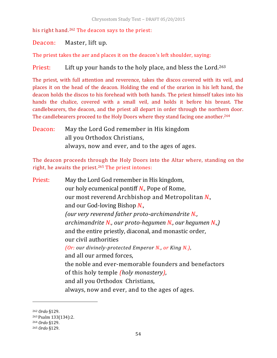his right hand.<sup>262</sup> The deacon says to the priest:

Deacon: Master, lift up.

The priest takes the aer and places it on the deacon's left shoulder, saying:

Priest: Lift up your hands to the holy place, and bless the Lord.<sup>263</sup>

The priest, with full attention and reverence, takes the discos covered with its veil, and places it on the head of the deacon. Holding the end of the orarion in his left hand, the deacon holds the discos to his forehead with both hands. The priest himself takes into his hands the chalice, covered with a small veil, and holds it before his breast. The candlebearers, the deacon, and the priest all depart in order through the northern door. The candlebearers proceed to the Holy Doors where they stand facing one another.<sup>264</sup>

Deacon: May the Lord God remember in His kingdom all you Orthodox Christians, always, now and ever, and to the ages of ages.

The deacon proceeds through the Holy Doors into the Altar where, standing on the right, he awaits the priest. $265$  The priest intones:

Priest: May the Lord God remember in His kingdom, our holy ecumenical pontiff *N.*, Pope of Rome, our most reverend Archbishop and Metropolitan *N.*, and our God-loving Bishop *N.*, *(our very reverend father proto‐archimandrite N., archimandrite N., our proto‐hegumen N., our hegumen N.,)* and the entire priestly, diaconal, and monastic order, our civil authorities *(Or: our divinely‐protected Emperor N., or King N.)*, and all our armed forces, the noble and ever-memorable founders and benefactors of this holy temple *(holy monastery)*, and all you Orthodox Christians, always, now and ever, and to the ages of ages.

<sup>262</sup> *Ordo* §129. 

<sup>263</sup> Psalm 133(134):2. 

<sup>264</sup> *Ordo* §129. 

<sup>265</sup> *Ordo* §129.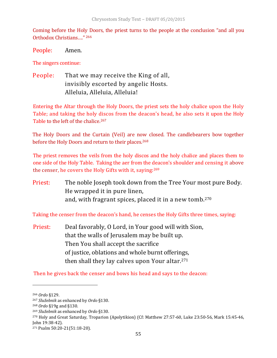Coming before the Holy Doors, the priest turns to the people at the conclusion "and all you Orthodox Christians…." 266

People: Amen.

The singers continue:

People: That we may receive the King of all, invisibly escorted by angelic Hosts. Alleluia, Alleluia, Alleluia!

Entering the Altar through the Holy Doors, the priest sets the holy chalice upon the Holy Table; and taking the holy discos from the deacon's head, he also sets it upon the Holy Table to the left of the chalice.<sup>267</sup>

The Holy Doors and the Curtain (Veil) are now closed. The candlebearers bow together before the Holy Doors and return to their places.<sup>268</sup>

The priest removes the veils from the holy discos and the holy chalice and places them to one side of the Holy Table. Taking the aer from the deacon's shoulder and censing it above the censer, he covers the Holy Gifts with it, saying:<sup>269</sup>

Priest: The noble Joseph took down from the Tree Your most pure Body. He wrapped it in pure linen, and, with fragrant spices, placed it in a new tomb.<sup>270</sup>

Taking the censer from the deacon's hand, he censes the Holy Gifts three times, saying:

Priest: Deal favorably, O Lord, in Your good will with Sion, that the walls of Jerusalem may be built up. Then You shall accept the sacrifice of justice, oblations and whole burnt offerings, then shall they lay calves upon Your altar.<sup>271</sup>

Then he gives back the censer and bows his head and says to the deacon:

<sup>266</sup> *Ordo* §129. 

<sup>&</sup>lt;sup>267</sup> *Služebnik* as enhanced by *Ordo* §130.

<sup>&</sup>lt;sup>268</sup> *Ordo* §19g and §130.

<sup>269</sup> *Služebnik* as enhanced by *Ordo* §130. 

<sup>&</sup>lt;sup>270</sup> Holy and Great Saturday, Troparion (Apolytikion) (Cf: Matthew 27:57-60, Luke 23:50-56, Mark 15:45-46, John 19:38‐42). 

<sup>&</sup>lt;sup>271</sup> Psalm 50:20-21(51:18-20).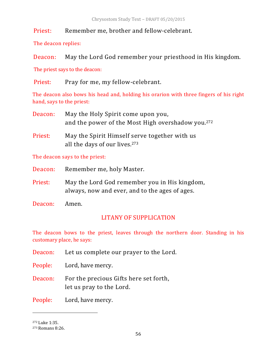# Priest: Remember me, brother and fellow-celebrant.

The deacon replies:

Deacon: May the Lord God remember your priesthood in His kingdom.

The priest says to the deacon:

Priest: Pray for me, my fellow-celebrant.

The deacon also bows his head and, holding his orarion with three fingers of his right hand, says to the priest:

| Deacon: | May the Holy Spirit come upon you,<br>and the power of the Most High overshadow you. <sup>272</sup> |
|---------|-----------------------------------------------------------------------------------------------------|
| Priest: | May the Spirit Himself serve together with us<br>all the days of our lives. <sup>273</sup>          |

The deacon says to the priest:

| Deacon: | Remember me, holy Master.                                                                       |
|---------|-------------------------------------------------------------------------------------------------|
| Priest: | May the Lord God remember you in His kingdom,<br>always, now and ever, and to the ages of ages. |

Deacon: Amen.

# LITANY OF SUPPLICATION

The deacon bows to the priest, leaves through the northern door. Standing in his customary place, he says:

Deacon: Let us complete our prayer to the Lord.

People: Lord, have mercy.

Deacon: For the precious Gifts here set forth, let us pray to the Lord.

People: Lord, have mercy.

<sup>272</sup> Luke 1:35. 

<sup>273</sup> Romans 8:26.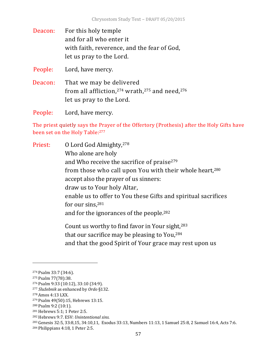| Deacon: | For this holy temple<br>and for all who enter it<br>with faith, reverence, and the fear of God,<br>let us pray to the Lord. |
|---------|-----------------------------------------------------------------------------------------------------------------------------|
| People: | Lord, have mercy.                                                                                                           |
| Deacon: | That we may be delivered<br>from all affliction, $274$ wrath, $275$ and need, $276$                                         |

let us pray to the Lord.

People: Lord, have mercy.

The priest quietly says the Prayer of the Offertory (Prothesis) after the Holy Gifts have been set on the Holy Table:<sup>277</sup>

Priest: 0 Lord God Almighty, 278 Who alone are holy and Who receive the sacrifice of praise<sup>279</sup> from those who call upon You with their whole heart,<sup>280</sup> accept also the prayer of us sinners: draw us to Your holy Altar, enable us to offer to You these Gifts and spiritual sacrifices for our sins, $281$ and for the ignorances of the people.<sup>282</sup> Count us worthy to find favor in Your sight, $283$ 

that our sacrifice may be pleasing to You, $284$ and that the good Spirit of Your grace may rest upon us

<sup>274</sup> Psalm 33:7 (34:6). 

<sup>275</sup> Psalm 77(78):38. 

<sup>276</sup> Psalm 9:33 (10:12), 33:10 (34:9).

<sup>&</sup>lt;sup>277</sup> *Služebnik* as enhanced by *Ordo* §132.

<sup>278</sup> Amos 4:13 LXX. 

<sup>279</sup> Psalm 49(50):15, Hebrews 13:15.

<sup>280</sup> Psalm 9:2 (10:1). 

<sup>&</sup>lt;sup>281</sup> Hebrews 5:1; 1 Peter 2:5.

<sup>282</sup> Hebrews 9:7. ESV: *Unintentional sins.*

<sup>&</sup>lt;sup>283</sup> Genesis 32:5, 33:8,15, 34:10,11, Exodus 33:13, Numbers 11:13, 1 Samuel 25:8, 2 Samuel 16:4, Acts 7:6.

 $284$  Philippians 4:18, 1 Peter 2:5.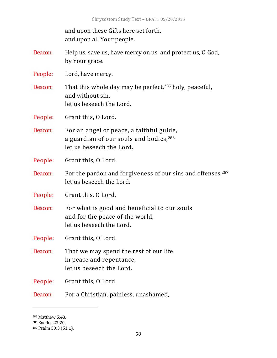|         | and upon these Gifts here set forth,<br>and upon all Your people.                                                  |
|---------|--------------------------------------------------------------------------------------------------------------------|
| Deacon: | Help us, save us, have mercy on us, and protect us, O God,<br>by Your grace.                                       |
| People: | Lord, have mercy.                                                                                                  |
| Deacon: | That this whole day may be perfect, <sup>285</sup> holy, peaceful,<br>and without sin,<br>let us beseech the Lord. |
| People: | Grant this, O Lord.                                                                                                |
| Deacon: | For an angel of peace, a faithful guide,<br>a guardian of our souls and bodies, 286<br>let us beseech the Lord.    |
| People: | Grant this, O Lord.                                                                                                |
| Deacon: | For the pardon and forgiveness of our sins and offenses, 287<br>let us beseech the Lord.                           |
| People: | Grant this, O Lord.                                                                                                |
| Deacon: | For what is good and beneficial to our souls<br>and for the peace of the world,<br>let us beseech the Lord.        |
| People: | Grant this, O Lord.                                                                                                |
| Deacon: | That we may spend the rest of our life<br>in peace and repentance,<br>let us beseech the Lord.                     |
| People: | Grant this, O Lord.                                                                                                |

Deacon: For a Christian, painless, unashamed,

<sup>&</sup>lt;sup>285</sup> Matthew 5:48.

<sup>&</sup>lt;sup>286</sup> Exodus 23:20.

<sup>&</sup>lt;sup>287</sup> Psalm 50:3 (51:1).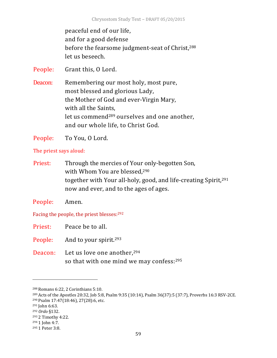peaceful end of our life, and for a good defense before the fearsome judgment-seat of Christ,<sup>288</sup> let us beseech.

People: Grant this, O Lord.

Deacon: Remembering our most holy, most pure, most blessed and glorious Lady, the Mother of God and ever-Virgin Mary, with all the Saints. let us commend<sup>289</sup> ourselves and one another, and our whole life, to Christ God.

People: To You, O Lord.

The priest says aloud:

Priest: Through the mercies of Your only-begotten Son, with Whom You are blessed,<sup>290</sup> together with Your all-holy, good, and life-creating Spirit,<sup>291</sup> now and ever, and to the ages of ages.

People: Amen.

Facing the people, the priest blesses: 292

Priest: Peace be to all.

People: And to your spirit.<sup>293</sup>

Deacon: Let us love one another, 294 so that with one mind we may confess:  $295$ 

<sup>&</sup>lt;sup>288</sup> Romans 6:22, 2 Corinthians 5:10.

 $^{289}$  Acts of the Apostles 20:32, Job 5:8, Psalm 9:35 (10:14), Psalm 36(37):5 (37:7), Proverbs 16:3 RSV-2CE.

<sup>&</sup>lt;sup>290</sup> Psalm 17:47(18:46), 27(28):6, etc.

<sup>&</sup>lt;sup>291</sup> John 6:63.

<sup>292</sup> *Ordo* §132. 

<sup>&</sup>lt;sup>293</sup> 2 Timothy 4:22.

 $294$  1 John 4:7.

<sup>&</sup>lt;sup>295</sup> 1 Peter 3:8.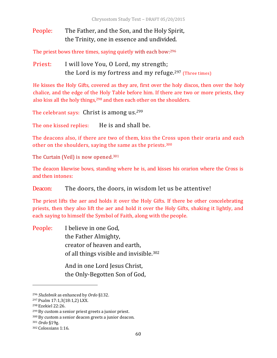# People: The Father, and the Son, and the Holy Spirit, the Trinity, one in essence and undivided.

The priest bows three times, saying quietly with each bow: $296$ 

Priest: I will love You, O Lord, my strength; the Lord is my fortress and my refuge.<sup>297</sup> (Three times)

He kisses the Holy Gifts, covered as they are, first over the holy discos, then over the holy chalice, and the edge of the Holy Table before him. If there are two or more priests, they also kiss all the holy things, $298$  and then each other on the shoulders.

The celebrant says: Christ is among us.<sup>299</sup>

The one kissed replies: He is and shall be.

The deacons also, if there are two of them, kiss the Cross upon their oraria and each other on the shoulders, saying the same as the priests. $300$ 

The Curtain (Veil) is now opened.<sup>301</sup>

The deacon likewise bows, standing where he is, and kisses his orarion where the Cross is and then intones:

Deacon: The doors, the doors, in wisdom let us be attentive!

The priest lifts the aer and holds it over the Holy Gifts. If there be other concelebrating priests, then they also lift the aer and hold it over the Holy Gifts, shaking it lightly, and each saying to himself the Symbol of Faith, along with the people.

People: I believe in one God, the Father Almighty, creator of heaven and earth, of all things visible and invisible.<sup>302</sup>

> And in one Lord Jesus Christ, the Only-Begotten Son of God,

<sup>296</sup> *Služebnik* as enhanced by *Ordo* §132. 

<sup>&</sup>lt;sup>297</sup> Psalm 17:1,3(18:1,2) LXX.

<sup>298</sup> Ezekiel 22:26. 

 $299$  By custom a senior priest greets a junior priest.

<sup>300</sup> By custom a senior deacon greets a junior deacon.

<sup>301</sup> *Ordo* §19g. 

<sup>&</sup>lt;sup>302</sup> Colossians 1:16.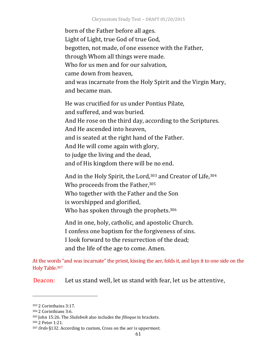born of the Father before all ages. Light of Light, true God of true God, begotten, not made, of one essence with the Father, through Whom all things were made. Who for us men and for our salvation. came down from heaven, and was incarnate from the Holy Spirit and the Virgin Mary, and became man.

He was crucified for us under Pontius Pilate, and suffered, and was buried. And He rose on the third day, according to the Scriptures. And He ascended into heaven, and is seated at the right hand of the Father. And He will come again with glory, to judge the living and the dead, and of His kingdom there will be no end.

And in the Holy Spirit, the Lord,<sup>303</sup> and Creator of Life,<sup>304</sup> Who proceeds from the Father, 305 Who together with the Father and the Son is worshipped and glorified, Who has spoken through the prophets.<sup>306</sup>

And in one, holy, catholic, and apostolic Church. I confess one baptism for the forgiveness of sins. I look forward to the resurrection of the dead: and the life of the age to come. Amen.

At the words "and was incarnate" the priest, kissing the aer, folds it, and lays it to one side on the Holy Table.<sup>307</sup>

Deacon: Let us stand well, let us stand with fear, let us be attentive,

<sup>303 2</sup> Corinthains 3:17. 

<sup>&</sup>lt;sup>304</sup> 2 Corinthians 3:6.

<sup>&</sup>lt;sup>305</sup> John 15:26. The *Služebnik* also includes the *filioque* in brackets.

<sup>306 2</sup> Peter 1:21. 

<sup>&</sup>lt;sup>307</sup> *Ordo* §132. According to custom, Cross on the aer is uppermost.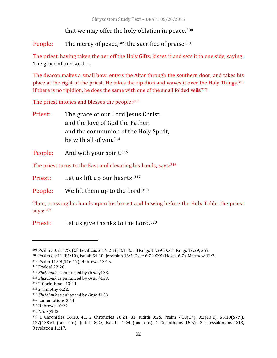that we may offer the holy oblation in peace.<sup>308</sup>

People: The mercy of peace,  $309$  the sacrifice of praise.  $310$ 

The priest, having taken the aer off the Holy Gifts, kisses it and sets it to one side, saying: The grace of our Lord ....

The deacon makes a small bow, enters the Altar through the southern door, and takes his place at the right of the priest. He takes the ripidion and waves it over the Holy Things.<sup>311</sup> If there is no ripidion, he does the same with one of the small folded veils. $312$ 

The priest intones and blesses the people: $313$ 

| Priest: | The grace of our Lord Jesus Christ,   |
|---------|---------------------------------------|
|         | and the love of God the Father.       |
|         | and the communion of the Holy Spirit, |
|         | be with all of you. $314$             |

People: And with your spirit.<sup>315</sup>

The priest turns to the East and elevating his hands, says:  $316$ 

Priest: Let us lift up our hearts!<sup>317</sup>

People: We lift them up to the Lord.<sup>318</sup>

Then, crossing his hands upon his breast and bowing before the Holy Table, the priest says:319

Priest: Let us give thanks to the Lord.<sup>320</sup>

<sup>308</sup> Psalm 50:21 LXX (Cf: Leviticus 2:14, 2:16, 3:1, 3:5, 3 Kings 18:29 LXX, 1 Kings 19:29, 36).

<sup>309</sup> Psalm 84:11 (85:10), Isaiah 54:10, Jeremiah 16:5, Osee 6:7 LXXX (Hosea 6:7), Matthew 12:7.

<sup>310</sup> Psalm 115:8(116:17), Hebrews 13:15.

<sup>311</sup> Ezekiel 22:26. 

<sup>312</sup> *Služebnik* as enhanced by *Ordo* §133. 

<sup>313</sup> *Služebnik* as enhanced by *Ordo* §133. 

<sup>&</sup>lt;sup>314</sup> 2 Corinthians 13:14.

<sup>315 2</sup> Timothy 4:22.

<sup>316</sup> *Služebnik* as enhanced by *Ordo* §133. 

<sup>&</sup>lt;sup>317</sup> Lamentations 3:41.

<sup>318</sup> Hebrews 10:22.

<sup>319</sup> *Ordo* §133. 

 $320$  1 Chronicles 16:18, 41, 2 Chronicles 20:21, 31, Judith 8:25, Psalm 7:18(17), 9:2(10;1), 56:10(57:9), 137(138):1 (and etc.), Judith 8:25, Isaiah 12:4 (and etc.), 1 Corinthians 15:57, 2 Thessalonians 2:13, Revelation 11:17.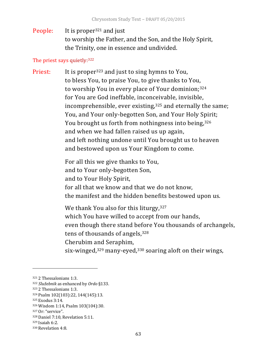People: It is proper<sup>321</sup> and just to worship the Father, and the Son, and the Holy Spirit, the Trinity, one in essence and undivided.

#### The priest says quietly: $322$

Priest: It is proper<sup>323</sup> and just to sing hymns to You, to bless You, to praise You, to give thanks to You, to worship You in every place of Your dominion;<sup>324</sup> for You are God ineffable, inconceivable, invisible, incomprehensible, ever existing,<sup>325</sup> and eternally the same; You, and Your only-begotten Son, and Your Holy Spirit; You brought us forth from nothingness into being, 326 and when we had fallen raised us up again, and left nothing undone until You brought us to heaven and bestowed upon us Your Kingdom to come.

> For all this we give thanks to You, and to Your only-begotten Son, and to Your Holy Spirit, for all that we know and that we do not know, the manifest and the hidden benefits bestowed upon us.

We thank You also for this liturgy,  $327$ which You have willed to accept from our hands, even though there stand before You thousands of archangels, tens of thousands of angels, 328 Cherubim and Seraphim, six-winged,  $329$  many-eyed,  $330$  soaring aloft on their wings,

<sup>&</sup>lt;sup>321</sup> 2 Thessalonians 1:3.

<sup>&</sup>lt;sup>322</sup> *Služebnik* as enhanced by *Ordo* §133.

<sup>&</sup>lt;sup>323</sup> 2 Thessalonians 1:3.

<sup>324</sup> Psalm 102(103):22, 144(145):13.

<sup>325</sup> Exodus 3:14.

<sup>326</sup> Wisdom 1:14, Psalm 103(104):30.

<sup>&</sup>lt;sup>327</sup> Or: "service".

<sup>&</sup>lt;sup>328</sup> Daniel 7:10, Revelation 5:11.

 $329$  Isaiah 6:2.

<sup>&</sup>lt;sup>330</sup> Revelation 4:8.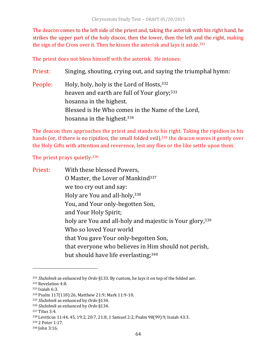The deacon comes to the left side of the priest and, taking the asterisk with his right hand, he strikes the upper part of the holy discos, then the lower, then the left and the right, making the sign of the Cross over it. Then he kisses the asterisk and lays it aside.<sup>331</sup>

The priest does not bless himself with the asterisk. He intones:

| Priest: | Singing, shouting, crying out, and saying the triumphal hymn:                                         |  |  |  |
|---------|-------------------------------------------------------------------------------------------------------|--|--|--|
| People: | Holy, holy, holy is the Lord of Hosts, 332<br>heaven and earth are full of Your glory; <sup>333</sup> |  |  |  |
|         | hosanna in the highest.                                                                               |  |  |  |
|         | Blessed is He Who comes in the Name of the Lord,                                                      |  |  |  |
|         | hosanna in the highest. <sup>334</sup>                                                                |  |  |  |

The deacon then approaches the priest and stands to his right. Taking the ripidion in his hands (or, if there is no ripidion, the small folded veil),<sup>335</sup> the deacon waves it gently over the Holy Gifts with attention and reverence, lest any flies or the like settle upon them.

The priest prays quietly:  $336$ 

| Priest: | With these blessed Powers,                                |
|---------|-----------------------------------------------------------|
|         | O Master, the Lover of Mankind <sup>337</sup>             |
|         | we too cry out and say:                                   |
|         | Holy are You and all-holy, 338                            |
|         | You, and Your only-begotten Son,                          |
|         | and Your Holy Spirit;                                     |
|         | holy are You and all-holy and majestic is Your glory, 339 |
|         | Who so loved Your world                                   |
|         | that You gave Your only-begotten Son,                     |
|         | that everyone who believes in Him should not perish,      |
|         | but should have life everlasting; <sup>340</sup>          |
|         |                                                           |

<sup>331</sup> *Služebnik* as enhanced by *Ordo* §133. By custom, he lays it on top of the folded aer.

<sup>&</sup>lt;sup>332</sup> Revelation 4:8.

<sup>333</sup> Isaiah 6:3. 

<sup>334</sup> Psalm 117(118):26, Matthew 21:9; Mark 11:9-10.

<sup>&</sup>lt;sup>335</sup> *Služebnik* as enhanced by *Ordo* §134.

<sup>336</sup> *Služebnik* as enhanced by *Ordo* §134. 

<sup>337</sup> Titus 3:4.

<sup>338</sup> Leviticus 11:44, 45, 19:2, 20:7, 21:8, 1 Samuel 2:2, Psalm 98(99):9, Isaiah 43:3.

<sup>339 2</sup> Peter 1:17.

<sup>340</sup> John 3:16.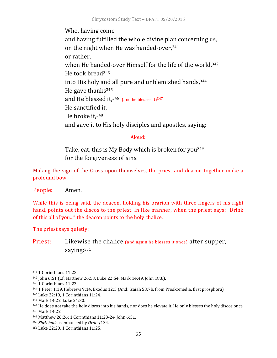Who, having come and having fulfilled the whole divine plan concerning us, on the night when He was handed-over, $341$ or rather, when He handed-over Himself for the life of the world,<sup>342</sup> He took bread $343$ into His holy and all pure and unblemished hands, 344 He gave thanks $345$ and He blessed it,  $346$  (and he blesses it)  $347$ He sanctified it, He broke it, 348 and gave it to His holy disciples and apostles, saying:

#### Aloud:

Take, eat, this is My Body which is broken for you<sup>349</sup> for the forgiveness of sins.

Making the sign of the Cross upon themselves, the priest and deacon together make a profound bow.<sup>350</sup>

People: Amen.

While this is being said, the deacon, holding his orarion with three fingers of his right hand, points out the discos to the priest. In like manner, when the priest says: "Drink of this all of you..." the deacon points to the holy chalice.

The priest says quietly:

Priest: Likewise the chalice (and again he blesses it once) after supper, saying:351

<sup>341 1</sup> Corinthians 11:23.

<sup>342</sup> John 6:51 (Cf: Matthew 26:53, Luke 22:54, Mark 14:49, John 18:8).

<sup>&</sup>lt;sup>343</sup> 1 Corinthians 11:23.

<sup>344 1</sup> Peter 1:19, Hebrews 9:14, Exodus 12:5 (And: Isaiah 53:7b, from Proskomedia, first prosphora)

<sup>345</sup> Luke 22:19, 1 Corinthians 11:24.

<sup>346</sup> Mark 14:22, Luke 24:30.

<sup>347</sup> He does not take the holy discos into his hands, nor does he elevate it. He only blesses the holy discos once. 348 Mark 14:22.

<sup>349</sup> Matthew 26:26; 1 Corinthians 11:23-24, John 6:51.

<sup>&</sup>lt;sup>350</sup> *Služebnik* as enhanced by *Ordo* §134.

<sup>351</sup> Luke 22:20, 1 Corinthians 11:25.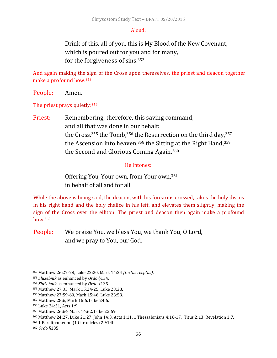### Aloud:

Drink of this, all of you, this is My Blood of the New Covenant, which is poured out for you and for many, for the forgiveness of sins. $352$ 

And again making the sign of the Cross upon themselves, the priest and deacon together make a profound bow.<sup>353</sup>

People: Amen.

The priest prays quietly: $354$ 

Priest: Remembering, therefore, this saving command, and all that was done in our behalf: the Cross,  $355$  the Tomb,  $356$  the Resurrection on the third day,  $357$ the Ascension into heaven,  $358$  the Sitting at the Right Hand,  $359$ the Second and Glorious Coming Again.<sup>360</sup>

### He intones:

Offering You, Your own, from Your own, 361 in behalf of all and for all.

While the above is being said, the deacon, with his forearms crossed, takes the holy discos in his right hand and the holy chalice in his left, and elevates them slightly, making the sign of the Cross over the eiliton. The priest and deacon then again make a profound bow.362

People: We praise You, we bless You, we thank You, O Lord, and we pray to You, our God.

<sup>352</sup> Matthew 26:27‐28, Luke 22:20, Mark 14:24 *(textus recptus)*. 

<sup>&</sup>lt;sup>353</sup> *Služebnik* as enhanced by *Ordo* §134.

<sup>&</sup>lt;sup>354</sup> *Služebnik* as enhanced by *Ordo* §135.

<sup>355</sup> Matthew 27:35, Mark 15:24-25, Luke 23:33.

<sup>356</sup> Matthew 27:59-60, Mark 15:46, Luke 23:53.

<sup>357</sup> Matthew 28:6, Mark 16:6, Luke 24:6.

<sup>358</sup> Luke 24:51, Acts 1:9.

<sup>359</sup> Matthew 26:64, Mark 14:62, Luke 22:69.

<sup>360</sup> Matthew 24:27, Luke 21:27, John 14:3, Acts 1:11, 1 Thessalonians 4:16-17, Titus 2:13, Revelation 1:7.

<sup>361 1</sup> Paralipomenon (1 Chronicles) 29:14b.

<sup>362</sup> *Ordo* §135.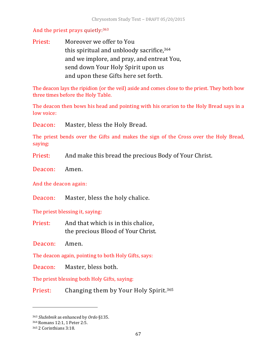#### And the priest prays quietly: $363$

Priest: Moreover we offer to You this spiritual and unbloody sacrifice,  $364$ and we implore, and pray, and entreat You, send down Your Holy Spirit upon us and upon these Gifts here set forth.

The deacon lays the ripidion (or the veil) aside and comes close to the priest. They both bow three times before the Holy Table.

The deacon then bows his head and pointing with his orarion to the Holy Bread says in a low voice:

Deacon: Master, bless the Holy Bread.

The priest bends over the Gifts and makes the sign of the Cross over the Holy Bread, saying: 

Priest: And make this bread the precious Body of Your Christ.

Deacon: Amen.

And the deacon again:

Deacon: Master, bless the holy chalice.

The priest blessing it, saying:

Priest: And that which is in this chalice, the precious Blood of Your Christ.

Deacon: Amen.

The deacon again, pointing to both Holy Gifts, says:

Deacon: Master, bless both.

The priest blessing both Holy Gifts, saying:

Priest: Changing them by Your Holy Spirit.<sup>365</sup>

<sup>363</sup> *Služebnik* as enhanced by *Ordo* §135. 

<sup>364</sup> Romans 12:1, 1 Peter 2:5.

<sup>&</sup>lt;sup>365</sup> 2 Corinthians 3:18.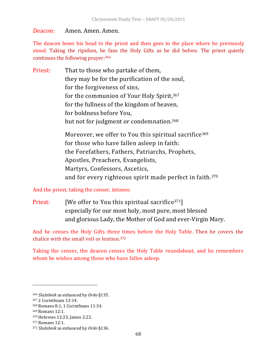#### Deacon: Amen. Amen. Amen.

The deacon bows his head to the priest and then goes to the place where he previously stood. Taking the ripidion, he fans the Holy Gifts as he did before. The priest quietly continues the following prayer: $366$ 

Priest: That to those who partake of them, they may be for the purification of the soul, for the forgiveness of sins, for the communion of Your Holy Spirit, 367 for the fullness of the kingdom of heaven, for boldness before You. but not for judgment or condemnation.<sup>368</sup> Moreover, we offer to You this spiritual sacrifice<sup>369</sup> for those who have fallen asleep in faith: the Forefathers, Fathers, Patriarchs, Prophets, Apostles, Preachers, Evangelists, Martyrs, Confessors, Ascetics, and for every righteous spirit made perfect in faith.<sup>370</sup>

And the priest, taking the censer, intones:

Priest:  $[We offer to You this spiritual sacrifice<sup>371</sup>]$ especially for our most holy, most pure, most blessed and glorious Lady, the Mother of God and ever-Virgin Mary.

And he censes the Holy Gifts three times before the Holy Table. Then he covers the chalice with the small veil or lention.<sup>372</sup>

Taking the censer, the deacon censes the Holy Table roundabout, and he remembers whom he wishes among those who have fallen asleep.

<sup>366</sup> *Služebnik* as enhanced by *Ordo* §135. 

<sup>&</sup>lt;sup>367</sup> 2 Corinthians 13:14.

<sup>368</sup> Romans 8:1, 1 Corinthians 11:34.

<sup>369</sup> Romans 12:1.

<sup>370</sup> Hebrews 12:23, James 2:22.

<sup>371</sup> Romans 12:1. 

<sup>&</sup>lt;sup>372</sup> *Služebnik* as enhanced by *Ordo* §136.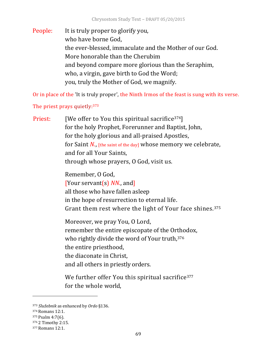People: It is truly proper to glorify you, who have borne God, the ever-blessed, immaculate and the Mother of our God. More honorable than the Cherubim and beyond compare more glorious than the Seraphim, who, a virgin, gave birth to God the Word; you, truly the Mother of God, we magnify.

Or in place of the 'It is truly proper', the Ninth Irmos of the feast is sung with its verse.

The priest prays quietly:  $373$ 

Priest:  $[We offer to You this spiritual sacrifice<sup>374</sup>]$ for the holy Prophet, Forerunner and Baptist, John, for the holy glorious and all-praised Apostles, for Saint  $N$ ., [the saint of the day] whose memory we celebrate, and for all Your Saints, through whose prayers, 0 God, visit us.

> Remember, O God, **[Your servant**(s) *NN.*, and] all those who have fallen asleep in the hope of resurrection to eternal life. Grant them rest where the light of Your face shines.<sup>375</sup>

Moreover, we pray You, O Lord, remember the entire episcopate of the Orthodox, who rightly divide the word of Your truth, 376 the entire priesthood, the diaconate in Christ, and all others in priestly orders.

We further offer You this spiritual sacrifice<sup>377</sup> for the whole world.

<sup>&</sup>lt;sup>373</sup> *Služebnik* as enhanced by *Ordo* §136.

<sup>374</sup> Romans 12:1. 

 $375$  Psalm 4:7(6).

<sup>376 2</sup> Timothy 2:15.

<sup>377</sup> Romans 12:1.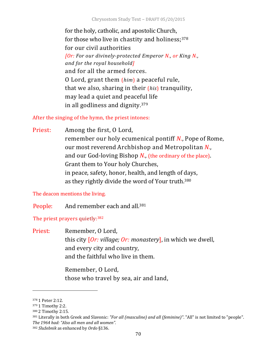for the holy, catholic, and apostolic Church, for those who live in chastity and holiness;  $378$ for our civil authorities *[Or: For our divinely‐protected Emperor N., or King N., and for the royal household]* and for all the armed forces. O Lord, grant them *(him)* a peaceful rule, that we also, sharing in their *(his)* tranquility, may lead a quiet and peaceful life in all godliness and dignity. $379$ 

After the singing of the hymn, the priest intones:

Priest: Among the first, 0 Lord, remember our holy ecumenical pontiff *N.*, Pope of Rome, our most reverend Archbishop and Metropolitan *N.*, and our God-loving Bishop *N.*, (the ordinary of the place). Grant them to Your holy Churches, in peace, safety, honor, health, and length of days, as they rightly divide the word of Your truth.<sup>380</sup>

The deacon mentions the living.

People: And remember each and all.<sup>381</sup>

The priest prayers quietly: 382

Priest: Remember, O Lord, this city [Or: village; Or: monastery], in which we dwell, and every city and country, and the faithful who live in them.

> Remember, O Lord, those who travel by sea, air and land,

<sup>378 1</sup> Peter 2:12.

<sup>379 1</sup> Timothy 2:2.

<sup>380 2</sup> Timothy 2:15.

<sup>381</sup> Literally in both Greek and Slavonic: "For all (masculine) and all (feminine)". "All" is not limited to "people". *The 1964 had: "Also all men and all women".*

<sup>&</sup>lt;sup>382</sup> *Služebnik* as enhanced by *Ordo* §136.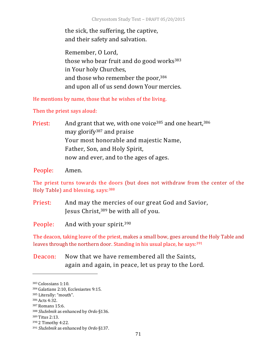the sick, the suffering, the captive, and their safety and salvation.

Remember, O Lord, those who bear fruit and do good works $383$ in Your holy Churches, and those who remember the poor,  $384$ and upon all of us send down Your mercies.

He mentions by name, those that he wishes of the living.

Then the priest says aloud:

Priest: And grant that we, with one voice<sup>385</sup> and one heart,<sup>386</sup> may glorify  $387$  and praise Your most honorable and majestic Name, Father, Son, and Holy Spirit, now and ever, and to the ages of ages.

People: Amen.

The priest turns towards the doors (but does not withdraw from the center of the Holy Table) and blessing, says: 388

Priest: And may the mercies of our great God and Savior, Jesus Christ,<sup>389</sup> be with all of you.

People: And with your spirit.<sup>390</sup>

The deacon, taking leave of the priest, makes a small bow, goes around the Holy Table and leaves through the northern door. Standing in his usual place, he says:  $391$ 

Deacon: Now that we have remembered all the Saints, again and again, in peace, let us pray to the Lord.

 

389 Titus 2:13. 

<sup>383</sup> Colossians 1:10.

<sup>384</sup> Galatians 2:10, Ecclesiastes 9:15.

<sup>&</sup>lt;sup>385</sup> Literally: "mouth".

<sup>386</sup> Acts 4:32.

<sup>387</sup> Romans 15:6.

<sup>&</sup>lt;sup>388</sup> *Služebnik* as enhanced by *Ordo* §136.

<sup>390 2</sup> Timothy 4:22.

<sup>391</sup> *Služebnik* as enhanced by *Ordo* §137.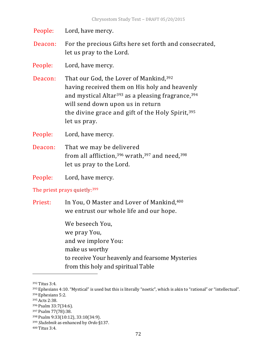People: Lord, have mercy. Deacon: For the precious Gifts here set forth and consecrated, let us pray to the Lord. People: Lord, have mercy. Deacon: That our God, the Lover of Mankind,<sup>392</sup> having received them on His holy and heavenly and mystical Altar<sup>393</sup> as a pleasing fragrance,  $394$ will send down upon us in return the divine grace and gift of the Holy Spirit,  $395$ let us pray. People: Lord, have mercy. Deacon: That we may be delivered from all affliction,  $396$  wrath,  $397$  and need,  $398$ let us pray to the Lord.

People: Lord, have mercy.

The priest prays quietly: $399$ 

Priest: In You, O Master and Lover of Mankind, 400 we entrust our whole life and our hope.

> We beseech You, we pray You, and we implore You: make us worthy to receive Your heavenly and fearsome Mysteries from this holy and spiritual Table

394 Ephesians 5:2.

<sup>392</sup> Titus 3:4.

 $393$  Ephesians  $4:10$ . "Mystical" is used but this is literally "noetic", which is akin to "rational" or "intellectual".

<sup>395</sup> Acts 2:38.

<sup>396</sup> Psalm 33:7(34:6). 

<sup>397</sup> Psalm 77(78):38. 

<sup>398</sup> Psalm 9:33(10:12), 33:10(34:9).

<sup>399</sup> *Služebnik* as enhanced by *Ordo* §137. 

<sup>400</sup> Titus 3:4.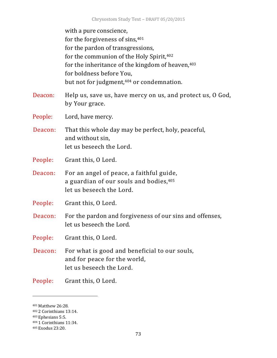|         | with a pure conscience,<br>for the forgiveness of sins, 401<br>for the pardon of transgressions,<br>for the communion of the Holy Spirit, 402<br>for the inheritance of the kingdom of heaven, 403<br>for boldness before You,<br>but not for judgment, 404 or condemnation. |
|---------|------------------------------------------------------------------------------------------------------------------------------------------------------------------------------------------------------------------------------------------------------------------------------|
| Deacon: | Help us, save us, have mercy on us, and protect us, O God,<br>by Your grace.                                                                                                                                                                                                 |
| People: | Lord, have mercy.                                                                                                                                                                                                                                                            |
| Deacon: | That this whole day may be perfect, holy, peaceful,<br>and without sin,<br>let us beseech the Lord.                                                                                                                                                                          |
| People: | Grant this, O Lord.                                                                                                                                                                                                                                                          |
| Deacon: | For an angel of peace, a faithful guide,<br>a guardian of our souls and bodies, 405<br>let us beseech the Lord.                                                                                                                                                              |
| People: | Grant this, O Lord.                                                                                                                                                                                                                                                          |
| Deacon: | For the pardon and forgiveness of our sins and offenses,<br>let us beseech the Lord.                                                                                                                                                                                         |
| People: | Grant this, O Lord.                                                                                                                                                                                                                                                          |
| Deacon: | For what is good and beneficial to our souls,<br>and for peace for the world,<br>let us beseech the Lord.                                                                                                                                                                    |
|         |                                                                                                                                                                                                                                                                              |

People: Grant this, O Lord.

<sup>401</sup> Matthew 26:28.

<sup>402 2</sup> Corinthians 13:14.

<sup>&</sup>lt;sup>403</sup> Ephesians 5:5.

<sup>&</sup>lt;sup>404</sup> 1 Corinthians 11:34.

<sup>405</sup> Exodus 23:20.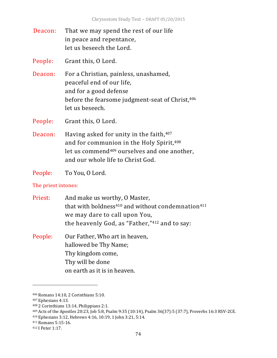Deacon: That we may spend the rest of our life in peace and repentance, let us beseech the Lord.

People: Grant this, O Lord.

Deacon: For a Christian, painless, unashamed, peaceful end of our life, and for a good defense before the fearsome judgment-seat of Christ,<sup>406</sup> let us beseech.

People: Grant this, O Lord.

Deacon: Having asked for unity in the faith, $407$ and for communion in the Holy Spirit,<sup>408</sup> let us commend<sup>409</sup> ourselves and one another, and our whole life to Christ God.

People: To You, O Lord.

The priest intones:

| Priest: | And make us worthy, O Master,                                             |  |  |
|---------|---------------------------------------------------------------------------|--|--|
|         | that with boldness <sup>410</sup> and without condemnation <sup>411</sup> |  |  |
|         | we may dare to call upon You,                                             |  |  |
|         | the heavenly God, as "Father,"412 and to say:                             |  |  |
| People: | Our Father, Who art in heaven,                                            |  |  |
|         | hallowed be Thy Name;                                                     |  |  |
|         | Thy kingdom come,                                                         |  |  |
|         | Thy will be done                                                          |  |  |
|         | on earth as it is in heaven.                                              |  |  |

<sup>406</sup> Romans 14:10, 2 Corinthians 5:10.

<sup>&</sup>lt;sup>407</sup> Ephesians 4:13.

<sup>408 2</sup> Corinthians 13:14, Philippians 2:1.

<sup>409</sup> Acts of the Apostles 20:23, Job 5:8, Psalm 9:35 (10:14), Psalm 36(37):5 (37:7), Proverbs 16:3 RSV-2CE.

<sup>410</sup> Ephesians 3:12, Hebrews 4:16, 10:19, 1 John 3:21, 5:14.

<sup>411</sup> Romans 5:15‐16. 

<sup>412</sup> I Peter 1:17.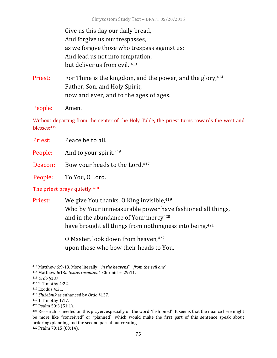Give us this day our daily bread, And forgive us our trespasses, as we forgive those who trespass against us; And lead us not into temptation, but deliver us from evil. 413

Priest: For Thine is the kingdom, and the power, and the glory,  $414$ Father, Son, and Holy Spirit, now and ever, and to the ages of ages.

People: Amen.

Without departing from the center of the Holy Table, the priest turns towards the west and blesses:415

|                               | Priest: Peace be to all.                   |  |
|-------------------------------|--------------------------------------------|--|
|                               | People: And to your spirit. <sup>416</sup> |  |
| Deacon:                       | Bow your heads to the Lord. <sup>417</sup> |  |
|                               | People: To You, O Lord.                    |  |
| The priest prays quietly: 418 |                                            |  |

Priest: We give You thanks,  $\overline{O}$  King invisible, Who by Your immeasurable power have fashioned all things, and in the abundance of Your mercyhave brought all things from nothingness into being.

> O Master, look down from heaven, 422 upon those who bow their heads to You,

<sup>413</sup> Matthew 6:9‐13. More literally: "*in the heavens*", "*from the evil one*". 

<sup>414</sup> Matthew 6:13a *textus receptus,* 1 Chronicles 29:11.

<sup>415</sup> *Ordo* §137. 

<sup>416 2</sup> Timothy 4:22.

<sup>417</sup> Exodus 4:31.

<sup>418</sup> *Služebnik* as enhanced by *Ordo* §137. 

<sup>419 1</sup> Timothy 1:17.

<sup>420</sup> Psalm 50:3 (51:1). 

 $421$  Research is needed on this prayer, especially on the word "fashioned". It seems that the nuance here might be more like "conceived" or "planned", which would make the first part of this sentence speak about ordering/planning and the second part about creating.

<sup>422</sup> Psalm 79:15 (80:14).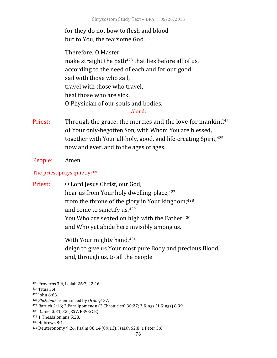for they do not bow to flesh and blood but to You, the fearsome God.

Therefore, O Master, make straight the path<sup>423</sup> that lies before all of us, according to the need of each and for our good: sail with those who sail, travel with those who travel. heal those who are sick, O Physician of our souls and bodies.

#### Aloud:

- Priest: Through the grace, the mercies and the love for mankind<sup>424</sup> of Your only-begotten Son, with Whom You are blessed, together with Your all-holy, good, and life-creating Spirit,<sup>425</sup> now and ever, and to the ages of ages.
- People: Amen.

#### The priest prays quietly: $426$

Priest: 0 Lord Jesus Christ, our God, hear us from Your holy dwelling-place,<sup>427</sup> from the throne of the glory in Your kingdom; $428$ and come to sanctify  $us,429$ You Who are seated on high with the Father, 430 and Who yet abide here invisibly among us. With Your mighty hand, $431$ deign to give us Your most pure Body and precious Blood, and, through us, to all the people.

<sup>423</sup> Proverbs 3:6, Isaiah 26:7, 42:16.

<sup>424</sup> Titus 3:4. 

 $425$  John 6:63.

<sup>426</sup> *Služebnik* as enhanced by *Ordo* §137. 

<sup>&</sup>lt;sup>427</sup> Baruch 2:16; 2 Paralipomenon (2 Chronicles) 30:27; 3 Kings (1 Kings) 8:39.

<sup>428</sup> Daniel 3:31, 33 (RSV, RSV-2CE).

<sup>&</sup>lt;sup>429</sup> 1 Thessalonians 5:23.

<sup>430</sup> Hebrews 8:1. 

<sup>431</sup> Deuteronomy 9:26, Psalm 88:14 (89:13), Isaiah 62:8, 1 Peter 5:6.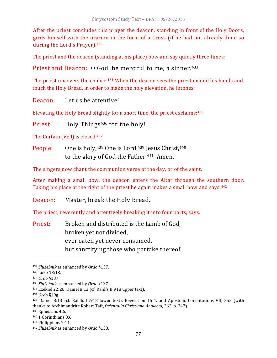After the priest concludes this prayer the deacon, standing in front of the Holy Doors, girds himself with the orarion in the form of a Cross (if he had not already done so during the Lord's Prayer). 432

The priest and the deacon (standing at his place) bow and say quietly three times:

Priest and Deacon: O God, be merciful to me, a sinner.<sup>433</sup>

The priest uncovers the chalice.<sup>434</sup> When the deacon sees the priest extend his hands and touch the Holy Bread, in order to make the holy elevation, he intones:

Deacon: Let us be attentive!

Elevating the Holy Bread slightly for a short time, the priest exclaims:  $435$ 

Priest: Holy Things<sup>436</sup> for the holy!

The Curtain (Veil) is closed.<sup>437</sup>

People: One is holy,<sup>438</sup> One is Lord,<sup>439</sup> Jesus Christ,<sup>440</sup> to the glory of God the Father.<sup>441</sup> Amen.

The singers now chant the communion verse of the day, or of the saint.

After making a small bow, the deacon enters the Altar through the southern door. Taking his place at the right of the priest he again makes a small bow and says:<sup>442</sup>

Deacon: Master, break the Holy Bread.

The priest, reverently and attentively breaking it into four parts, says:

Priest: Broken and distributed is the Lamb of God, broken vet not divided, ever eaten yet never consumed, but sanctifying those who partake thereof.

<sup>432</sup> *Služebnik* as enhanced by *Ordo* §137. 

<sup>433</sup> Luke 18:13. 

<sup>434</sup> *Ordo* §137. 

<sup>435</sup> *Služebnik* as enhanced by *Ordo* §137. 

 $436$  Ezekiel 22:26, Daniel 8:13 (cf. Rahlfs II:918 upper text).

<sup>437</sup> *Ordo* §19g. 

<sup>&</sup>lt;sup>438</sup> Daniel 8:13 (cf. Rahlfs II:918 lower text), Revelation 15:4, and Apostolic Constitutions VII, 353 (with thanks to Archimandrite Robert Taft, *Orientalia Christiana Analecta*, 262, p. 247).

<sup>&</sup>lt;sup>439</sup> Ephesians 4:5.

<sup>&</sup>lt;sup>440</sup> 1 Corinthians 8:6.

<sup>441</sup> Philippians 2:11. 

<sup>&</sup>lt;sup>442</sup> *Služebnik* as enhanced by *Ordo* §138.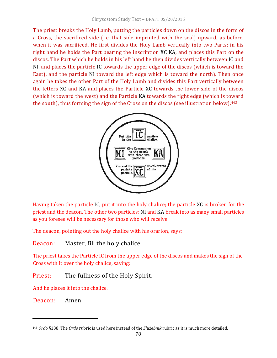The priest breaks the Holy Lamb, putting the particles down on the discos in the form of a Cross, the sacrificed side (i.e. that side imprinted with the seal) upward, as before, when it was sacrificed. He first divides the Holy Lamb vertically into two Parts; in his right hand he holds the Part bearing the inscription XC KA, and places this Part on the discos. The Part which he holds in his left hand he then divides vertically between IC and NI, and places the particle IC towards the upper edge of the discos (which is toward the East), and the particle NI toward the left edge which is toward the north). Then once again he takes the other Part of the Holy Lamb and divides this Part vertically between the letters XC and KA and places the Particle XC towards the lower side of the discos (which is toward the west) and the Particle KA towards the right edge (which is toward the south), thus forming the sign of the Cross on the discos (see illustration below): $443$ 



Having taken the particle IC, put it into the holy chalice; the particle  $XC$  is broken for the priest and the deacon. The other two particles: NI and KA break into as many small particles as you foresee will be necessary for those who will receive.

The deacon, pointing out the holy chalice with his orarion, says:

Deacon: Master, fill the holy chalice.

The priest takes the Particle IC from the upper edge of the discos and makes the sign of the Cross with It over the holy chalice, saying:

Priest: The fullness of the Holy Spirit.

And he places it into the chalice.

 

Deacon: Amen.

<sup>&</sup>lt;sup>443</sup> *Ordo* §138. The *Ordo* rubric is used here instead of the *Služebnik* rubric as it is much more detailed.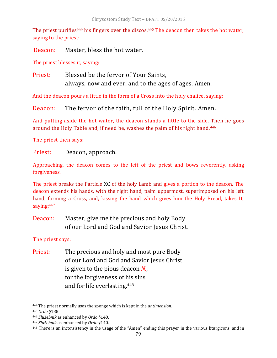The priest purifies<sup>444</sup> his fingers over the discos.<sup>445</sup> The deacon then takes the hot water, saying to the priest:

Deacon: Master, bless the hot water.

The priest blesses it, saying:

Priest: Blessed be the fervor of Your Saints, always, now and ever, and to the ages of ages. Amen.

And the deacon pours a little in the form of a Cross into the holy chalice, saying:

Deacon: The fervor of the faith, full of the Holy Spirit. Amen.

And putting aside the hot water, the deacon stands a little to the side. Then he goes around the Holy Table and, if need be, washes the palm of his right hand.<sup>446</sup>

The priest then says:

Priest: Deacon, approach.

Approaching, the deacon comes to the left of the priest and bows reverently, asking forgiveness. 

The priest breaks the Particle XC of the holy Lamb and gives a portion to the deacon. The deacon extends his hands, with the right hand, palm uppermost, superimposed on his left hand, forming a Cross, and, kissing the hand which gives him the Holy Bread, takes It, saying:447

Deacon: Master, give me the precious and holy Body of our Lord and God and Savior Jesus Christ.

The priest says:

Priest: The precious and holy and most pure Body of our Lord and God and Savior Jesus Christ is given to the pious deacon *,* for the forgiveness of his sins and for life everlasting.<sup>448</sup>

<sup>&</sup>lt;sup>444</sup> The priest normally uses the sponge which is kept in the *antimension*.

<sup>445</sup> *Ordo* §138. 

<sup>446</sup> *Služebnik* as enhanced by *Ordo* §140. 

<sup>447</sup> *Služebnik* as enhanced by *Ordo* §140. 

<sup>&</sup>lt;sup>448</sup> There is an inconsistency in the usage of the "Amen" ending this prayer in the various liturgicons, and in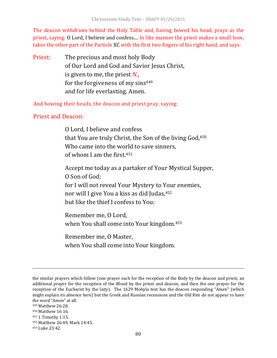The deacon withdraws behind the Holy Table and, having bowed his head, prays as the priest, saying: O Lord, I believe and confess.... In like manner the priest makes a small bow, takes the other part of the Particle XC with the first two fingers of his right hand, and says:

Priest: The precious and most holy Body of Our Lord and God and Savior Jesus Christ, is given to me, the priest *N*. for the forgiveness of my sins $449$ and for life everlasting. Amen.

And bowing their heads, the deacon and priest pray, saying:

### Priest and Deacon:

O Lord, I believe and confess that You are truly Christ, the Son of the living God,<sup>450</sup> Who came into the world to save sinners, of whom I am the first.<sup>451</sup>

Accept me today as a partaker of Your Mystical Supper, O Son of God; for I will not reveal Your Mystery to Your enemies, nor will I give You a kiss as did Judas, 452 but like the thief I confess to You:

Remember me, O Lord, when You shall come into Your kingdom.<sup>453</sup>

Remember me, O Master, when You shall come into Your kingdom.

<u> 1989 - Andrea Santa Andrea Andrea Andrea Andrea Andrea Andrea Andrea Andrea Andrea Andrea Andrea Andrea Andr</u>

the similar prayers which follow (one prayer each for the reception of the Body by the deacon and priest, an additional prayer for the reception of the Blood by the priest and deacon, and then the one prayer for the reception of the Eucharist by the laity). The 1629 Mohyla text has the deacon responding "Amen" (which might explain its absence here) but the Greek and Russian recensions and the Old Rite do not appear to have the word "Amen" at all.

<sup>449</sup> Matthew 26:28. 

<sup>450</sup> Matthew 16:16. 

<sup>451 1</sup> Timothy 1:15.

<sup>452</sup> Matthew 26:49, Mark 14:45.

<sup>453</sup> Luke 23:42.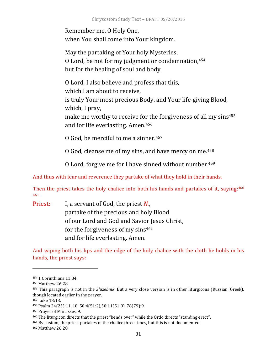Remember me, O Holy One, when You shall come into Your kingdom.

May the partaking of Your holy Mysteries, O Lord, be not for my judgment or condemnation, 454 but for the healing of soul and body.

O Lord, I also believe and profess that this, which I am about to receive, is truly Your most precious Body, and Your life-giving Blood, which, I pray,

make me worthy to receive for the forgiveness of all my sins<sup>455</sup> and for life everlasting. Amen.<sup>456</sup>

O God, be merciful to me a sinner.<sup>457</sup>

O God, cleanse me of my sins, and have mercy on me.<sup>458</sup>

O Lord, forgive me for I have sinned without number. $459$ 

And thus with fear and reverence they partake of what they hold in their hands.

Then the priest takes the holy chalice into both his hands and partakes of it, saying: $460$ 461

Priest: I, a servant of God, the priest *N*. partake of the precious and holy Blood of our Lord and God and Savior Jesus Christ, for the forgiveness of my sins $462$ and for life everlasting. Amen.

And wiping both his lips and the edge of the holy chalice with the cloth he holds in his hands, the priest says:

<sup>454 1</sup> Corinthians 11:34. 

<sup>455</sup> Matthew 26:28.

<sup>&</sup>lt;sup>456</sup> This paragraph is not in the *Služebnik*. But a very close version is in other liturgicons (Russian, Greek), though located earlier in the prayer.

<sup>457</sup> Luke 18:13.

<sup>458</sup> Psalm 24(25):11, 18, 50:4(51:2),50:11(51:9), 78(79):9.

<sup>459</sup> Prayer of Manasses, 9.

<sup>&</sup>lt;sup>460</sup> The liturgicon directs that the priest "bends over" while the Ordo directs "standing erect".

<sup>&</sup>lt;sup>461</sup> By custom, the priest partakes of the chalice three times, but this is not documented.

<sup>462</sup> Matthew 26:28.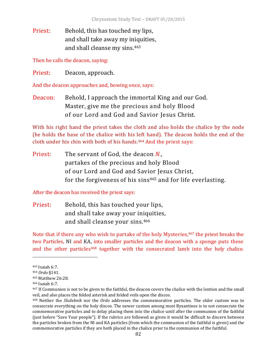Priest: Behold, this has touched my lips, and shall take away my iniquities, and shall cleanse my sins.<sup>463</sup>

Then he calls the deacon, saying:

Priest: Deacon, approach.

And the deacon approaches and, bowing once, says:

Deacon: Behold, I approach the immortal King and our God. Master, give me the precious and holy Blood of our Lord and God and Savior Jesus Christ.

With his right hand the priest takes the cloth and also holds the chalice by the node (he holds the base of the chalice with his left hand). The deacon holds the end of the cloth under his chin with both of his hands.<sup>464</sup> And the priest says:

Priest: The servant of God, the deacon *N.*, partakes of the precious and holy Blood of our Lord and God and Savior Jesus Christ, for the forgiveness of his  $\sin s^{465}$  and for life everlasting.

After the deacon has received the priest says:

Priest: Behold, this has touched your lips, and shall take away your iniquities, and shall cleanse your sins.<sup>466</sup>

Note that if there any who wish to partake of the holy Mysteries, $467$  the priest breaks the two Particles, NI and KA, into smaller particles and the deacon with a sponge puts these and the other particles<sup>468</sup> together with the consecrated lamb into the holy chalice.

<sup>463</sup> Isaiah 6:7. 

<sup>464</sup> *Ordo* §141. 

<sup>465</sup> Matthew 26:28. 

<sup>466</sup> Isaiah 6:7.

<sup>&</sup>lt;sup>467</sup> If Communion is not to be given to the faithful, the deacon covers the chalice with the lention and the small veil, and also places the folded asterisk and folded veils upon the discos.

<sup>&</sup>lt;sup>468</sup> Neither the *Služebnik* nor the *Ordo* addresses the commemorative particles. The older custom was to consecrate everything on the holy discos. The newer custom among most Byzantines is to not consecrate the commemorative particles and to delay placing them into the chalice until after the communion of the faithful (just before "Save Your people"). If the rubrics are followed as given it would be difficult to discern between the particles broken from the NI and KA particles (from which the communion of the faithful is given) and the commemorative particles if they are both placed in the chalice prior to the communion of the faithful.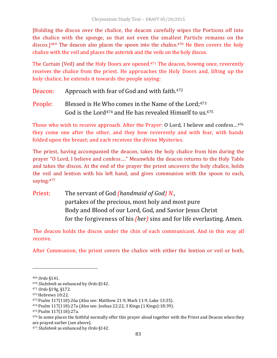[Holding the discos over the chalice, the deacon carefully wipes the Portions off into the chalice with the sponge, so that not even the smallest Particle remains on the discos.] $469$  The deacon also places the spoon into the chalice. $470$  He then covers the holy chalice with the veil and places the asterisk and the veils on the holy discos.

The Curtain (Veil) and the Holy Doors are opened. $471$  The deacon, bowing once, reverently receives the chalice from the priest. He approaches the Holy Doors and, lifting up the holy chalice, he extends it towards the people saying:

| Deacon: |  |  |  | Approach with fear of God and with faith. <sup>472</sup> |  |
|---------|--|--|--|----------------------------------------------------------|--|
|---------|--|--|--|----------------------------------------------------------|--|

**People:** Blessed is He Who comes in the Name of the Lord; $473$ God is the Lord<sup>474</sup> and He has revealed Himself to us.<sup>475</sup>

Those who wish to receive approach. After the Prayer: O Lord, I believe and confess...<sup>476</sup> they come one after the other, and they bow reverently and with fear, with hands folded upon the breast; and each receives the divine Mysteries.

The priest, having accompanied the deacon, takes the holy chalice from him during the prayer "O Lord, I believe and confess...." Meanwhile the deacon returns to the Holy Table and takes the discos. At the end of the prayer the priest uncovers the holy chalice, holds the veil and lention with his left hand, and gives communion with the spoon to each, saying:477

Priest: The servant of God *(handmaid of God) N.*, partakes of the precious, most holy and most pure Body and Blood of our Lord, God, and Savior Jesus Christ for the forgiveness of his *(her)* sins and for life everlasting. Amen.

The deacon holds the discos under the chin of each communicant. And in this way all receive. 

After Communion, the priest covers the chalice with either the lention or veil or both,

<sup>469</sup> *Ordo* §141. 

<sup>&</sup>lt;sup>470</sup> *Služebnik* as enhanced by *Ordo* §142.

<sup>471</sup> *Ordo* §19g, §172. 

<sup>472</sup> Hebrews 10:22.

<sup>473</sup> Psalm 117(118):26a (Also see: Matthew 21:9, Mark 11:9, Luke 13:35).

<sup>474</sup> Psalm 117(118):27a (Also see: Joshua 22:22, 3 Kings (1 Kings):18:39).

<sup>475</sup> Psalm 117(118):27a. 

 $476$  In some places the faithful normally offer this prayer aloud together with the Priest and Deacon when they are prayed earlier (see above).

<sup>&</sup>lt;sup>477</sup> *Služebnik* as enhanced by *Ordo* §142.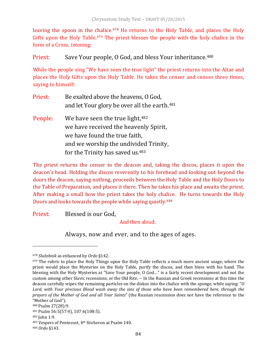leaving the spoon in the chalice.<sup>478</sup> He returns to the Holy Table, and places the Holy Gifts upon the Holy Table.<sup>479</sup> The priest blesses the people with the holy chalice in the form of a Cross, intoning:

Priest: Save Your people, O God, and bless Your inheritance.<sup>480</sup>

While the people sing "We have seen the true light" the priest returns into the Altar and places the Holy Gifts upon the Holy Table. He takes the censer and censes three times, saying to himself:

Priest: Be exalted above the heavens, 0 God, and let Your glory be over all the earth. $481$ People: We have seen the true light,  $482$ we have received the heavenly Spirit, we have found the true faith. and we worship the undivided Trinity, for the Trinity has saved us. $483$ 

The priest returns the censer to the deacon and, taking the discos, places it upon the deacon's head. Holding the discos reverently to his forehead and looking out beyond the doors the deacon, saying nothing, proceeds between the Holy Table and the Holy Doors to the Table of Preparation, and places it there. Then he takes his place and awaits the priest. After making a small bow the priest takes the holy chalice. He turns towards the Holy Doors and looks towards the people while saying quietly: 484

Priest: Blessed is our God,

And then aloud:

Always, now and ever, and to the ages of ages.

<sup>478</sup> *Služebnik* as enhanced by *Ordo* §142. 

<sup>&</sup>lt;sup>479</sup> The rubric to place the Holy Things upon the Holy Table reflects a much more ancient usage, where the priest would place the Mysteries on the Holy Table, purify the discos, and then bless with his hand. The blessing with the Holy Mysteries at "Save Your people, O God..." is a fairly recent development and not the custom among other Slavic recensions, or the Old Rite. -- In the Russian and Greek recensions at this time the deacon carefully wipes the remaining particles on the diskos into the chalice with the sponge, while saying: "*O* Lord, with Your precious Blood wash away the sins of those who have been remembered here, through the *prayers of the Mother of God and all Your Saints*" (the Russian rescension does not have the reference to the "Mother of God").

<sup>480</sup> Psalm 27(28):9. 

<sup>481</sup> Psalm 56:5(57:4), 107:6(108:5).

<sup>482</sup> John 1:9.

<sup>483</sup> Vespers of Pentecost, 4<sup>th</sup> Sticheron at Psalm 140.

<sup>484</sup> *Ordo* §143.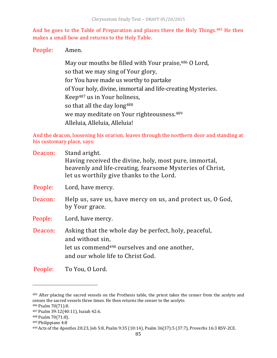And he goes to the Table of Preparation and places there the Holy Things.<sup>485</sup> He then makes a small bow and returns to the Holy Table.

People: Amen.

May our mouths be filled with Your praise, 486 O Lord, so that we may sing of Your glory, for You have made us worthy to partake of Your holy, divine, immortal and life-creating Mysteries. Keep<sup>487</sup> us in Your holiness, so that all the day long<sup>488</sup> we may meditate on Your righteousness.<sup>489</sup> Alleluia, Alleluia, Alleluia!

And the deacon, loosening his orarion, leaves through the northern door and standing at his customary place, says:

| Deacon: | Stand aright.<br>Having received the divine, holy, most pure, immortal,<br>heavenly and life-creating, fearsome Mysteries of Christ,<br>let us worthily give thanks to the Lord. |
|---------|----------------------------------------------------------------------------------------------------------------------------------------------------------------------------------|
| People: | Lord, have mercy.                                                                                                                                                                |
| Deacon: | Help us, save us, have mercy on us, and protect us, 0 God,<br>by Your grace.                                                                                                     |
| People: | Lord, have mercy.                                                                                                                                                                |
| Deacon: | Asking that the whole day be perfect, holy, peaceful,<br>and without sin,<br>let us commend <sup>490</sup> ourselves and one another,<br>and our whole life to Christ God.       |
| People: | To You, O Lord.                                                                                                                                                                  |

 $485$  After placing the sacred vessels on the Prothesis table, the priest takes the censer from the acolyte and censes the sacred vessels three times. He then returns the censer to the acolyte.

<sup>486</sup> Psalm 70(71):8. 

<sup>487</sup> Psalm 39:12(40:11), Isaiah 42:6.

<sup>488</sup> Psalm 70(71:8). 

<sup>&</sup>lt;sup>489</sup> Philippians 4:8

<sup>490</sup> Acts of the Apostles 20:23, Job 5:8, Psalm 9:35 (10:14), Psalm 36(37):5 (37:7), Proverbs 16:3 RSV-2CE.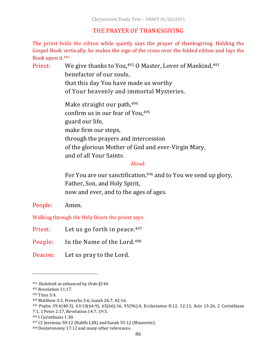### THE PRAYER OF THANKSGIVING

The priest folds the eiliton while quietly says the prayer of thanksgiving. Holding the Gospel Book vertically, he makes the sign of the cross over the folded eiliton and lays the Book upon it.<sup>491</sup>

Priest: We give thanks to You,<sup>492</sup> O Master, Lover of Mankind,<sup>493</sup> benefactor of our souls. that this day You have made us worthy of Your heavenly and immortal Mysteries.

> Make straight our path, 494 confirm us in our fear of You, $495$ guard our life, make firm our steps, through the prayers and intercession of the glorious Mother of God and ever-Virgin Mary, and of all Your Saints.

#### Aloud:

For You are our sanctification, $496$  and to You we send up glory, Father, Son, and Holy Spirit, now and ever, and to the ages of ages.

People: Amen.

Walking through the Holy Doors the priest says:

Priest: Let us go forth in peace. $497$ 

People: In the Name of the Lord.<sup>498</sup>

Deacon: Let us pray to the Lord.

<sup>&</sup>lt;sup>491</sup> *Služebnik* as enhanced by *Ordo* §144.

<sup>492</sup> Revelation 11:17. 

<sup>493</sup> Titus 3:4. 

<sup>494</sup> Matthew 3:3, Proverbs 3:6, Isaiah 26:7, 42:16.

<sup>495</sup> Psalm 39:4(40:3), 63:10(64:9), 65(66):16, 95(96):4, Ecclesiastes 8:12, 12:13, Acts 13:26, 2 Corinthians

<sup>7:1, 1</sup> Peter 2:17, Revelation 14:7, 19:5.

<sup>496</sup> I Corinthians 1:30.

<sup>&</sup>lt;sup>497</sup> Cf. Jeremias 50:12 (Rahlfs LXX) and Isaiah 55:12 (Masoretic).

<sup>498</sup> Deuteronomy 17:12 and many other references.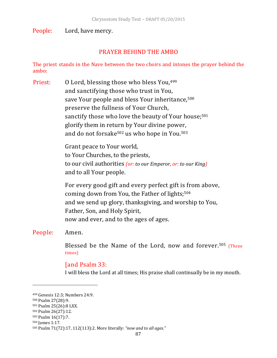People: Lord, have mercy.

# PRAYER BEHIND THE AMBO

The priest stands in the Nave between the two choirs and intones the prayer behind the ambo: 

Priest: 0 Lord, blessing those who bless You, 499 and sanctifying those who trust in You, save Your people and bless Your inheritance.<sup>500</sup> preserve the fullness of Your Church, sanctify those who love the beauty of Your house;<sup>501</sup> glorify them in return by Your divine power, and do not forsake<sup>502</sup> us who hope in You.<sup>503</sup>

> Grant peace to Your world, to Your Churches, to the priests, to our civil authorities *(or: to our Emperor, or: to our King)* and to all Your people.

For every good gift and every perfect gift is from above, coming down from You, the Father of lights;<sup>504</sup> and we send up glory, thanksgiving, and worship to You, Father, Son, and Holy Spirit, now and ever, and to the ages of ages.

People: Amen.

Blessed be the Name of the Lord, now and forever.<sup>505</sup> (Three times) 

[and Psalm 33:

I will bless the Lord at all times; His praise shall continually be in my mouth.

<sup>499</sup> Genesis 12:3; Numbers 24:9.

<sup>500</sup> Psalm 27(28):9. 

<sup>501</sup> Psalm 25(26):8 LXX.

<sup>502</sup> Psalm 26(27):12. 

<sup>503</sup> Psalm 16(17):7. 

<sup>504</sup> James 1:17.

<sup>505</sup> Psalm 71(72):17, 112(113):2. More literally: *"now and to all ages."*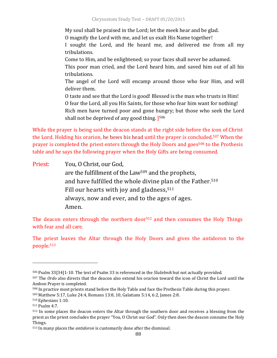My soul shall be praised in the Lord; let the meek hear and be glad.

O magnify the Lord with me, and let us exalt His Name together!

I sought the Lord, and He heard me, and delivered me from all my tribulations. 

Come to Him, and be enlightened; so your faces shall never be ashamed.

This poor man cried, and the Lord heard him, and saved him out of all his tribulations. 

The angel of the Lord will encamp around those who fear Him, and will deliver them.

O taste and see that the Lord is good! Blessed is the man who trusts in Him! O fear the Lord, all you His Saints, for those who fear him want for nothing! Rich men have turned poor and gone hungry; but those who seek the Lord shall not be deprived of any good thing.  $]^{506}$ 

While the prayer is being said the deacon stands at the right side before the icon of Christ the Lord. Holding his orarion, he bows his head until the prayer is concluded.<sup>507</sup> When the prayer is completed the priest enters through the Holy Doors and goes<sup>508</sup> to the Prothesis table and he says the following prayer when the Holy Gifts are being consumed.

Priest: You, O Christ, our God, are the fulfillment of the Law<sup>509</sup> and the prophets, and have fulfilled the whole divine plan of the Father.<sup>510</sup> Fill our hearts with joy and gladness,  $511$ always, now and ever, and to the ages of ages. Amen. 

The deacon enters through the northern door<sup>512</sup> and then consumes the Holy Things with fear and all care.

The priest leaves the Altar through the Holy Doors and gives the antidoron to the people.513 

<sup>506</sup> Psalm 33[34]1-10. The text of Psalm 33 is referenced in the *Služebnik* but not actually provided.

<sup>507</sup> The *Ordo* also directs that the deacon also extend his orarion toward the icon of Christ the Lord until the Ambon Prayer is completed.

<sup>508</sup> In practice most priests stand before the Holy Table and face the Prothesis Table during this prayer.

<sup>509</sup> Matthew 5:17, Luke 24:4, Romans 13:8, 10, Galatians 5:14, 6:2, James 2:8.

<sup>&</sup>lt;sup>510</sup> Ephesians 1:10.

<sup>511</sup> Psalm 4:7. 

 $512$  In some places the deacon enters the Altar through the southern door and receives a blessing from the priest as the priest concludes the prayer "You, O Christ our God". Only then does the deacon consume the Holy Things. 

<sup>&</sup>lt;sup>513</sup> In many places the *antidoron* is customarily done after the dismissal.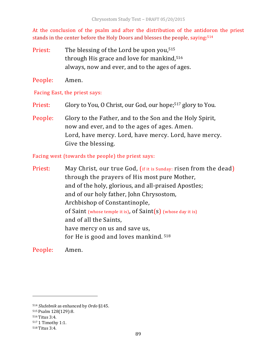At the conclusion of the psalm and after the distribution of the antidoron the priest stands in the center before the Holy Doors and blesses the people, saying:<sup>514</sup>

Priest: The blessing of the Lord be upon you, $515$ through His grace and love for mankind,<sup>516</sup> always, now and ever, and to the ages of ages.

People: Amen.

Facing East, the priest says:

Priest: Glory to You, O Christ, our God, our hope;<sup>517</sup> glory to You.

People: Glory to the Father, and to the Son and the Holy Spirit, now and ever, and to the ages of ages. Amen. Lord, have mercy. Lord, have mercy. Lord, have mercy. Give the blessing.

Facing west (towards the people) the priest says:

Priest: May Christ, our true God, *(if it is Sunday: risen from the dead)* through the prayers of His most pure Mother, and of the holy, glorious, and all-praised Apostles; and of our holy father, John Chrysostom, Archbishop of Constantinople, of Saint (whose temple it is), of Saint(s) (whose day it is) and of all the Saints, have mercy on us and save us, for He is good and loves mankind.  $518$ 

People: Amen.

<sup>514</sup> *Služebnik* as enhanced by *Ordo* §145. 

<sup>515</sup> Psalm 128(129):8.

<sup>516</sup> Titus 3:4. 

<sup>517 1</sup> Timothy 1:1.

<sup>518</sup> Titus 3:4.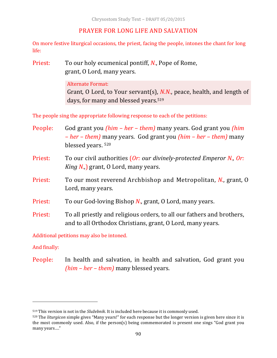# PRAYER FOR LONG LIFE AND SALVATION

On more festive liturgical occasions, the priest, facing the people, intones the chant for long life: 

Priest: To our holy ecumenical pontiff, *N.*, Pope of Rome, grant, O Lord, many years.

> Alternate Format: Grant, O Lord, to Your servant(s), N.N., peace, health, and length of days, for many and blessed years.<sup>519</sup>

The people sing the appropriate following response to each of the petitions:

| People: | God grant you <i>(him – her – them)</i> many years. God grant you <i>(him</i> )<br>$- her - them$ many years. God grant you <i>(him - her - them)</i> many<br>blessed years. 520 |
|---------|----------------------------------------------------------------------------------------------------------------------------------------------------------------------------------|
| Priest: | To our civil authorities (Or: our divinely-protected Emperor N., Or:<br><i>King N.</i> , $\alpha$ grant, 0 Lord, many years.                                                     |
| Priest: | To our most reverend Archbishop and Metropolitan, N., grant, O<br>Lord, many years.                                                                                              |
| Priest: | To our God-loving Bishop N., grant, O Lord, many years.                                                                                                                          |
| Priest: | To all priestly and religious orders, to all our fathers and brothers,<br>and to all Orthodox Christians, grant, O Lord, many years.                                             |

Additional petitions may also be intoned.

<u> 1989 - Johann Stein, fransk politik (d. 1989)</u>

And finally:

People: In health and salvation, in health and salvation, God grant you *(him – her – them)* many blessed years. 

<sup>519</sup> This version is not in the *Služebnik*. It is included here because it is commonly used.

<sup>520</sup> The *liturgicon* simple gives "Many years!" for each response but the longer version is given here since it is the most commonly used. Also, if the  $person(s)$  being commemorated is present one sings "God grant you many years...."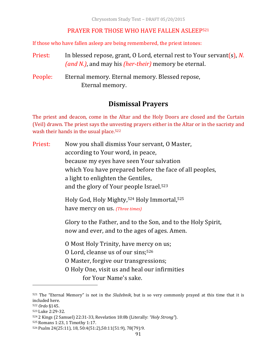#### PRAYER FOR THOSE WHO HAVE FALLEN ASLEEP<sup>521</sup>

If those who have fallen asleep are being remembered, the priest intones:

- Priest: In blessed repose, grant, O Lord, eternal rest to Your servant(s), *N. (and N.)*, and may his *(her-their)* memory be eternal.
- People: Eternal memory. Eternal memory. Blessed repose, Eternal memory.

# **Dismissal Prayers**

The priest and deacon, come in the Altar and the Holy Doors are closed and the Curtain (Veil) drawn. The priest says the unvesting prayers either in the Altar or in the sacristy and wash their hands in the usual place.<sup>522</sup>

Priest: Now you shall dismiss Your servant, O Master, according to Your word, in peace, because my eyes have seen Your salvation which You have prepared before the face of all peoples, a light to enlighten the Gentiles, and the glory of Your people Israel.<sup>523</sup>

> Holy God, Holy Mighty,<sup>524</sup> Holy Immortal,<sup>525</sup> have mercy on us. *(Three times)*

Glory to the Father, and to the Son, and to the Holy Spirit, now and ever, and to the ages of ages. Amen.

O Most Holy Trinity, have mercy on us;

- O Lord, cleanse us of our sins;<sup>526</sup>
- O Master, forgive our transgressions;
- O Holy One, visit us and heal our infirmities

for Your Name's sake.

<sup>&</sup>lt;sup>521</sup> The "Eternal Memory" is not in the *Služebnik*, but is so very commonly prayed at this time that it is included here.

<sup>522</sup> *Ordo* §145. 

<sup>523</sup> Luke 2:29-32.

<sup>524 2</sup> Kings (2 Samuel) 22:31-33, Revelation 18:8b (Literally: "Holy Strong").

<sup>525</sup> Romans 1:23, 1 Timothy 1:17.

<sup>526</sup> Psalm 24(25:11), 18, 50:4(51:2),50:11(51:9), 78(79):9.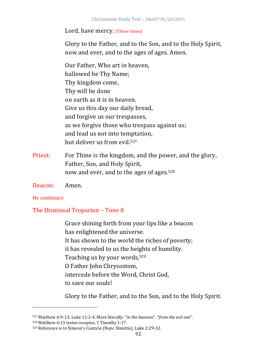Lord, have mercy. (Three times)

Glory to the Father, and to the Son, and to the Holy Spirit, now and ever, and to the ages of ages. Amen.

Our Father, Who art in heaven, hallowed be Thy Name; Thy kingdom come, Thy will be done on earth as it is in heaven. Give us this day our daily bread, and forgive us our trespasses, as we forgive those who trespass against us; and lead us not into temptation, but deliver us from evil.<sup>527</sup>

Priest: For Thine is the kingdom, and the power, and the glory, Father, Son, and Holy Spirit, now and ever, and to the ages of ages.<sup>528</sup>

Deacon: Amen.

He continues:

# The Dismissal Troparion – Tone 8

Grace shining forth from your lips like a beacon has enlightened the universe. It has shown to the world the riches of poverty; it has revealed to us the heights of humility. Teaching us by your words,<sup>529</sup> O Father John Chrysostom, intercede before the Word, Christ God, to save our souls!

Glory to the Father, and to the Son, and to the Holy Spirit.

<sup>527</sup> Matthew 6:9-13; Luke 11:2-4. More literally: "*in the heavens"*, "*from the evil one"*.

<sup>528</sup> Matthew 6:13 *textus receptus,* 1 Timothy 1:17. 

<sup>529</sup> Reference is to Simeon's Canticle (Nunc Dimittis), Luke 2:29-32.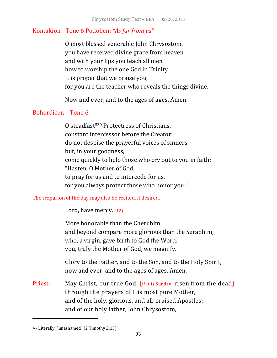# Kontakion ‐ Tone 6 Podoben: *"As far from us"*

O most blessed venerable John Chrysostom, you have received divine grace from heaven and with your lips you teach all men how to worship the one God in Trinity. It is proper that we praise you, for you are the teacher who reveals the things divine.

Now and ever, and to the ages of ages. Amen.

# Bohordicen – Tone 6

O steadfast<sup>530</sup> Protectress of Christians. constant intercessor before the Creator: do not despise the prayerful voices of sinners; but, in your goodness, come quickly to help those who cry out to you in faith: "Hasten, O Mother of God, to pray for us and to intercede for us, for you always protect those who honor you."

#### The troparion of the day may also be recited, if desired.

Lord, have mercy. (12)

More honorable than the Cherubim and beyond compare more glorious than the Seraphim, who, a virgin, gave birth to God the Word; you, truly the Mother of God, we magnify.

Glory to the Father, and to the Son, and to the Holy Spirit, now and ever, and to the ages of ages. Amen.

Priest: May Christ, our true God, *(if it is Sunday: risen from the dead)* through the prayers of His most pure Mother, and of the holy, glorious, and all-praised Apostles; and of our holy father, John Chrysostom,

<sup>&</sup>lt;sup>530</sup> Literally: "unashamed" (2 Timothy 2:15).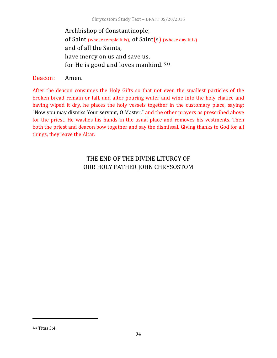Archbishop of Constantinople, of Saint (whose temple it is), of Saint(s) (whose day it is) and of all the Saints, have mercy on us and save us, for He is good and loves mankind.  $531$ 

Deacon: Amen.

After the deacon consumes the Holy Gifts so that not even the smallest particles of the broken bread remain or fall, and after pouring water and wine into the holy chalice and having wiped it dry, he places the holy vessels together in the customary place, saying: "Now you may dismiss Your servant, O Master," and the other prayers as prescribed above for the priest. He washes his hands in the usual place and removes his vestments. Then both the priest and deacon bow together and say the dismissal. Giving thanks to God for all things, they leave the Altar.

# THE END OF THE DIVINE LITURGY OF OUR HOLY FATHER JOHN CHRYSOSTOM

531 Titus 3:4.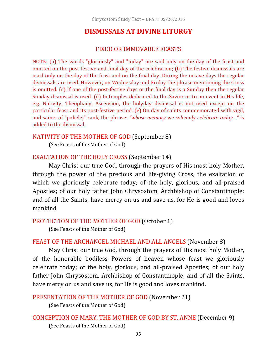# **DISMISSALS AT DIVINE LITURGY**

### FIXED OR IMMOVABLE FEASTS

NOTE: (a) The words "gloriously" and "today" are said only on the day of the feast and omitted on the post-festive and final day of the celebration; (b) The festive dismissals are used only on the day of the feast and on the final day. During the octave days the regular dismissals are used. However, on Wednesday and Friday the phrase mentioning the Cross is omitted.  $(c)$  If one of the post-festive days or the final day is a Sunday then the regular Sunday dismissal is used. (d) In temples dedicated to the Savior or to an event in His life, e.g. Nativity, Theophany, Ascension, the holyday dismissal is not used except on the particular feast and its post-festive period. (e) On day of saints commemorated with vigil, and saints of "polielej" rank, the phrase: "whose *memory* we solemnly celebrate today..." is added to the dismissal.

### NATIVITY OF THE MOTHER OF GOD (September 8)

(See Feasts of the Mother of God)

#### EXALTATION OF THE HOLY CROSS (September 14)

May Christ our true God, through the prayers of His most holy Mother, through the power of the precious and life-giving Cross, the exaltation of which we gloriously celebrate today; of the holy, glorious, and all-praised Apostles; of our holy father John Chrysostom, Archbishop of Constantinople; and of all the Saints, have mercy on us and save us, for He is good and loves mankind. 

```
PROTECTION OF THE MOTHER OF GOD (October 1)
```
(See Feasts of the Mother of God)

#### FEAST OF THE ARCHANGEL MICHAEL AND ALL ANGELS (November 8)

May Christ our true God, through the prayers of His most holy Mother, of the honorable bodiless Powers of heaven whose feast we gloriously celebrate today; of the holy, glorious, and all-praised Apostles; of our holy father John Chrysostom, Archbishop of Constantinople; and of all the Saints, have mercy on us and save us, for He is good and loves mankind.

```
PRESENTATION OF THE MOTHER OF GOD (November 21)
```
(See Feasts of the Mother of God)

```
CONCEPTION OF MARY, THE MOTHER OF GOD BY ST. ANNE (December 9)
```
(See Feasts of the Mother of God)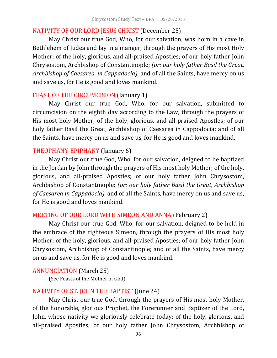# NATIVITY OF OUR LORD JESUS CHRIST (December 25)

May Christ our true God, Who, for our salvation, was born in a cave in Bethlehem of Judea and lay in a manger, through the prayers of His most Holy Mother; of the holy, glorious, and all-praised Apostles; of our holy father John Chrysostom, Archbishop of Constantinople; *(or: our holy father Basil the Great, Archbishop of Caesarea, in Cappadocia),* and of all the Saints, have mercy on us and save us, for He is good and loves mankind.

# FEAST OF THE CIRCUMCISION (January 1)

May Christ our true God, Who, for our salvation, submitted to circumcision on the eighth day according to the Law, through the prayers of His most holy Mother; of the holy, glorious, and all-praised Apostles; of our holy father Basil the Great, Archbishop of Caesarea in Cappodocia; and of all the Saints, have mercy on us and save us, for He is good and loves mankind.

# THEOPHANY-EPIPHANY (January 6)

May Christ our true God, Who, for our salvation, deigned to be baptized in the Jordan by John through the prayers of His most holy Mother; of the holy, glorious, and all-praised Apostles; of our holy father John Chrysostom, Archbishop of Constantinople; *(or: our holy father Basil the Great, Archbishop of Caesarea in Cappadocia),* and of all the Saints, have mercy on us and save us, for He is good and loves mankind.

# MEETING OF OUR LORD WITH SIMEON AND ANNA (February 2)

May Christ our true God, Who, for our salvation, deigned to be held in the embrace of the righteous Simeon, through the prayers of His most holy Mother; of the holy, glorious, and all-praised Apostles; of our holy father John Chrysostom, Archbishop of Constantinople; and of all the Saints, have mercy on us and save us, for He is good and loves mankind.

# **ANNUNCIATION** (March 25)

(See Feasts of the Mother of God)

# NATIVITY OF ST. JOHN THE BAPTIST (June 24)

May Christ our true God, through the prayers of His most holy Mother, of the honorable, glorious Prophet, the Forerunner and Baptizer of the Lord, John, whose nativity we gloriously celebrate today; of the holy, glorious, and all-praised Apostles; of our holy father John Chrysostom, Archbishop of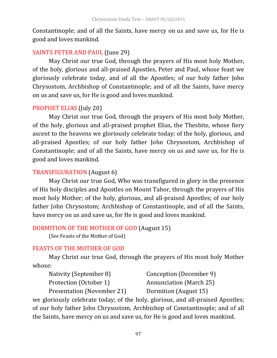Constantinople; and of all the Saints, have mercy on us and save us, for He is good and loves mankind.

#### SAINTS PETER AND PAUL (June 29)

May Christ our true God, through the prayers of His most holy Mother, of the holy, glorious and all-praised Apostles, Peter and Paul, whose feast we gloriously celebrate today, and of all the Apostles; of our holy father John Chrysostom, Archbishop of Constantinople; and of all the Saints, have mercy on us and save us, for He is good and loves mankind.

## PROPHET ELIAS (July 20)

May Christ our true God, through the prayers of His most holy Mother, of the holy, glorious and all-praised prophet Elias, the Thesbite, whose fiery ascent to the heavens we gloriously celebrate today; of the holy, glorious, and all-praised Apostles; of our holy father John Chrysostom, Archbishop of Constantinople; and of all the Saints, have mercy on us and save us, for He is good and loves mankind.

## TRANSFIGURATION (August 6)

May Christ our true God, Who was transfigured in glory in the presence of His holy disciples and Apostles on Mount Tabor, through the prayers of His most holy Mother; of the holy, glorious, and all-praised Apostles; of our holy father John Chrysostom; Archbishop of Constantinople, and of all the Saints, have mercy on us and save us, for He is good and loves mankind.

#### DORMITION OF THE MOTHER OF GOD (August 15)

(See Feasts of the Mother of God)

#### FEASTS OF THE MOTHER OF GOD

May Christ our true God, through the prayers of His most holy Mother whose: 

| Nativity (September 8) | Conception (December 9) |
|------------------------|-------------------------|
|------------------------|-------------------------|

Protection (October 1) Annunciation (March 25)

Presentation (November 21) Dormition (August 15)

we gloriously celebrate today; of the holy, glorious, and all-praised Apostles; of our holy father John Chrysostom, Archbishop of Constantinople; and of all the Saints, have mercy on us and save us, for He is good and loves mankind.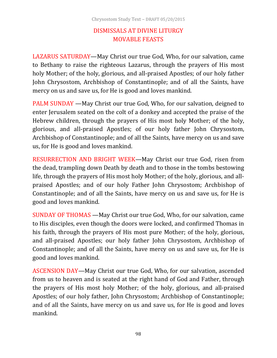### DISMISSALS AT DIVINE LITURGY **MOVABLE FEASTS**

LAZARUS SATURDAY—May Christ our true God, Who, for our salvation, came to Bethany to raise the righteous Lazarus, through the prayers of His most holy Mother; of the holy, glorious, and all-praised Apostles; of our holy father John Chrysostom, Archbishop of Constantinople; and of all the Saints, have mercy on us and save us, for He is good and loves mankind.

PALM SUNDAY —May Christ our true God, Who, for our salvation, deigned to enter Jerusalem seated on the colt of a donkey and accepted the praise of the Hebrew children, through the prayers of His most holy Mother; of the holy, glorious, and all-praised Apostles; of our holy father John Chrysostom, Archbishop of Constantinople; and of all the Saints, have mercy on us and save us, for He is good and loves mankind.

RESURRECTION AND BRIGHT WEEK—May Christ our true God, risen from the dead, trampling down Death by death and to those in the tombs bestowing life, through the prayers of His most holy Mother; of the holy, glorious, and allpraised Apostles; and of our holy Father John Chrysostom; Archbishop of Constantinople; and of all the Saints, have mercy on us and save us, for He is good and loves mankind.

SUNDAY OF THOMAS —May Christ our true God, Who, for our salvation, came to His disciples, even though the doors were locked, and confirmed Thomas in his faith, through the prayers of His most pure Mother; of the holy, glorious, and all-praised Apostles; our holy father John Chrysostom, Archbishop of Constantinople; and of all the Saints, have mercy on us and save us, for He is good and loves mankind.

ASCENSION DAY—May Christ our true God, Who, for our salvation, ascended from us to heaven and is seated at the right hand of God and Father, through the prayers of His most holy Mother; of the holy, glorious, and all-praised Apostles; of our holy father, John Chrysostom; Archbishop of Constantinople; and of all the Saints, have mercy on us and save us, for He is good and loves mankind.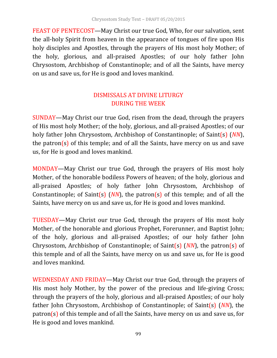FEAST OF PENTECOST—May Christ our true God, Who, for our salvation, sent the all-holy Spirit from heaven in the appearance of tongues of fire upon His holy disciples and Apostles, through the prayers of His most holy Mother; of the holy, glorious, and all-praised Apostles; of our holy father John Chrysostom, Archbishop of Constantinople; and of all the Saints, have mercy on us and save us, for He is good and loves mankind.

### DISMISSALS AT DIVINE LITURGY DURING THE WEEK

SUNDAY—May Christ our true God, risen from the dead, through the prayers of His most holy Mother; of the holy, glorious, and all-praised Apostles; of our holy father John Chrysostom, Archbishop of Constantinople; of Saint(s) (*NN*), the patron(s) of this temple; and of all the Saints, have mercy on us and save us, for He is good and loves mankind.

MONDAY—May Christ our true God, through the prayers of His most holy Mother, of the honorable bodiless Powers of heaven; of the holy, glorious and all-praised Apostles; of holy father John Chrysostom, Archbishop of Constantinople; of Saint(s)  $(NN)$ , the patron(s) of this temple; and of all the Saints, have mercy on us and save us, for He is good and loves mankind.

TUESDAY—May Christ our true God, through the prayers of His most holy Mother, of the honorable and glorious Prophet, Forerunner, and Baptist John; of the holy, glorious and all-praised Apostles; of our holy father John Chrysostom, Archbishop of Constantinople; of Saint(s) (*NN*), the patron(s) of this temple and of all the Saints, have mercy on us and save us, for He is good and loves mankind.

WEDNESDAY AND FRIDAY—May Christ our true God, through the prayers of His most holy Mother, by the power of the precious and life-giving Cross; through the prayers of the holy, glorious and all-praised Apostles; of our holy father John Chrysostom, Archbishop of Constantinople; of Saint(s) (*NN*), the patron(s) of this temple and of all the Saints, have mercy on us and save us, for He is good and loves mankind.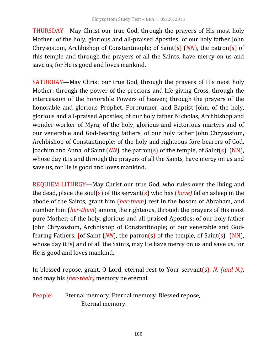THURSDAY—May Christ our true God, through the prayers of His most holy Mother; of the holy, glorious and all-praised Apostles; of our holy father John Chrysostom, Archbishop of Constantinople; of Saint(s) (*NN*), the patron(s) of this temple and through the prayers of all the Saints, have mercy on us and save us, for He is good and loves mankind.

SATURDAY—May Christ our true God, through the prayers of His most holy Mother; through the power of the precious and life-giving Cross, through the intercession of the honorable Powers of heaven; through the prayers of the honorable and glorious Prophet, Forerunner, and Baptist John, of the holy, glorious and all-praised Apostles; of our holy father Nicholas, Archbishop and wonder-worker of Myra; of the holy, glorious and victorious martyrs and of our venerable and God-bearing fathers, of our holy father John Chrysostom, Archbishop of Constantinople; of the holy and righteous fore-bearers of God, Joachim and Anna, of Saint *(NN)*, the patron(s) of the temple, of Saint(s) *(NN)*, whose day it is and through the prayers of all the Saints, have mercy on us and save us, for He is good and loves mankind.

REQUIEM LITURGY—May Christ our true God, who rules over the living and the dead, place the soul(s) of His servant(s) who has  $(have)$  fallen asleep in the abode of the Saints, grant him (*her-them*) rest in the bosom of Abraham, and number him (*her-them*) among the righteous, through the prayers of His most pure Mother; of the holy, glorious and all-praised Apostles; of our holy father John Chrysostom, Archbishop of Constantinople; of our venerable and Godfearing Fathers; [of Saint (*NN*), the patron(s) of the temple, of Saint(s) (NN), whose day it is] and of all the Saints, may He have mercy on us and save us, for He is good and loves mankind.

In blessed repose, grant, O Lord, eternal rest to Your servant(s), *N. (and N.)*, and may his *(her-their)* memory be eternal.

People: Eternal memory. Eternal memory. Blessed repose, Eternal memory.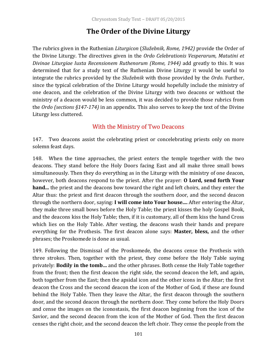# **The Order of the Divine Liturgy**

The rubrics given in the Ruthenian *Liturgicon* (*Služebnik, Rome, 1942*) provide the Order of the Divine Liturgy. The directives given in the *Ordo Celebrationis Vesperarum, Matutini et Divinae Liturgiae Iuxta Recensionem Ruthenorum (Rome, 1944)* add greatly to this. It was determined that for a study text of the Ruthenian Divine Liturgy it would be useful to integrate the rubrics provided by the *Služebnik* with those provided by the *Ordo*. Further, since the typical celebration of the Divine Liturgy would hopefully include the ministry of one deacon, and the celebration of the Divine Liturgy with two deacons or without the ministry of a deacon would be less common, it was decided to provide those rubrics from the *Ordo (sections* §147-174) in an appendix. This also serves to keep the text of the Divine Liturgy less cluttered.

#### With the Ministry of Two Deacons

147. Two deacons assist the celebrating priest or concelebrating priests only on more solemn feast days.

148. When the time approaches, the priest enters the temple together with the two deacons. They stand before the Holy Doors facing East and all make three small bows simultaneously. Then they do everything as in the Liturgy with the ministry of one deacon, however, both deacons respond to the priest. After the prayer: **O Lord, send forth Your hand...** the priest and the deacons bow toward the right and left choirs, and they enter the Altar thus: the priest and first deacon through the southern door, and the second deacon through the northern door, saying: **I will come into Your house....** After entering the Altar, they make three small bows before the Holy Table; the priest kisses the holy Gospel Book, and the deacons kiss the Holy Table; then, if it is customary, all of them kiss the hand Cross which lies on the Holy Table. After vesting, the deacons wash their hands and prepare everything for the Prothesis. The first deacon alone says: **Master, bless,** and the other phrases; the Proskomede is done as usual.

149. Following the Dismissal of the Proskomede, the deacons cense the Prothesis with three strokes. Then, together with the priest, they come before the Holy Table saying **privately:** Bodily in the tomb... and the other phrases. Both cense the Holy Table together from the front; then the first deacon the right side, the second deacon the left, and again, both together from the East; then the apsidal icon and the other icons in the Altar; the first deacon the Cross and the second deacon the icon of the Mother of God, if these are found behind the Holy Table. Then they leave the Altar, the first deacon through the southern door, and the second deacon through the northern door. They come before the Holy Doors and cense the images on the iconostasis, the first deacon beginning from the icon of the Savior, and the second deacon from the icon of the Mother of God. Then the first deacon censes the right choir, and the second deacon the left choir. They cense the people from the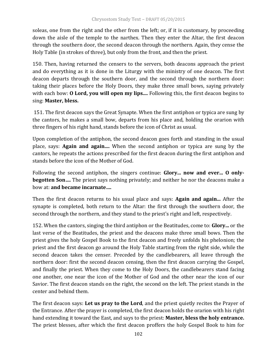soleas, one from the right and the other from the left; or, if it is customary, by proceeding down the aisle of the temple to the narthex. Then they enter the Altar, the first deacon through the southern door, the second deacon through the northern. Again, they cense the Holy Table (in strokes of three), but only from the front, and then the priest.

150. Then, having returned the censers to the servers, both deacons approach the priest and do everything as it is done in the Liturgy with the ministry of one deacon. The first deacon departs through the southern door, and the second through the northern door: taking their places before the Holy Doors, they make three small bows, saying privately with each bow: **O Lord, you will open my lips....** Following this, the first deacon begins to sing: **Master, bless.**

151. The first deacon says the Great Synapte. When the first antiphon or typica are sung by the cantors, he makes a small bow, departs from his place and, holding the orarion with three fingers of his right hand, stands before the icon of Christ as usual.

Upon completion of the antiphon, the second deacon goes forth and standing in the usual place, says: **Again and again....** When the second antiphon or typica are sung by the cantors, he repeats the actions prescribed for the first deacon during the first antiphon and stands before the icon of the Mother of God.

Following the second antiphon, the singers continue: **Glory... now and ever...** O only**begotten Son....** The priest says nothing privately; and neither he nor the deacons make a bow at: **and became incarnate….** 

Then the first deacon returns to his usual place and says: Again and again... After the synapte is completed, both return to the Altar: the first through the southern door, the second through the northern, and they stand to the priest's right and left, respectively.

152. When the cantors, singing the third antiphon or the Beatitudes, come to: **Glory...** or the last verse of the Beatitudes, the priest and the deacons make three small bows. Then the priest gives the holy Gospel Book to the first deacon and freely unfolds his phelonion; the priest and the first deacon go around the Holy Table starting from the right side, while the second deacon takes the censer. Preceded by the candlebearers, all leave through the northern door: first the second deacon censing, then the first deacon carrying the Gospel, and finally the priest. When they come to the Holy Doors, the candlebearers stand facing one another, one near the icon of the Mother of God and the other near the icon of our Savior. The first deacon stands on the right, the second on the left. The priest stands in the center and behind them.

The first deacon says: Let us pray to the Lord, and the priest quietly recites the Prayer of the Entrance. After the prayer is completed, the first deacon holds the orarion with his right hand extending it toward the East, and says to the priest: **Master, bless the holy entrance.** The priest blesses, after which the first deacon proffers the holy Gospel Book to him for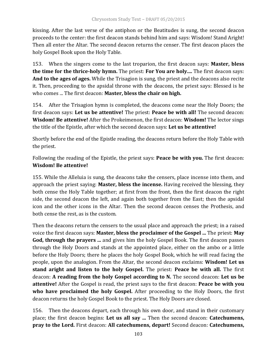kissing. After the last verse of the antiphon or the Beatitudes is sung, the second deacon proceeds to the center: the first deacon stands behind him and says: Wisdom! Stand Aright! Then all enter the Altar. The second deacon returns the censer. The first deacon places the holy Gospel Book upon the Holy Table.

153. When the singers come to the last troparion, the first deacon says: Master, bless **the time** for **the thrice-holy hymn.** The priest: **For You** are **holy....** The first deacon says: **And to the ages of ages.** While the Trisagion is sung, the priest and the deacons also recite it. Then, proceeding to the apsidal throne with the deacons, the priest says: Blessed is he who comes ... The first deacon: **Master, bless the chair on high.**

154. After the Trisagion hymn is completed, the deacons come near the Holy Doors; the **first deacon says: Let us be attentive!** The priest: **Peace be with all!** The second deacon: **Wisdom! Be attentive!** After the Prokeimenon, the first deacon: **Wisdom!** The lector sings the title of the Epistle, after which the second deacon says: Let us be attentive!

Shortly before the end of the Epistle reading, the deacons return before the Holy Table with the priest.

Following the reading of the Epistle, the priest says: **Peace be with you.** The first deacon: **Wisdom! Be attentive!**

155. While the Alleluia is sung, the deacons take the censers, place incense into them, and approach the priest saying: Master, bless the incense. Having received the blessing, they both cense the Holy Table together; at first from the front, then the first deacon the right side, the second deacon the left, and again both together from the East; then the apsidal icon and the other icons in the Altar. Then the second deacon censes the Prothesis, and both cense the rest, as is the custom.

Then the deacons return the censers to the usual place and approach the priest; in a raised **voice the first deacon says: Master, bless the proclaimer of the Gospel ...** The priest: May **God, through the prayers** ... and gives him the holy Gospel Book. The first deacon passes through the Holy Doors and stands at the appointed place, either on the ambo or a little before the Holy Doors; there he places the holy Gospel Book, which he will read facing the people, upon the analogion. From the Altar, the second deacon exclaims: **Wisdom!** Let us **stand aright and listen to the holy Gospel.** The priest: **Peace be with all.** The first deacon: **A reading from the holy Gospel according to N.** The second deacon: **Let us be attentive!** After the Gospel is read, the priest says to the first deacon: **Peace be with you who** have proclaimed the holy Gospel. After proceeding to the Holy Doors, the first deacon returns the holy Gospel Book to the priest. The Holy Doors are closed.

156. Then the deacons depart, each through his own door, and stand in their customary place; the first deacon begins: Let us all say ... Then the second deacon: Catechumens, **pray to the Lord.** First deacon: **All catechumens, depart!** Second deacon: **Catechumens,**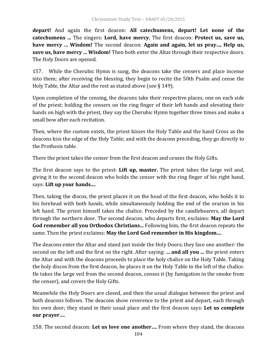**depart!** And again the first deacon: **All catechumens, depart! Let none of the catechumens** ... The singers: Lord, have mercy. The first deacon: Protect us, save us, **have mercy** ... Wisdom! The second deacon: Again and again, let us pray..., Help us, **save us, have mercy ... Wisdom!** Then both enter the Altar through their respective doors. The Holy Doors are opened.

157. While the Cherubic Hymn is sung, the deacons take the censers and place incense into them; after receiving the blessing, they begin to recite the 50th Psalm and cense the Holy Table, the Altar and the rest as stated above (see  $\S$  149).

Upon completion of the censing, the deacons take their respective places, one on each side of the priest; holding the censers on the ring finger of their left hands and elevating their hands on high with the priest, they say the Cherubic Hymn together three times and make a small bow after each recitation.

Then, where the custom exists, the priest kisses the Holy Table and the hand Cross as the deacons kiss the edge of the Holy Table; and with the deacons preceding, they go directly to the Prothesis table.

There the priest takes the censer from the first deacon and censes the Holy Gifts.

The first deacon says to the priest: **Lift up, master.** The priest takes the large veil and, giving it to the second deacon who holds the censer with the ring finger of his right hand, says: **Lift up your hands....**

Then, taking the discos, the priest places it on the head of the first deacon, who holds it to his forehead with both hands, while simultaneously holding the end of the orarion in his left hand. The priest himself takes the chalice. Preceded by the candlebearers, all depart through the northern door. The second deacon, who departs first, exclaims: May the Lord **God remember all you Orthodox Christians...** Following him, the first deacon repeats the same. Then the priest exclaims: May the Lord God remember in His kingdom....

The deacons enter the Altar and stand just inside the Holy Doors; they face one another: the second on the left and the first on the right. After saying: **... and all you** ... the priest enters the Altar and with the deacons proceeds to place the holy chalice on the Holy Table. Taking the holy discos from the first deacon, he places it on the Holy Table to the left of the chalice. He takes the large veil from the second deacon, censes it (by fumigation in the smoke from the censer), and covers the Holy Gifts.

Meanwhile the Holy Doors are closed, and then the usual dialogue between the priest and both deacons follows. The deacons show reverence to the priest and depart, each through his own door; they stand in their usual place and the first deacon says: Let us complete **our prayer….**

**158.** The second deacon: Let us love one another.... From where they stand, the deacons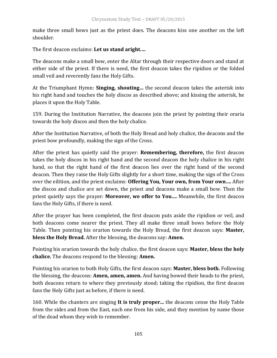make three small bows just as the priest does. The deacons kiss one another on the left shoulder. 

The first deacon exclaims: Let us stand aright....

The deacons make a small bow, enter the Altar through their respective doors and stand at either side of the priest. If there is need, the first deacon takes the ripidion or the folded small veil and reverently fans the Holy Gifts.

At the Triumphant Hymn: **Singing, shouting...** the second deacon takes the asterisk into his right hand and touches the holy discos as described above; and kissing the asterisk, he places it upon the Holy Table.

159. During the Institution Narrative, the deacons join the priest by pointing their oraria towards the holy discos and then the holy chalice.

After the Institution Narrative, of both the Holy Bread and holy chalice, the deacons and the priest bow profoundly, making the sign of the Cross.

After the priest has quietly said the prayer: **Remembering, therefore**, the first deacon takes the holy discos in his right hand and the second deacon the holy chalice in his right hand, so that the right hand of the first deacon lies over the right hand of the second deacon. Then they raise the Holy Gifts slightly for a short time, making the sign of the Cross **over the eilition, and the priest exclaims: Offering You, Your own, from Your own.... After** the discos and chalice are set down, the priest and deacons make a small bow. Then the priest quietly says the prayer: Moreover, we offer to You.... Meanwhile, the first deacon fans the Holy Gifts, if there is need.

After the prayer has been completed, the first deacon puts aside the ripidion or veil, and both deacons come nearer the priest. They all make three small bows before the Holy Table. Then pointing his orarion towards the Holy Bread, the first deacon says: **Master**, **bless the Holy Bread.** After the blessing, the deacons say: **Amen.** 

Pointing his orarion towards the holy chalice, the first deacon says: **Master, bless the holy chalice.** The deacons respond to the blessing: **Amen.** 

Pointing his orarion to both Holy Gifts, the first deacon says: Master, bless both. Following the blessing, the deacons: **Amen, amen, amen.** And having bowed their heads to the priest, both deacons return to where they previously stood; taking the ripidion, the first deacon fans the Holy Gifts just as before, if there is need.

**160.** While the chanters are singing **It is truly proper...** the deacons cense the Holy Table from the sides and from the East, each one from his side, and they mention by name those of the dead whom they wish to remember.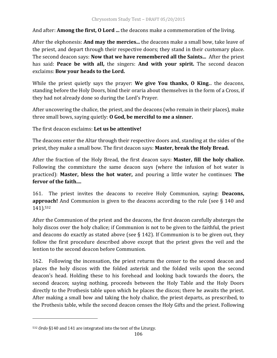And after: **Among the first, O Lord** ... the deacons make a commemoration of the living.

After the ekphonesis: And may the mercies... the deacons make a small bow, take leave of the priest, and depart through their respective doors; they stand in their customary place. **The second deacon says: Now that we have remembered all the Saints...** After the priest has said: **Peace be with all,** the singers: **And with your spirit.** The second deacon exclaims: **Bow your heads to the Lord.**

While the priest quietly says the prayer: **We give You thanks, O King...** the deacons, standing before the Holy Doors, bind their oraria about themselves in the form of a Cross, if they had not already done so during the Lord's Prayer.

After uncovering the chalice, the priest, and the deacons (who remain in their places), make three small bows, saying quietly: **O God, be merciful to me a sinner.**

The first deacon exclaims: **Let us be attentive!**

The deacons enter the Altar through their respective doors and, standing at the sides of the priest, they make a small bow. The first deacon says: **Master, break the Holy Bread.**

After the fraction of the Holy Bread, the first deacon says: Master, fill the holy chalice. Following the commixture the same deacon says (where the infusion of hot water is practiced): **Master, bless the hot water,** and pouring a little water he continues: **The fervor of the faith....**

161. The priest invites the deacons to receive Holy Communion, saying: **Deacons**, **approach!** And Communion is given to the deacons according to the rule (see  $\S$  140 and 141).532

After the Communion of the priest and the deacons, the first deacon carefully absterges the holy discos over the holy chalice; if Communion is not to be given to the faithful, the priest and deacons do exactly as stated above (see  $\S$  142). If Communion is to be given out, they follow the first procedure described above except that the priest gives the veil and the lention to the second deacon before Communion.

162. Following the incensation, the priest returns the censer to the second deacon and places the holy discos with the folded asterisk and the folded veils upon the second deacon's head. Holding these to his forehead and looking back towards the doors, the second deacon; saying nothing, proceeds between the Holy Table and the Holy Doors directly to the Prothesis table upon which he places the discos; there he awaits the priest. After making a small bow and taking the holy chalice, the priest departs, as prescribed, to the Prothesis table, while the second deacon censes the Holy Gifts and the priest. Following

 

<sup>532</sup> *Ordo* §140 and 141 are integrated into the text of the Liturgy.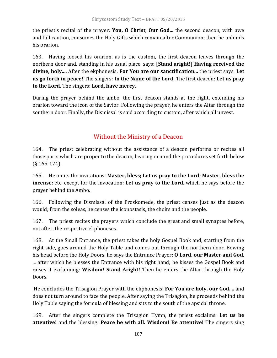the priest's recital of the prayer: **You, O Christ, Our God...** the second deacon, with awe and full caution, consumes the Holy Gifts which remain after Communion; then he unbinds his orarion.

163. Having loosed his orarion, as is the custom, the first deacon leaves through the northern door and, standing in his usual place, says: **[Stand aright!] Having received the divine, holy....** After the ekphonesis: For You are our sanctification... the priest says: Let **us go forth in peace!** The singers: **In the Name of the Lord.** The first deacon: **Let us pray to the Lord.** The singers: **Lord, have mercy.**

During the prayer behind the ambo, the first deacon stands at the right, extending his orarion toward the icon of the Savior. Following the prayer, he enters the Altar through the southern door. Finally, the Dismissal is said according to custom, after which all unvest.

## Without the Ministry of a Deacon

164. The priest celebrating without the assistance of a deacon performs or recites all those parts which are proper to the deacon, bearing in mind the procedures set forth below  $(S$  165-174).

165. He omits the invitations: **Master, bless; Let us pray to the Lord; Master, bless the incense:** etc. except for the invocation: Let us pray to the Lord, which he says before the prayer behind the Ambo.

166. Following the Dismissal of the Proskomede, the priest censes just as the deacon would; from the soleas, he censes the iconostasis, the choirs and the people.

167. The priest recites the prayers which conclude the great and small synaptes before, not after, the respective ekphoneses.

168. At the Small Entrance, the priest takes the holy Gospel Book and, starting from the right side, goes around the Holy Table and comes out through the northern door. Bowing his head before the Holy Doors, he says the Entrance Prayer: **O Lord, our Master and God**, ... after which he blesses the Entrance with his right hand; he kisses the Gospel Book and raises it exclaiming: **Wisdom! Stand Aright!** Then he enters the Altar through the Holy Doors. 

He concludes the Trisagion Prayer with the ekphonesis: **For You are holy, our God....** and does not turn around to face the people. After saying the Trisagion, he proceeds behind the Holy Table saying the formula of blessing and sits to the south of the apsidal throne.

169. After the singers complete the Trisagion Hymn, the priest exclaims: Let us be **attentive!** and the blessing: **Peace be with all. Wisdom! Be attentive!** The singers sing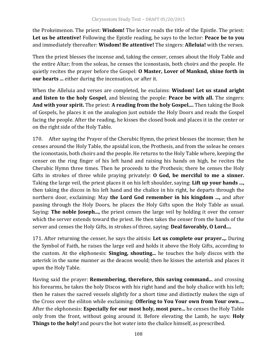the Prokeimenon. The priest: **Wisdom!** The lector reads the title of the Epistle. The priest: **Let us** be attentive! Following the Epistle reading, he says to the lector: **Peace be to you** and immediately thereafter: **Wisdom! Be attentive!** The singers: **Alleluia!** with the verses.

Then the priest blesses the incense and, taking the censer, censes about the Holy Table and the entire Altar; from the soleas, he censes the iconostasis, both choirs and the people. He quietly recites the prayer before the Gospel: **O Master, Lover of Manknd, shine forth in our hearts** ... either during the incensation, or after it.

When the Alleluia and verses are completed, he exclaims: **Wisdom!** Let us stand aright **and listen to the holy Gospel**, and blessing the people: **Peace** be with all. The singers: **And** with your spirit. The priest: A reading from the holy Gospel.... Then taking the Book of Gospels, he places it on the analogion just outside the Holy Doors and reads the Gospel facing the people. After the reading, he kisses the closed book and places it in the center or on the right side of the Holy Table.

170. After saying the Prayer of the Cherubic Hymn, the priest blesses the incense; then he censes around the Holy Table, the apsidal icon, the Prothesis, and from the soleas he censes the iconostasis, both choirs and the people. He returns to the Holy Table where, keeping the censer on the ring finger of his left hand and raising his hands on high, he recites the Cherubic Hymn three times. Then he proceeds to the Prothesis; there he censes the Holy Gifts in strokes of three while praying privately: **O** God, be merciful to me a sinner. Taking the large veil, the priest places it on his left shoulder, saying: **Lift up your hands** ..., then taking the discos in his left hand and the chalice in his right, he departs through the northern door, exclaiming: May **the Lord God remember in his kingdom ...,** and after passing through the Holy Doors, he places the Holy Gifts upon the Holy Table as usual. Saying: **The noble Joseph...,** the priest censes the large veil by holding it over the censer which the server extends toward the priest. He then takes the censer from the hands of the server and censes the Holy Gifts, in strokes of three, saying: **Deal favorably, O Lord....** 

171. After returning the censer, he says the aitisis: Let us complete our prayer..,. During the Symbol of Faith, he raises the large veil and holds it above the Holy Gifts, according to the custom. At the ekphonesis: **Singing, shouting...** he touches the holy discos with the asterisk in the same manner as the deacon would; then he kisses the asterisk and places it upon the Holy Table.

Having said the prayer: **Remembering, therefore, this saving command...** and crossing his forearms, he takes the holy Discos with his right hand and the holy chalice with his left; then he raises the sacred vessels slightly for a short time and distinctly makes the sign of **the Cross over the eiliton while exclaiming: Offering to You Your own from Your own.... After the ekphonesis: Especially for our most holy, most pure...** he censes the Holy Table only from the front, without going around it. Before elevating the Lamb, he says: **Holy Things to the holy!** and pours the hot water into the chalice himself, as prescribed.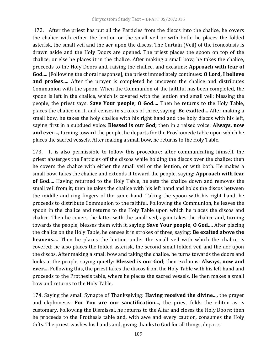172. After the priest has put all the Particles from the discos into the chalice, he covers the chalice with either the lention or the small veil or with both; he places the folded asterisk, the small veil and the aer upon the discos. The Curtain (Veil) of the iconostasis is drawn aside and the Holy Doors are opened. The priest places the spoon on top of the chalice; or else he places it in the chalice. After making a small bow, he takes the chalice, proceeds to the Holy Doors and, raising the chalice, and exclaims: **Approach with fear of God....** [Following the choral response], the priest immediately continues: **O Lord, I believe and profess....** After the prayer is completed he uncovers the chalice and distributes Communion with the spoon. When the Communion of the faithful has been completed, the spoon is left in the chalice, which is covered with the lention and small veil; blessing the **people, the priest says: Save Your people, O God....** Then he returns to the Holy Table, places the chalice on it, and censes in strokes of three, saying: **Be exalted...** After making a small bow, he takes the holy chalice with his right hand and the holy discos with his left, saying first in a subdued voice: **Blessed is our God**; then in a raised voice: **Always**, now **and ever...,** turning toward the people, he departs for the Proskomede table upon which he places the sacred vessels. After making a small bow, he returns to the Holy Table.

173. It is also permissible to follow this procedure: after communicating himself, the priest absterges the Particles off the discos while holding the discos over the chalice; then he covers the chalice with either the small veil or the lention, or with both. He makes a small bow, takes the chalice and extends it toward the people, saying: **Approach with fear of God....** Having returned to the Holy Table, he sets the chalice down and removes the small veil from it; then he takes the chalice with his left hand and holds the discos between the middle and ring fingers of the same hand. Taking the spoon with his right hand, he proceeds to distribute Communion to the faithful. Following the Communion, he leaves the spoon in the chalice and returns to the Holy Table upon which he places the discos and chalice. Then he covers the latter with the small veil, again takes the chalice and, turning towards the people, blesses them with it, saying: **Save Your people, O God....** After placing **the chalice on the Holy Table, he censes it in strokes of three, saying: <b>Be exalted above the heavens....** Then he places the lention under the small veil with which the chalice is covered; he also places the folded asterisk, the second small folded veil and the aer upon the discos. After making a small bow and taking the chalice, he turns towards the doors and looks at the people, saying quietly: **Blessed is our God**; then exclaims: **Always, now and ever....** Following this, the priest takes the discos from the Holy Table with his left hand and proceeds to the Prothesis table, where he places the sacred vessels. He then makes a small bow and returns to the Holy Table.

174. Saying the small Synapte of Thanksgiving: **Having received the divine...,** the prayer and ekphonesis: For You are our sanctification..., the priest folds the eiliton as is customary. Following the Dismissal, he returns to the Altar and closes the Holy Doors; then he proceeds to the Prothesis table and, with awe and every caution, consumes the Holy Gifts. The priest washes his hands and, giving thanks to God for all things, departs.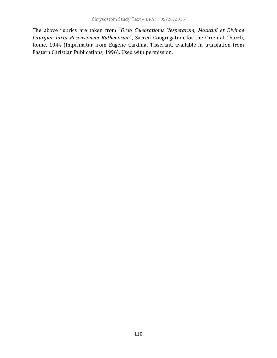The above rubrics are taken from *"Ordo Celebrationis Vesperarum, Matutini et Divinae Liturgiae Iuxta Recensionem Ruthenorum*", Sacred Congregation for the Oriental Church, Rome, 1944 (Imprimatur from Eugene Cardinal Tisserant, available in translation from Eastern Christian Publications, 1996). Used with permission.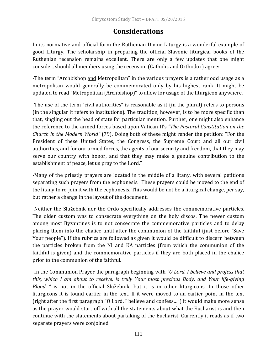# **Considerations**

In its normative and official form the Ruthenian Divine Liturgy is a wonderful example of good Liturgy. The scholarship in preparing the official Slavonic liturgical books of the Ruthenian recension remains excellent. There are only a few updates that one might consider, should all members using the recension (Catholic and Orthodox) agree:

-The term "Archbishop and Metropolitan" in the various prayers is a rather odd usage as a metropolitan would generally be commemorated only by his highest rank. It might be updated to read "Metropolitan (Archbishop)" to allow for usage of the liturgicon anywhere.

-The use of the term "civil authorities" is reasonable as it (in the plural) refers to persons (in the singular it refers to institutions). The tradition, however, is to be more specific than that, singling out the head of state for particular mention. Further, one might also enhance the reference to the armed forces based upon Vatican II's "The Pastoral Constitution on the *Church in the Modern World"* (79). Doing both of these might render the petition: "For the President of these United States, the Congress, the Supreme Court and all our civil authorities, and for our armed forces, the agents of our security and freedom, that they may serve our country with honor, and that they may make a genuine contribution to the establishment of peace, let us pray to the Lord."

-Many of the priestly prayers are located in the middle of a litany, with several petitions separating such prayers from the ecphonesis. These prayers could be moved to the end of the litany to re-join it with the ecphonesis. This would be not be a liturgical change, per say, but rather a change in the layout of the document.

-Neither the Služebnik nor the Ordo specifically addresses the commemorative particles. The older custom was to consecrate everything on the holy discos. The newer custom among most Byzantines is to not consecrate the commemorative particles and to delay placing them into the chalice until after the communion of the faithful (just before "Save Your people"). If the rubrics are followed as given it would be difficult to discern between the particles broken from the NI and KA particles (from which the communion of the faithful is given) and the commemorative particles if they are both placed in the chalice prior to the communion of the faithful.

‐In the Communion Prayer the paragraph beginning with *"O Lord, I believe and profess that this, which I am about to receive, is truly Your most precious Body, and Your life‐giving Blood...*" is not in the official Služebnik, but it is in other liturgicons. In those other liturgicons it is found earlier in the text. If it were moved to an earlier point in the text (right after the first paragraph "O Lord, I believe and confess...") it would make more sense as the prayer would start off with all the statements about what the Eucharist is and then continue with the statements about partaking of the Eucharist. Currently it reads as if two separate prayers were conjoined.